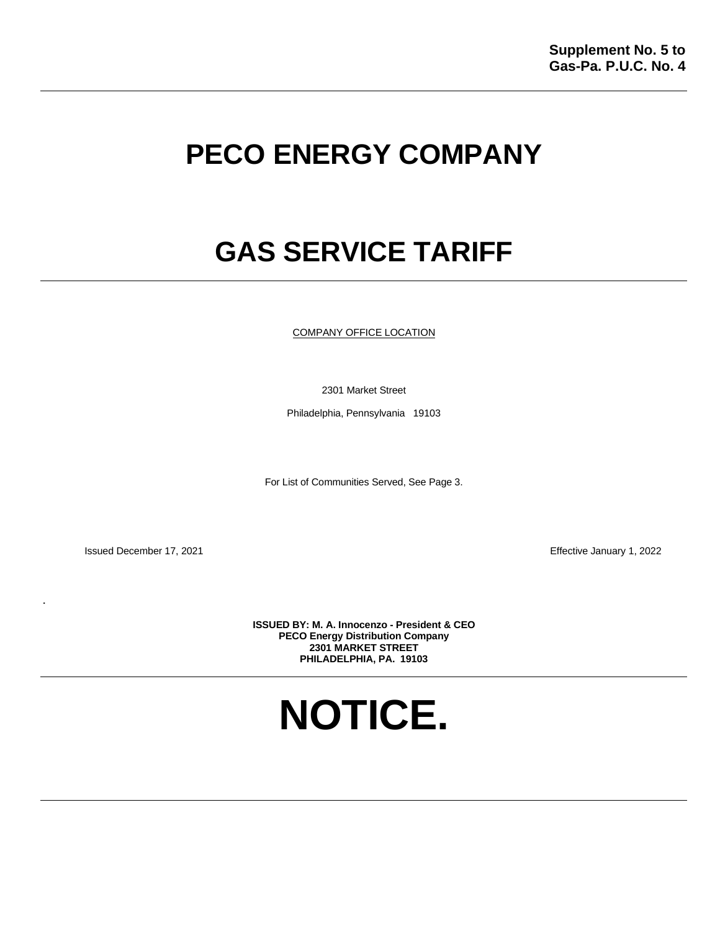# **PECO ENERGY COMPANY**

# **GAS SERVICE TARIFF**

COMPANY OFFICE LOCATION

2301 Market Street

Philadelphia, Pennsylvania 19103

For List of Communities Served, See Page 3.

Issued December 17, 2021 Effective January 1, 2022

.

**ISSUED BY: M. A. Innocenzo - President & CEO PECO Energy Distribution Company 2301 MARKET STREET PHILADELPHIA, PA. 19103** 

**NOTICE.**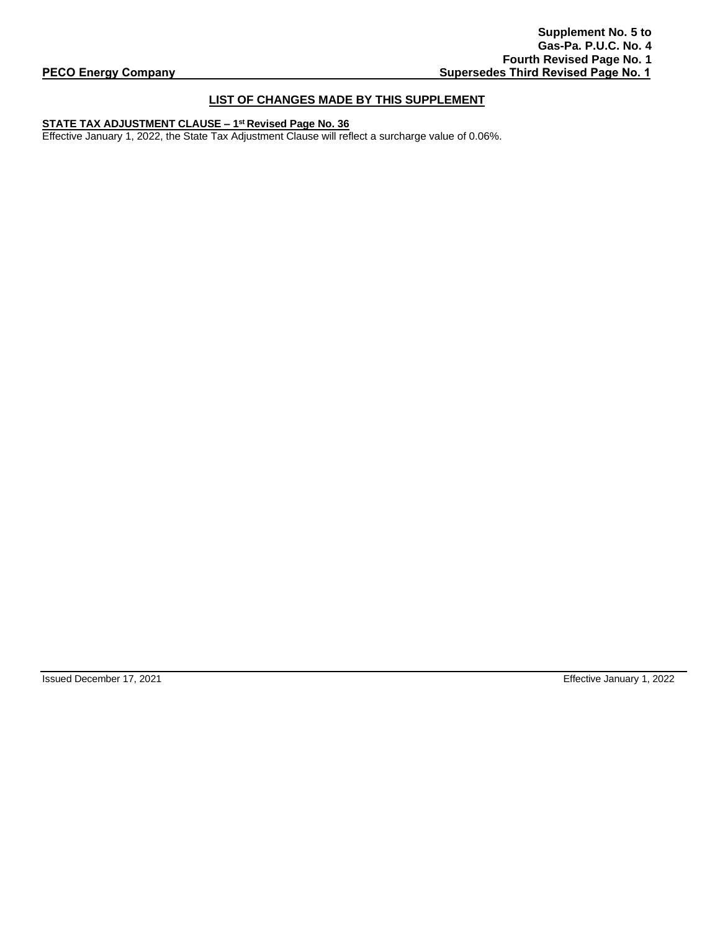# **LIST OF CHANGES MADE BY THIS SUPPLEMENT**

# **STATE TAX ADJUSTMENT CLAUSE – 1 st Revised Page No. 36**

Effective January 1, 2022, the State Tax Adjustment Clause will reflect a surcharge value of 0.06%.

Issued December 17, 2021 Effective January 1, 2022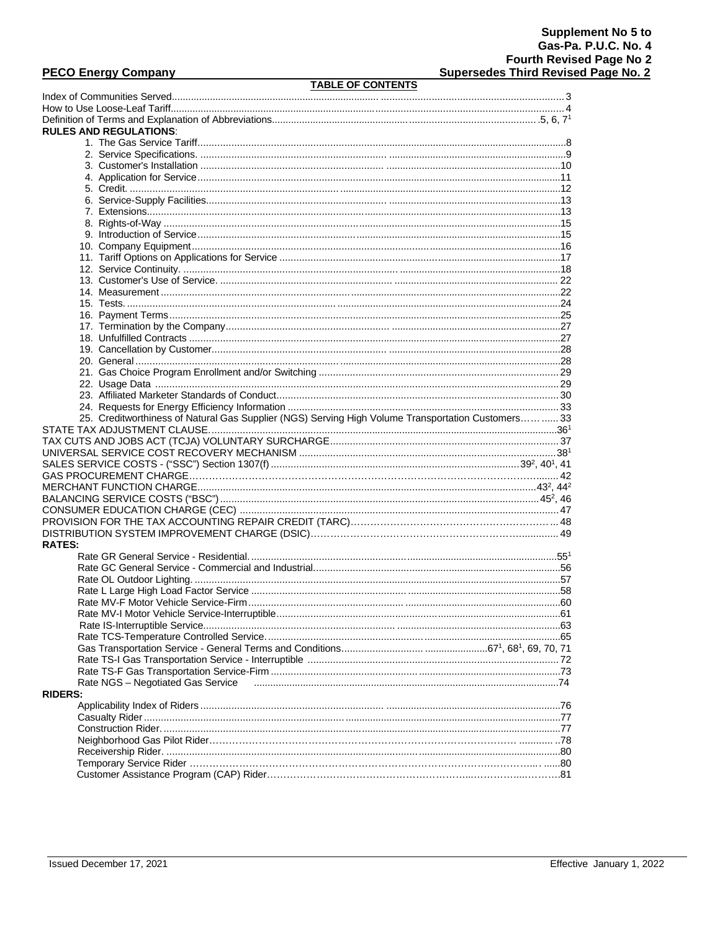# **PECO Energy Company**

# **TABLE OF CONTENTS**

|                | <b>I ADLE UF GUNTENTS</b>                                                                         |  |
|----------------|---------------------------------------------------------------------------------------------------|--|
|                |                                                                                                   |  |
|                |                                                                                                   |  |
|                |                                                                                                   |  |
|                | <b>RULES AND REGULATIONS:</b>                                                                     |  |
|                |                                                                                                   |  |
|                |                                                                                                   |  |
|                |                                                                                                   |  |
|                |                                                                                                   |  |
|                |                                                                                                   |  |
|                |                                                                                                   |  |
|                |                                                                                                   |  |
|                |                                                                                                   |  |
|                |                                                                                                   |  |
|                |                                                                                                   |  |
|                |                                                                                                   |  |
|                |                                                                                                   |  |
|                |                                                                                                   |  |
|                |                                                                                                   |  |
|                |                                                                                                   |  |
|                |                                                                                                   |  |
|                |                                                                                                   |  |
|                |                                                                                                   |  |
|                |                                                                                                   |  |
|                |                                                                                                   |  |
|                |                                                                                                   |  |
|                |                                                                                                   |  |
|                |                                                                                                   |  |
|                |                                                                                                   |  |
|                |                                                                                                   |  |
|                | 25. Creditworthiness of Natural Gas Supplier (NGS) Serving High Volume Transportation Customers33 |  |
|                |                                                                                                   |  |
|                |                                                                                                   |  |
|                |                                                                                                   |  |
|                |                                                                                                   |  |
|                |                                                                                                   |  |
|                |                                                                                                   |  |
|                |                                                                                                   |  |
|                |                                                                                                   |  |
|                |                                                                                                   |  |
|                |                                                                                                   |  |
| <b>RATES:</b>  |                                                                                                   |  |
|                |                                                                                                   |  |
|                |                                                                                                   |  |
|                |                                                                                                   |  |
|                |                                                                                                   |  |
|                |                                                                                                   |  |
|                |                                                                                                   |  |
|                |                                                                                                   |  |
|                |                                                                                                   |  |
|                |                                                                                                   |  |
|                |                                                                                                   |  |
|                |                                                                                                   |  |
|                | Rate NGS - Negotiated Gas Service                                                                 |  |
| <b>RIDERS:</b> |                                                                                                   |  |
|                |                                                                                                   |  |
|                |                                                                                                   |  |
|                |                                                                                                   |  |
|                |                                                                                                   |  |
|                |                                                                                                   |  |
|                |                                                                                                   |  |
|                |                                                                                                   |  |
|                |                                                                                                   |  |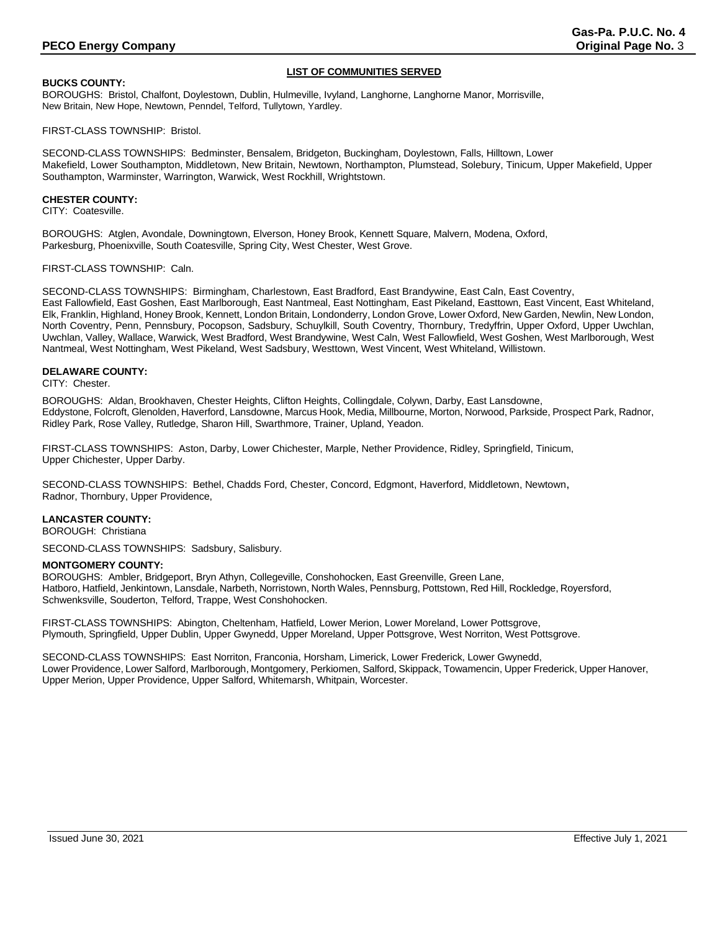# **LIST OF COMMUNITIES SERVED**

# **BUCKS COUNTY:**

BOROUGHS: Bristol, Chalfont, Doylestown, Dublin, Hulmeville, Ivyland, Langhorne, Langhorne Manor, Morrisville, New Britain, New Hope, Newtown, Penndel, Telford, Tullytown, Yardley.

FIRST-CLASS TOWNSHIP: Bristol.

SECOND-CLASS TOWNSHIPS: Bedminster, Bensalem, Bridgeton, Buckingham, Doylestown, Falls, Hilltown, Lower Makefield, Lower Southampton, Middletown, New Britain, Newtown, Northampton, Plumstead, Solebury, Tinicum, Upper Makefield, Upper Southampton, Warminster, Warrington, Warwick, West Rockhill, Wrightstown.

### **CHESTER COUNTY:**

CITY: Coatesville.

BOROUGHS: Atglen, Avondale, Downingtown, Elverson, Honey Brook, Kennett Square, Malvern, Modena, Oxford, Parkesburg, Phoenixville, South Coatesville, Spring City, West Chester, West Grove.

#### FIRST-CLASS TOWNSHIP: Caln.

SECOND-CLASS TOWNSHIPS: Birmingham, Charlestown, East Bradford, East Brandywine, East Caln, East Coventry, East Fallowfield, East Goshen, East Marlborough, East Nantmeal, East Nottingham, East Pikeland, Easttown, East Vincent, East Whiteland, Elk, Franklin, Highland, Honey Brook, Kennett, London Britain, Londonderry, London Grove, Lower Oxford, New Garden, Newlin, New London, North Coventry, Penn, Pennsbury, Pocopson, Sadsbury, Schuylkill, South Coventry, Thornbury, Tredyffrin, Upper Oxford, Upper Uwchlan, Uwchlan, Valley, Wallace, Warwick, West Bradford, West Brandywine, West Caln, West Fallowfield, West Goshen, West Marlborough, West Nantmeal, West Nottingham, West Pikeland, West Sadsbury, Westtown, West Vincent, West Whiteland, Willistown.

### **DELAWARE COUNTY:**

#### CITY: Chester.

BOROUGHS: Aldan, Brookhaven, Chester Heights, Clifton Heights, Collingdale, Colywn, Darby, East Lansdowne, Eddystone, Folcroft, Glenolden, Haverford, Lansdowne, Marcus Hook, Media, Millbourne, Morton, Norwood, Parkside, Prospect Park, Radnor, Ridley Park, Rose Valley, Rutledge, Sharon Hill, Swarthmore, Trainer, Upland, Yeadon.

FIRST-CLASS TOWNSHIPS: Aston, Darby, Lower Chichester, Marple, Nether Providence, Ridley, Springfield, Tinicum, Upper Chichester, Upper Darby.

SECOND-CLASS TOWNSHIPS: Bethel, Chadds Ford, Chester, Concord, Edgmont, Haverford, Middletown, Newtown, Radnor, Thornbury, Upper Providence,

# **LANCASTER COUNTY:**

BOROUGH: Christiana

SECOND-CLASS TOWNSHIPS: Sadsbury, Salisbury.

#### **MONTGOMERY COUNTY:**

BOROUGHS: Ambler, Bridgeport, Bryn Athyn, Collegeville, Conshohocken, East Greenville, Green Lane, Hatboro, Hatfield, Jenkintown, Lansdale, Narbeth, Norristown, North Wales, Pennsburg, Pottstown, Red Hill, Rockledge, Royersford, Schwenksville, Souderton, Telford, Trappe, West Conshohocken.

FIRST-CLASS TOWNSHIPS: Abington, Cheltenham, Hatfield, Lower Merion, Lower Moreland, Lower Pottsgrove, Plymouth, Springfield, Upper Dublin, Upper Gwynedd, Upper Moreland, Upper Pottsgrove, West Norriton, West Pottsgrove.

SECOND-CLASS TOWNSHIPS: East Norriton, Franconia, Horsham, Limerick, Lower Frederick, Lower Gwynedd, Lower Providence, Lower Salford, Marlborough, Montgomery, Perkiomen, Salford, Skippack, Towamencin, Upper Frederick, Upper Hanover, Upper Merion, Upper Providence, Upper Salford, Whitemarsh, Whitpain, Worcester.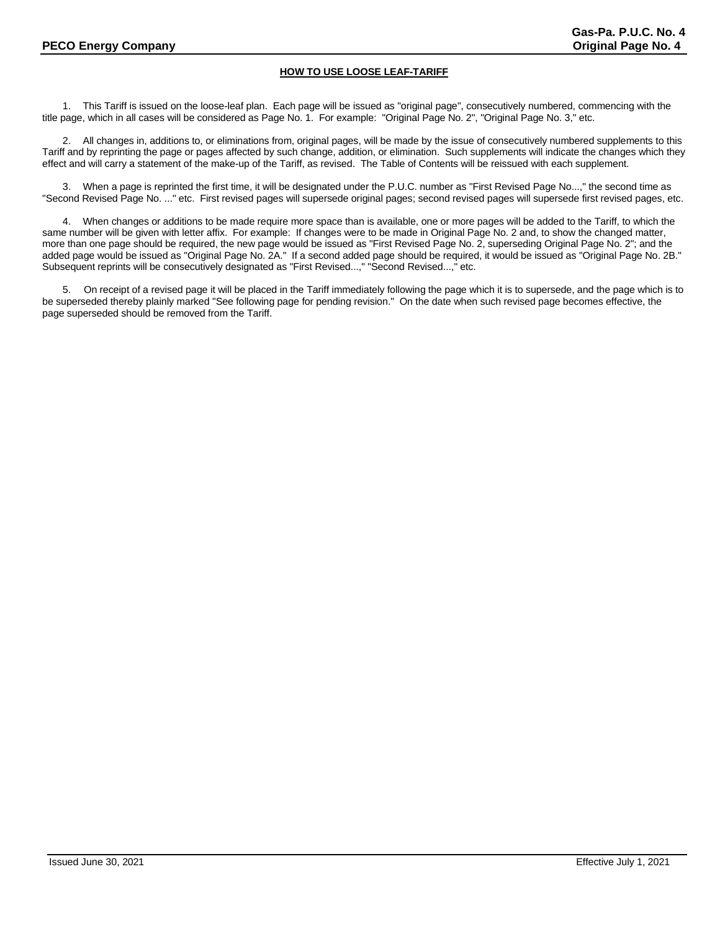# **HOW TO USE LOOSE LEAF-TARIFF**

1. This Tariff is issued on the loose-leaf plan. Each page will be issued as "original page", consecutively numbered, commencing with the title page, which in all cases will be considered as Page No. 1. For example: "Original Page No. 2", "Original Page No. 3," etc.

2. All changes in, additions to, or eliminations from, original pages, will be made by the issue of consecutively numbered supplements to this Tariff and by reprinting the page or pages affected by such change, addition, or elimination. Such supplements will indicate the changes which they effect and will carry a statement of the make-up of the Tariff, as revised. The Table of Contents will be reissued with each supplement.

3. When a page is reprinted the first time, it will be designated under the P.U.C. number as "First Revised Page No...," the second time as "Second Revised Page No. ..." etc. First revised pages will supersede original pages; second revised pages will supersede first revised pages, etc.

4. When changes or additions to be made require more space than is available, one or more pages will be added to the Tariff, to which the same number will be given with letter affix. For example: If changes were to be made in Original Page No. 2 and, to show the changed matter, more than one page should be required, the new page would be issued as "First Revised Page No. 2, superseding Original Page No. 2"; and the added page would be issued as "Original Page No. 2A." If a second added page should be required, it would be issued as "Original Page No. 2B." Subsequent reprints will be consecutively designated as "First Revised...," "Second Revised...," etc.

5. On receipt of a revised page it will be placed in the Tariff immediately following the page which it is to supersede, and the page which is to be superseded thereby plainly marked "See following page for pending revision." On the date when such revised page becomes effective, the page superseded should be removed from the Tariff.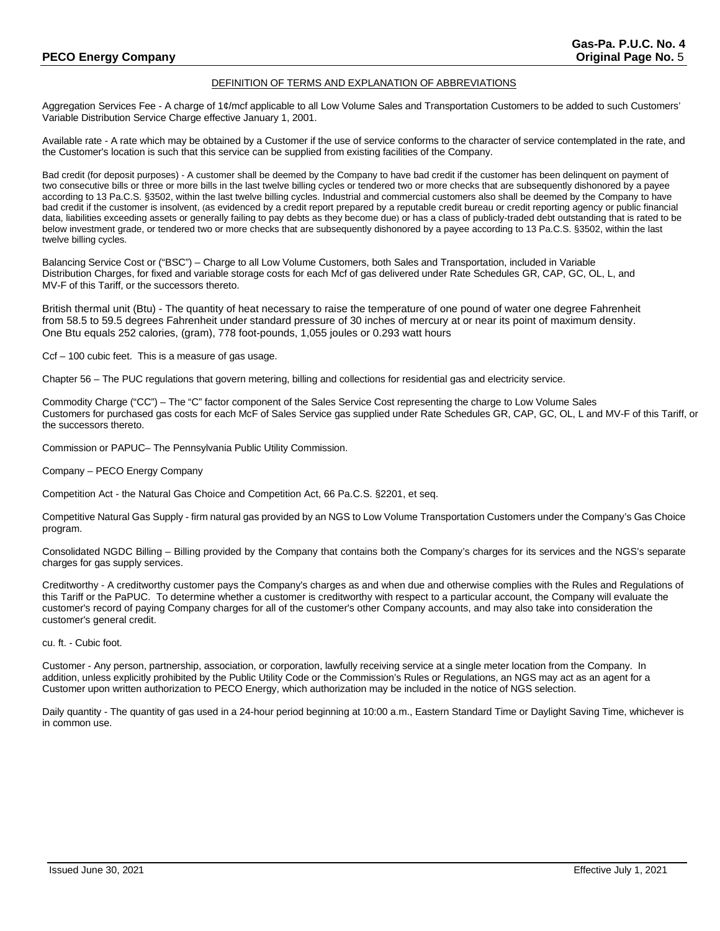# DEFINITION OF TERMS AND EXPLANATION OF ABBREVIATIONS

Aggregation Services Fee - A charge of 1¢/mcf applicable to all Low Volume Sales and Transportation Customers to be added to such Customers' Variable Distribution Service Charge effective January 1, 2001.

Available rate - A rate which may be obtained by a Customer if the use of service conforms to the character of service contemplated in the rate, and the Customer's location is such that this service can be supplied from existing facilities of the Company.

Bad credit (for deposit purposes) - A customer shall be deemed by the Company to have bad credit if the customer has been delinquent on payment of two consecutive bills or three or more bills in the last twelve billing cycles or tendered two or more checks that are subsequently dishonored by a payee according to 13 Pa.C.S. §3502, within the last twelve billing cycles. Industrial and commercial customers also shall be deemed by the Company to have bad credit if the customer is insolvent, (as evidenced by a credit report prepared by a reputable credit bureau or credit reporting agency or public financial data, liabilities exceeding assets or generally failing to pay debts as they become due) or has a class of publicly-traded debt outstanding that is rated to be below investment grade, or tendered two or more checks that are subsequently dishonored by a payee according to 13 Pa.C.S. §3502, within the last twelve billing cycles.

Balancing Service Cost or ("BSC") – Charge to all Low Volume Customers, both Sales and Transportation, included in Variable Distribution Charges, for fixed and variable storage costs for each Mcf of gas delivered under Rate Schedules GR, CAP, GC, OL, L, and MV-F of this Tariff, or the successors thereto.

British thermal unit (Btu) - The quantity of heat necessary to raise the temperature of one pound of water one degree Fahrenheit from 58.5 to 59.5 degrees Fahrenheit under standard pressure of 30 inches of mercury at or near its point of maximum density. One Btu equals 252 calories, (gram), 778 foot-pounds, 1,055 joules or 0.293 watt hours

Ccf – 100 cubic feet. This is a measure of gas usage.

Chapter 56 – The PUC regulations that govern metering, billing and collections for residential gas and electricity service.

Commodity Charge ("CC") – The "C" factor component of the Sales Service Cost representing the charge to Low Volume Sales Customers for purchased gas costs for each McF of Sales Service gas supplied under Rate Schedules GR, CAP, GC, OL, L and MV-F of this Tariff, or the successors thereto.

Commission or PAPUC– The Pennsylvania Public Utility Commission.

Company – PECO Energy Company

Competition Act - the Natural Gas Choice and Competition Act, 66 Pa.C.S. §2201, et seq.

Competitive Natural Gas Supply - firm natural gas provided by an NGS to Low Volume Transportation Customers under the Company's Gas Choice program.

Consolidated NGDC Billing – Billing provided by the Company that contains both the Company's charges for its services and the NGS's separate charges for gas supply services.

Creditworthy - A creditworthy customer pays the Company's charges as and when due and otherwise complies with the Rules and Regulations of this Tariff or the PaPUC. To determine whether a customer is creditworthy with respect to a particular account, the Company will evaluate the customer's record of paying Company charges for all of the customer's other Company accounts, and may also take into consideration the customer's general credit.

cu. ft. - Cubic foot.

Customer - Any person, partnership, association, or corporation, lawfully receiving service at a single meter location from the Company. In addition, unless explicitly prohibited by the Public Utility Code or the Commission's Rules or Regulations, an NGS may act as an agent for a Customer upon written authorization to PECO Energy, which authorization may be included in the notice of NGS selection.

Daily quantity - The quantity of gas used in a 24-hour period beginning at 10:00 a.m., Eastern Standard Time or Daylight Saving Time, whichever is in common use.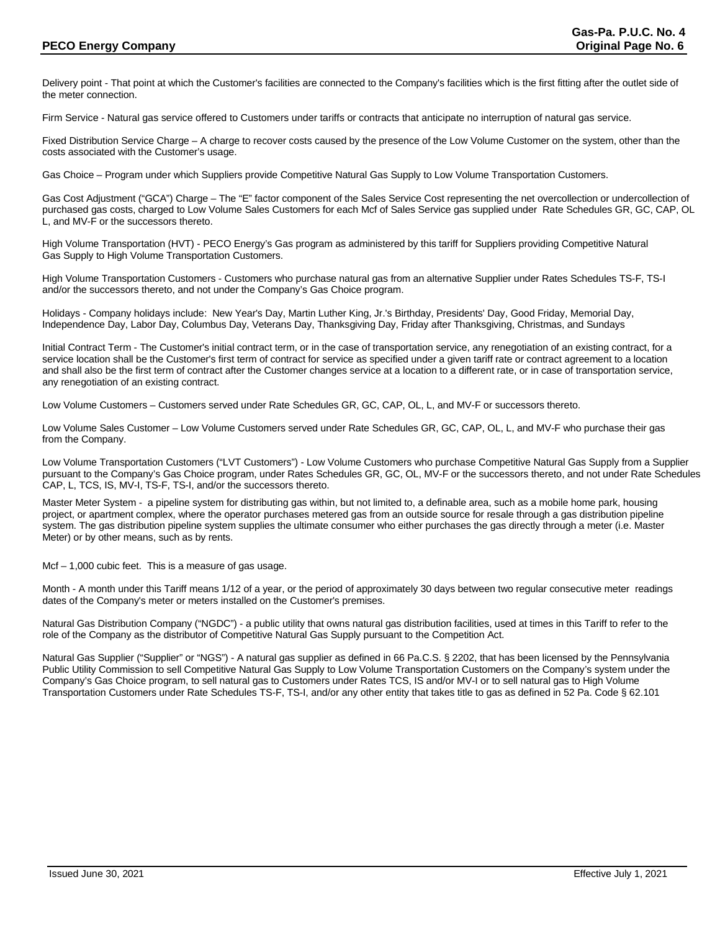# **PECO Energy Company Company Company Company Company Company Company Company Company Company Company Company Company**

Delivery point - That point at which the Customer's facilities are connected to the Company's facilities which is the first fitting after the outlet side of the meter connection.

Firm Service - Natural gas service offered to Customers under tariffs or contracts that anticipate no interruption of natural gas service.

Fixed Distribution Service Charge – A charge to recover costs caused by the presence of the Low Volume Customer on the system, other than the costs associated with the Customer's usage.

Gas Choice – Program under which Suppliers provide Competitive Natural Gas Supply to Low Volume Transportation Customers.

Gas Cost Adjustment ("GCA") Charge – The "E" factor component of the Sales Service Cost representing the net overcollection or undercollection of purchased gas costs, charged to Low Volume Sales Customers for each Mcf of Sales Service gas supplied under Rate Schedules GR, GC, CAP, OL L, and MV-F or the successors thereto.

High Volume Transportation (HVT) - PECO Energy's Gas program as administered by this tariff for Suppliers providing Competitive Natural Gas Supply to High Volume Transportation Customers.

High Volume Transportation Customers - Customers who purchase natural gas from an alternative Supplier under Rates Schedules TS-F, TS-I and/or the successors thereto, and not under the Company's Gas Choice program.

Holidays - Company holidays include: New Year's Day, Martin Luther King, Jr.'s Birthday, Presidents' Day, Good Friday, Memorial Day, Independence Day, Labor Day, Columbus Day, Veterans Day, Thanksgiving Day, Friday after Thanksgiving, Christmas, and Sundays

Initial Contract Term - The Customer's initial contract term, or in the case of transportation service, any renegotiation of an existing contract, for a service location shall be the Customer's first term of contract for service as specified under a given tariff rate or contract agreement to a location and shall also be the first term of contract after the Customer changes service at a location to a different rate, or in case of transportation service, any renegotiation of an existing contract.

Low Volume Customers – Customers served under Rate Schedules GR, GC, CAP, OL, L, and MV-F or successors thereto.

Low Volume Sales Customer – Low Volume Customers served under Rate Schedules GR, GC, CAP, OL, L, and MV-F who purchase their gas from the Company.

Low Volume Transportation Customers ("LVT Customers") - Low Volume Customers who purchase Competitive Natural Gas Supply from a Supplier pursuant to the Company's Gas Choice program, under Rates Schedules GR, GC, OL, MV-F or the successors thereto, and not under Rate Schedules CAP, L, TCS, IS, MV-I, TS-F, TS-I, and/or the successors thereto.

Master Meter System - a pipeline system for distributing gas within, but not limited to, a definable area, such as a mobile home park, housing project, or apartment complex, where the operator purchases metered gas from an outside source for resale through a gas distribution pipeline system. The gas distribution pipeline system supplies the ultimate consumer who either purchases the gas directly through a meter (i.e. Master Meter) or by other means, such as by rents.

Mcf – 1,000 cubic feet. This is a measure of gas usage.

Month - A month under this Tariff means 1/12 of a year, or the period of approximately 30 days between two regular consecutive meter readings dates of the Company's meter or meters installed on the Customer's premises.

Natural Gas Distribution Company ("NGDC") - a public utility that owns natural gas distribution facilities, used at times in this Tariff to refer to the role of the Company as the distributor of Competitive Natural Gas Supply pursuant to the Competition Act.

Natural Gas Supplier ("Supplier" or "NGS") - A natural gas supplier as defined in 66 Pa.C.S. § 2202, that has been licensed by the Pennsylvania Public Utility Commission to sell Competitive Natural Gas Supply to Low Volume Transportation Customers on the Company's system under the Company's Gas Choice program, to sell natural gas to Customers under Rates TCS, IS and/or MV-I or to sell natural gas to High Volume Transportation Customers under Rate Schedules TS-F, TS-I, and/or any other entity that takes title to gas as defined in 52 Pa. Code § 62.101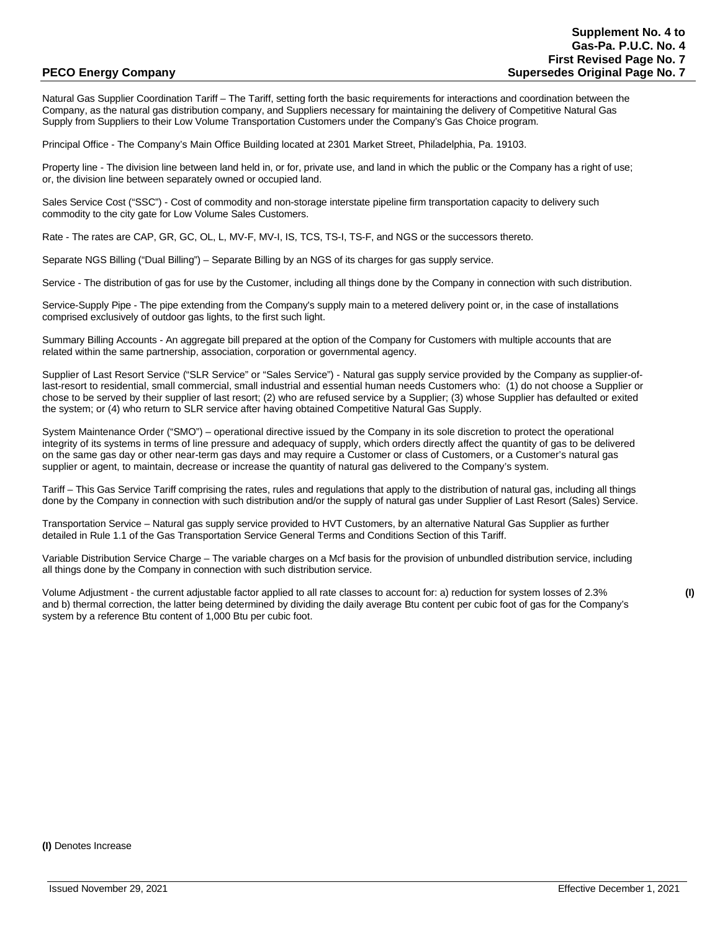Natural Gas Supplier Coordination Tariff – The Tariff, setting forth the basic requirements for interactions and coordination between the Company, as the natural gas distribution company, and Suppliers necessary for maintaining the delivery of Competitive Natural Gas Supply from Suppliers to their Low Volume Transportation Customers under the Company's Gas Choice program.

Principal Office - The Company's Main Office Building located at 2301 Market Street, Philadelphia, Pa. 19103.

Property line - The division line between land held in, or for, private use, and land in which the public or the Company has a right of use; or, the division line between separately owned or occupied land.

Sales Service Cost ("SSC") - Cost of commodity and non-storage interstate pipeline firm transportation capacity to delivery such commodity to the city gate for Low Volume Sales Customers.

Rate - The rates are CAP, GR, GC, OL, L, MV-F, MV-I, IS, TCS, TS-I, TS-F, and NGS or the successors thereto.

Separate NGS Billing ("Dual Billing") – Separate Billing by an NGS of its charges for gas supply service.

Service - The distribution of gas for use by the Customer, including all things done by the Company in connection with such distribution.

Service-Supply Pipe - The pipe extending from the Company's supply main to a metered delivery point or, in the case of installations comprised exclusively of outdoor gas lights, to the first such light.

Summary Billing Accounts - An aggregate bill prepared at the option of the Company for Customers with multiple accounts that are related within the same partnership, association, corporation or governmental agency.

Supplier of Last Resort Service ("SLR Service" or "Sales Service") - Natural gas supply service provided by the Company as supplier-oflast-resort to residential, small commercial, small industrial and essential human needs Customers who: (1) do not choose a Supplier or chose to be served by their supplier of last resort; (2) who are refused service by a Supplier; (3) whose Supplier has defaulted or exited the system; or (4) who return to SLR service after having obtained Competitive Natural Gas Supply.

System Maintenance Order ("SMO") – operational directive issued by the Company in its sole discretion to protect the operational integrity of its systems in terms of line pressure and adequacy of supply, which orders directly affect the quantity of gas to be delivered on the same gas day or other near-term gas days and may require a Customer or class of Customers, or a Customer's natural gas supplier or agent, to maintain, decrease or increase the quantity of natural gas delivered to the Company's system.

Tariff – This Gas Service Tariff comprising the rates, rules and regulations that apply to the distribution of natural gas, including all things done by the Company in connection with such distribution and/or the supply of natural gas under Supplier of Last Resort (Sales) Service.

Transportation Service – Natural gas supply service provided to HVT Customers, by an alternative Natural Gas Supplier as further detailed in Rule 1.1 of the Gas Transportation Service General Terms and Conditions Section of this Tariff.

Variable Distribution Service Charge – The variable charges on a Mcf basis for the provision of unbundled distribution service, including all things done by the Company in connection with such distribution service.

Volume Adjustment - the current adjustable factor applied to all rate classes to account for: a) reduction for system losses of 2.3% **(I)** and b) thermal correction, the latter being determined by dividing the daily average Btu content per cubic foot of gas for the Company's system by a reference Btu content of 1,000 Btu per cubic foot.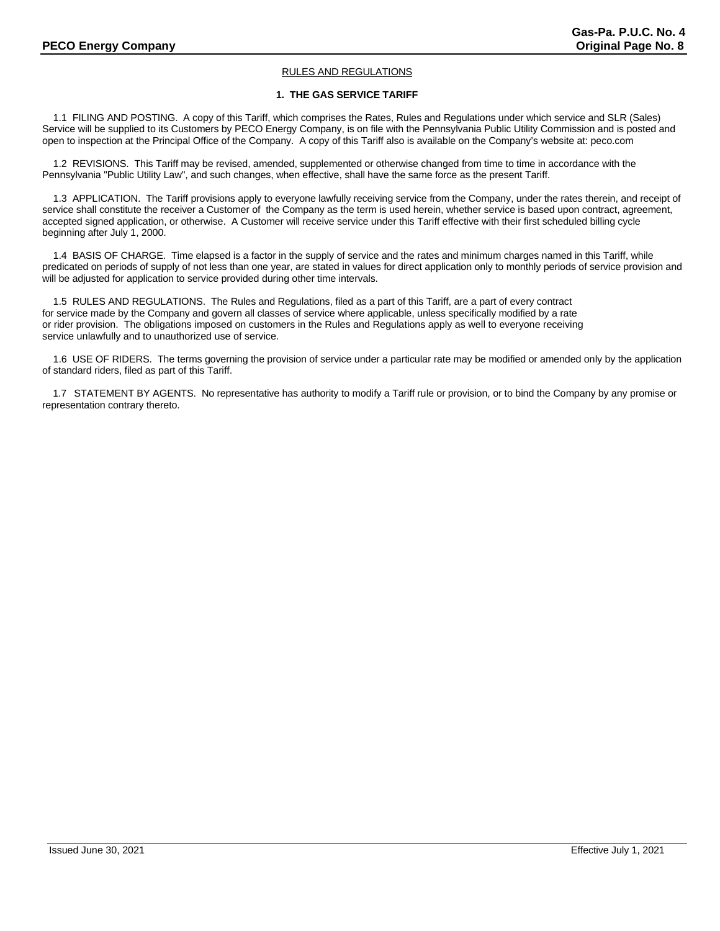# RULES AND REGULATIONS

# **1. THE GAS SERVICE TARIFF**

 1.1 FILING AND POSTING. A copy of this Tariff, which comprises the Rates, Rules and Regulations under which service and SLR (Sales) Service will be supplied to its Customers by PECO Energy Company, is on file with the Pennsylvania Public Utility Commission and is posted and open to inspection at the Principal Office of the Company. A copy of this Tariff also is available on the Company's website at: peco.com

 1.2 REVISIONS. This Tariff may be revised, amended, supplemented or otherwise changed from time to time in accordance with the Pennsylvania "Public Utility Law", and such changes, when effective, shall have the same force as the present Tariff.

 1.3 APPLICATION. The Tariff provisions apply to everyone lawfully receiving service from the Company, under the rates therein, and receipt of service shall constitute the receiver a Customer of the Company as the term is used herein, whether service is based upon contract, agreement, accepted signed application, or otherwise. A Customer will receive service under this Tariff effective with their first scheduled billing cycle beginning after July 1, 2000.

 1.4 BASIS OF CHARGE. Time elapsed is a factor in the supply of service and the rates and minimum charges named in this Tariff, while predicated on periods of supply of not less than one year, are stated in values for direct application only to monthly periods of service provision and will be adjusted for application to service provided during other time intervals.

 1.5 RULES AND REGULATIONS. The Rules and Regulations, filed as a part of this Tariff, are a part of every contract for service made by the Company and govern all classes of service where applicable, unless specifically modified by a rate or rider provision. The obligations imposed on customers in the Rules and Regulations apply as well to everyone receiving service unlawfully and to unauthorized use of service.

 1.6 USE OF RIDERS. The terms governing the provision of service under a particular rate may be modified or amended only by the application of standard riders, filed as part of this Tariff.

1.7 STATEMENT BY AGENTS. No representative has authority to modify a Tariff rule or provision, or to bind the Company by any promise or representation contrary thereto.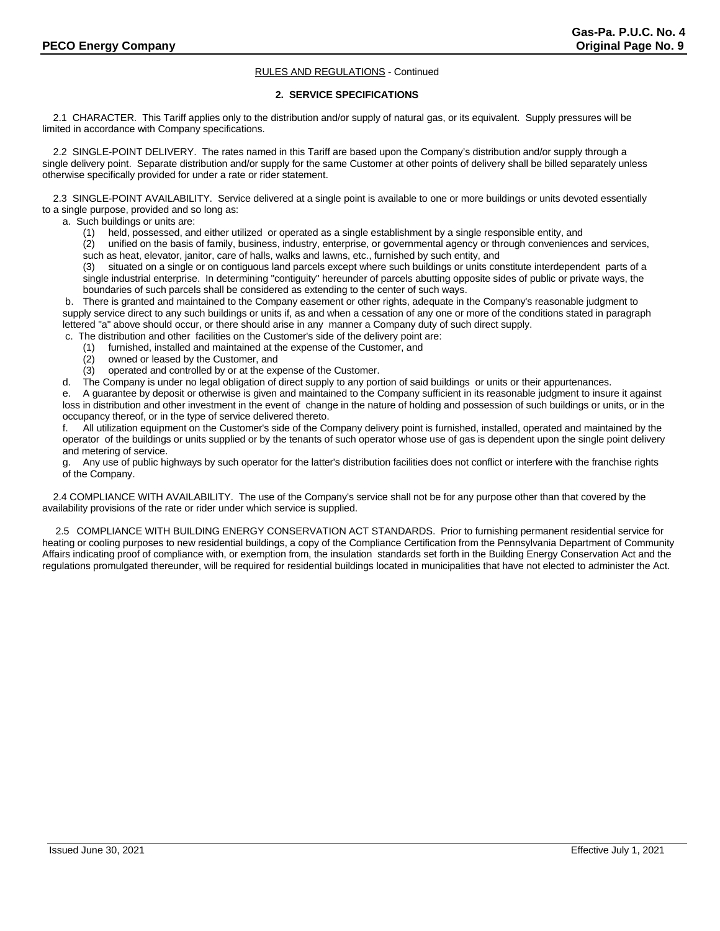# **2. SERVICE SPECIFICATIONS**

 2.1 CHARACTER. This Tariff applies only to the distribution and/or supply of natural gas, or its equivalent. Supply pressures will be limited in accordance with Company specifications.

 2.2 SINGLE-POINT DELIVERY. The rates named in this Tariff are based upon the Company's distribution and/or supply through a single delivery point. Separate distribution and/or supply for the same Customer at other points of delivery shall be billed separately unless otherwise specifically provided for under a rate or rider statement.

 2.3 SINGLE-POINT AVAILABILITY. Service delivered at a single point is available to one or more buildings or units devoted essentially to a single purpose, provided and so long as:

a. Such buildings or units are:

(1) held, possessed, and either utilized or operated as a single establishment by a single responsible entity, and

 (2) unified on the basis of family, business, industry, enterprise, or governmental agency or through conveniences and services, such as heat, elevator, janitor, care of halls, walks and lawns, etc., furnished by such entity, and

 (3) situated on a single or on contiguous land parcels except where such buildings or units constitute interdependent parts of a single industrial enterprise. In determining "contiguity" hereunder of parcels abutting opposite sides of public or private ways, the boundaries of such parcels shall be considered as extending to the center of such ways.

b. There is granted and maintained to the Company easement or other rights, adequate in the Company's reasonable judgment to supply service direct to any such buildings or units if, as and when a cessation of any one or more of the conditions stated in paragraph lettered "a" above should occur, or there should arise in any manner a Company duty of such direct supply.

c. The distribution and other facilities on the Customer's side of the delivery point are:

- (1) furnished, installed and maintained at the expense of the Customer, and
- (2) owned or leased by the Customer, and
- operated and controlled by or at the expense of the Customer.

d. The Company is under no legal obligation of direct supply to any portion of said buildings or units or their appurtenances.

e. A guarantee by deposit or otherwise is given and maintained to the Company sufficient in its reasonable judgment to insure it against loss in distribution and other investment in the event of change in the nature of holding and possession of such buildings or units, or in the occupancy thereof, or in the type of service delivered thereto.

f. All utilization equipment on the Customer's side of the Company delivery point is furnished, installed, operated and maintained by the operator of the buildings or units supplied or by the tenants of such operator whose use of gas is dependent upon the single point delivery and metering of service.

Any use of public highways by such operator for the latter's distribution facilities does not conflict or interfere with the franchise rights of the Company.

 2.4 COMPLIANCE WITH AVAILABILITY. The use of the Company's service shall not be for any purpose other than that covered by the availability provisions of the rate or rider under which service is supplied.

2.5 COMPLIANCE WITH BUILDING ENERGY CONSERVATION ACT STANDARDS. Prior to furnishing permanent residential service for heating or cooling purposes to new residential buildings, a copy of the Compliance Certification from the Pennsylvania Department of Community Affairs indicating proof of compliance with, or exemption from, the insulation standards set forth in the Building Energy Conservation Act and the regulations promulgated thereunder, will be required for residential buildings located in municipalities that have not elected to administer the Act.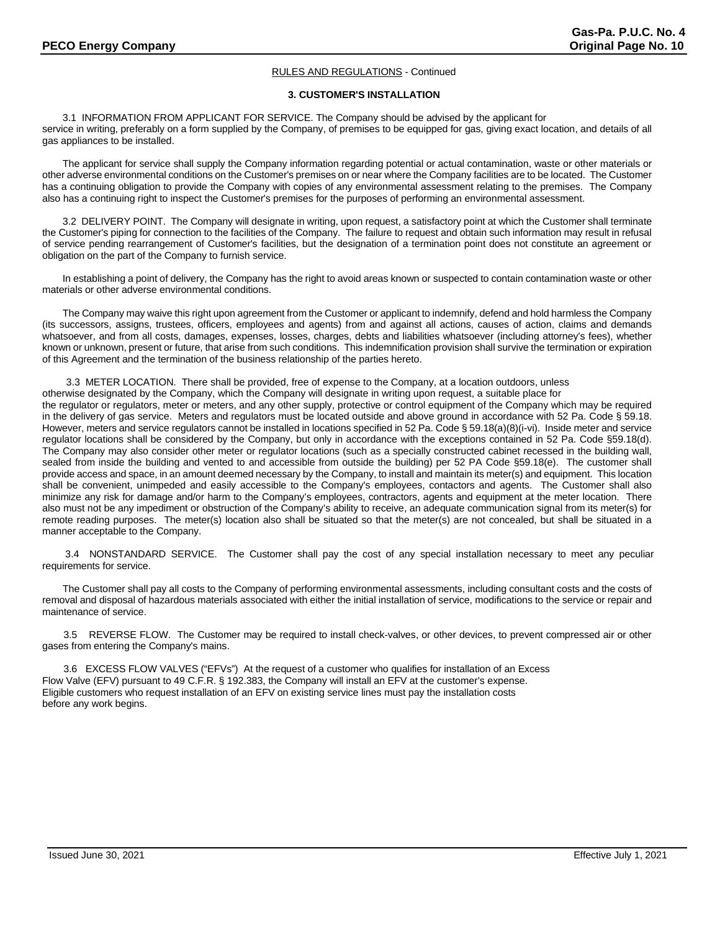# **3. CUSTOMER'S INSTALLATION**

3.1 INFORMATION FROM APPLICANT FOR SERVICE. The Company should be advised by the applicant for service in writing, preferably on a form supplied by the Company, of premises to be equipped for gas, giving exact location, and details of all gas appliances to be installed.

The applicant for service shall supply the Company information regarding potential or actual contamination, waste or other materials or other adverse environmental conditions on the Customer's premises on or near where the Company facilities are to be located. The Customer has a continuing obligation to provide the Company with copies of any environmental assessment relating to the premises. The Company also has a continuing right to inspect the Customer's premises for the purposes of performing an environmental assessment.

3.2 DELIVERY POINT. The Company will designate in writing, upon request, a satisfactory point at which the Customer shall terminate the Customer's piping for connection to the facilities of the Company. The failure to request and obtain such information may result in refusal of service pending rearrangement of Customer's facilities, but the designation of a termination point does not constitute an agreement or obligation on the part of the Company to furnish service.

In establishing a point of delivery, the Company has the right to avoid areas known or suspected to contain contamination waste or other materials or other adverse environmental conditions.

The Company may waive this right upon agreement from the Customer or applicant to indemnify, defend and hold harmless the Company (its successors, assigns, trustees, officers, employees and agents) from and against all actions, causes of action, claims and demands whatsoever, and from all costs, damages, expenses, losses, charges, debts and liabilities whatsoever (including attorney's fees), whether known or unknown, present or future, that arise from such conditions. This indemnification provision shall survive the termination or expiration of this Agreement and the termination of the business relationship of the parties hereto.

3.3 METER LOCATION. There shall be provided, free of expense to the Company, at a location outdoors, unless otherwise designated by the Company, which the Company will designate in writing upon request, a suitable place for the regulator or regulators, meter or meters, and any other supply, protective or control equipment of the Company which may be required in the delivery of gas service. Meters and regulators must be located outside and above ground in accordance with 52 Pa. Code § 59.18. However, meters and service regulators cannot be installed in locations specified in 52 Pa. Code § 59.18(a)(8)(i-vi). Inside meter and service regulator locations shall be considered by the Company, but only in accordance with the exceptions contained in 52 Pa. Code §59.18(d). The Company may also consider other meter or regulator locations (such as a specially constructed cabinet recessed in the building wall, sealed from inside the building and vented to and accessible from outside the building) per 52 PA Code §59.18(e). The customer shall provide access and space, in an amount deemed necessary by the Company, to install and maintain its meter(s) and equipment. This location shall be convenient, unimpeded and easily accessible to the Company's employees, contactors and agents. The Customer shall also minimize any risk for damage and/or harm to the Company's employees, contractors, agents and equipment at the meter location. There also must not be any impediment or obstruction of the Company's ability to receive, an adequate communication signal from its meter(s) for remote reading purposes. The meter(s) location also shall be situated so that the meter(s) are not concealed, but shall be situated in a manner acceptable to the Company.

3.4 NONSTANDARD SERVICE. The Customer shall pay the cost of any special installation necessary to meet any peculiar requirements for service.

The Customer shall pay all costs to the Company of performing environmental assessments, including consultant costs and the costs of removal and disposal of hazardous materials associated with either the initial installation of service, modifications to the service or repair and maintenance of service.

3.5 REVERSE FLOW. The Customer may be required to install check-valves, or other devices, to prevent compressed air or other gases from entering the Company's mains.

3.6 EXCESS FLOW VALVES ("EFVs") At the request of a customer who qualifies for installation of an Excess Flow Valve (EFV) pursuant to 49 C.F.R. § 192.383, the Company will install an EFV at the customer's expense. Eligible customers who request installation of an EFV on existing service lines must pay the installation costs before any work begins.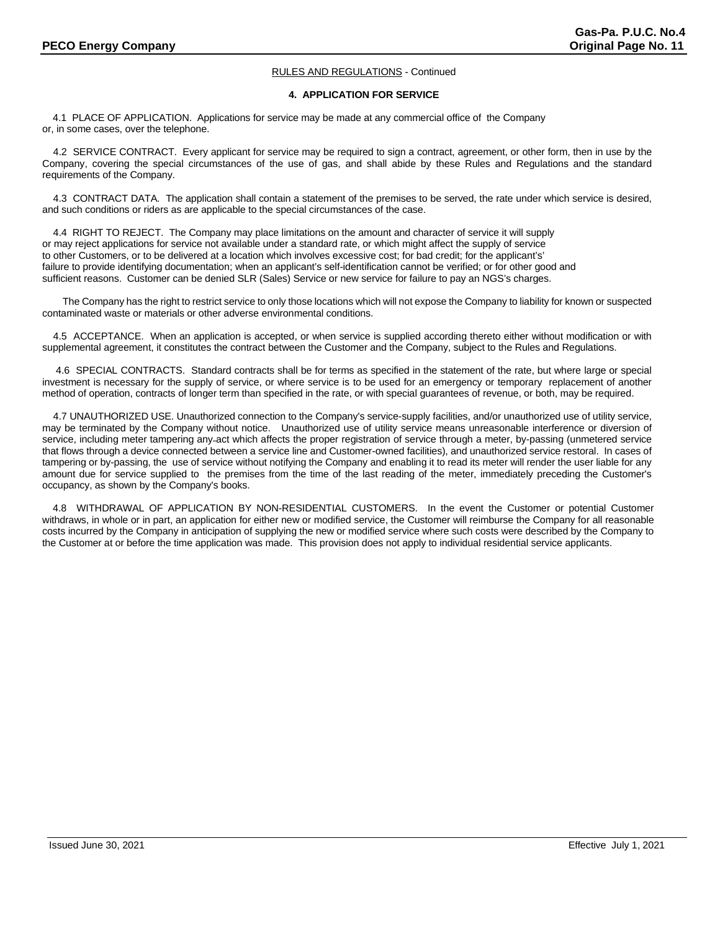# **4. APPLICATION FOR SERVICE**

4.1 PLACE OF APPLICATION. Applications for service may be made at any commercial office of the Company or, in some cases, over the telephone.

 4.2 SERVICE CONTRACT. Every applicant for service may be required to sign a contract, agreement, or other form, then in use by the Company, covering the special circumstances of the use of gas, and shall abide by these Rules and Regulations and the standard requirements of the Company.

 4.3 CONTRACT DATA. The application shall contain a statement of the premises to be served, the rate under which service is desired, and such conditions or riders as are applicable to the special circumstances of the case.

 4.4 RIGHT TO REJECT. The Company may place limitations on the amount and character of service it will supply or may reject applications for service not available under a standard rate, or which might affect the supply of service to other Customers, or to be delivered at a location which involves excessive cost; for bad credit; for the applicant's' failure to provide identifying documentation; when an applicant's self-identification cannot be verified; or for other good and sufficient reasons. Customer can be denied SLR (Sales) Service or new service for failure to pay an NGS's charges.

The Company has the right to restrict service to only those locations which will not expose the Company to liability for known or suspected contaminated waste or materials or other adverse environmental conditions.

 4.5 ACCEPTANCE. When an application is accepted, or when service is supplied according thereto either without modification or with supplemental agreement, it constitutes the contract between the Customer and the Company, subject to the Rules and Regulations.

 4.6 SPECIAL CONTRACTS. Standard contracts shall be for terms as specified in the statement of the rate, but where large or special investment is necessary for the supply of service, or where service is to be used for an emergency or temporary replacement of another method of operation, contracts of longer term than specified in the rate, or with special guarantees of revenue, or both, may be required.

 4.7 UNAUTHORIZED USE. Unauthorized connection to the Company's service-supply facilities, and/or unauthorized use of utility service, may be terminated by the Company without notice. Unauthorized use of utility service means unreasonable interference or diversion of service, including meter tampering any act which affects the proper registration of service through a meter, by-passing (unmetered service that flows through a device connected between a service line and Customer-owned facilities), and unauthorized service restoral. In cases of tampering or by-passing, the use of service without notifying the Company and enabling it to read its meter will render the user liable for any amount due for service supplied to the premises from the time of the last reading of the meter, immediately preceding the Customer's occupancy, as shown by the Company's books.

4.8 WITHDRAWAL OF APPLICATION BY NON-RESIDENTIAL CUSTOMERS. In the event the Customer or potential Customer withdraws, in whole or in part, an application for either new or modified service, the Customer will reimburse the Company for all reasonable costs incurred by the Company in anticipation of supplying the new or modified service where such costs were described by the Company to the Customer at or before the time application was made. This provision does not apply to individual residential service applicants.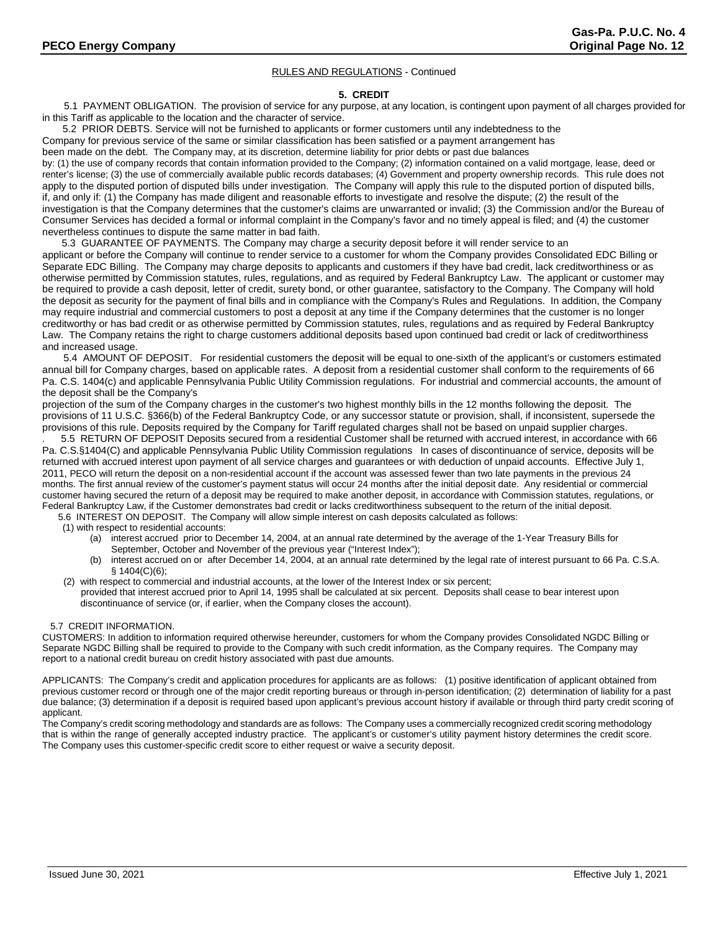#### **5. CREDIT**

 5.1 PAYMENT OBLIGATION. The provision of service for any purpose, at any location, is contingent upon payment of all charges provided for in this Tariff as applicable to the location and the character of service.

5.2 PRIOR DEBTS. Service will not be furnished to applicants or former customers until any indebtedness to the

Company for previous service of the same or similar classification has been satisfied or a payment arrangement has

been made on the debt. The Company may, at its discretion, determine liability for prior debts or past due balances

by: (1) the use of company records that contain information provided to the Company; (2) information contained on a valid mortgage, lease, deed or renter's license; (3) the use of commercially available public records databases; (4) Government and property ownership records. This rule does not apply to the disputed portion of disputed bills under investigation. The Company will apply this rule to the disputed portion of disputed bills, if, and only if: (1) the Company has made diligent and reasonable efforts to investigate and resolve the dispute; (2) the result of the investigation is that the Company determines that the customer's claims are unwarranted or invalid; (3) the Commission and/or the Bureau of Consumer Services has decided a formal or informal complaint in the Company's favor and no timely appeal is filed; and (4) the customer nevertheless continues to dispute the same matter in bad faith.

5.3 GUARANTEE OF PAYMENTS. The Company may charge a security deposit before it will render service to an applicant or before the Company will continue to render service to a customer for whom the Company provides Consolidated EDC Billing or Separate EDC Billing. The Company may charge deposits to applicants and customers if they have bad credit, lack creditworthiness or as otherwise permitted by Commission statutes, rules, regulations, and as required by Federal Bankruptcy Law. The applicant or customer may be required to provide a cash deposit, letter of credit, surety bond, or other guarantee, satisfactory to the Company. The Company will hold the deposit as security for the payment of final bills and in compliance with the Company's Rules and Regulations. In addition, the Company may require industrial and commercial customers to post a deposit at any time if the Company determines that the customer is no longer creditworthy or has bad credit or as otherwise permitted by Commission statutes, rules, regulations and as required by Federal Bankruptcy Law. The Company retains the right to charge customers additional deposits based upon continued bad credit or lack of creditworthiness and increased usage.

5.4 AMOUNT OF DEPOSIT. For residential customers the deposit will be equal to one-sixth of the applicant's or customers estimated annual bill for Company charges, based on applicable rates. A deposit from a residential customer shall conform to the requirements of 66 Pa. C.S. 1404(c) and applicable Pennsylvania Public Utility Commission regulations. For industrial and commercial accounts, the amount of the deposit shall be the Company's

projection of the sum of the Company charges in the customer's two highest monthly bills in the 12 months following the deposit. The provisions of 11 U.S.C. §366(b) of the Federal Bankruptcy Code, or any successor statute or provision, shall, if inconsistent, supersede the provisions of this rule. Deposits required by the Company for Tariff regulated charges shall not be based on unpaid supplier charges.

. 5.5 RETURN OF DEPOSIT Deposits secured from a residential Customer shall be returned with accrued interest, in accordance with 66 Pa. C.S.§1404(C) and applicable Pennsylvania Public Utility Commission regulations In cases of discontinuance of service, deposits will be returned with accrued interest upon payment of all service charges and guarantees or with deduction of unpaid accounts. Effective July 1, 2011, PECO will return the deposit on a non-residential account if the account was assessed fewer than two late payments in the previous 24 months. The first annual review of the customer's payment status will occur 24 months after the initial deposit date. Any residential or commercial customer having secured the return of a deposit may be required to make another deposit, in accordance with Commission statutes, regulations, or Federal Bankruptcy Law, if the Customer demonstrates bad credit or lacks creditworthiness subsequent to the return of the initial deposit.

5.6 INTEREST ON DEPOSIT. The Company will allow simple interest on cash deposits calculated as follows:

- (1) with respect to residential accounts:
	- (a) interest accrued prior to December 14, 2004, at an annual rate determined by the average of the 1-Year Treasury Bills for September, October and November of the previous year ("Interest Index");
	- (b) interest accrued on or after December 14, 2004, at an annual rate determined by the legal rate of interest pursuant to 66 Pa. C.S.A. § 1404(C)(6);
- (2) with respect to commercial and industrial accounts, at the lower of the Interest Index or six percent; provided that interest accrued prior to April 14, 1995 shall be calculated at six percent. Deposits shall cease to bear interest upon discontinuance of service (or, if earlier, when the Company closes the account).

# 5.7 CREDIT INFORMATION.

CUSTOMERS: In addition to information required otherwise hereunder, customers for whom the Company provides Consolidated NGDC Billing or Separate NGDC Billing shall be required to provide to the Company with such credit information, as the Company requires. The Company may report to a national credit bureau on credit history associated with past due amounts.

APPLICANTS: The Company's credit and application procedures for applicants are as follows: (1) positive identification of applicant obtained from previous customer record or through one of the major credit reporting bureaus or through in-person identification; (2) determination of liability for a past due balance; (3) determination if a deposit is required based upon applicant's previous account history if available or through third party credit scoring of applicant.

The Company's credit scoring methodology and standards are as follows: The Company uses a commercially recognized credit scoring methodology that is within the range of generally accepted industry practice. The applicant's or customer's utility payment history determines the credit score. The Company uses this customer-specific credit score to either request or waive a security deposit.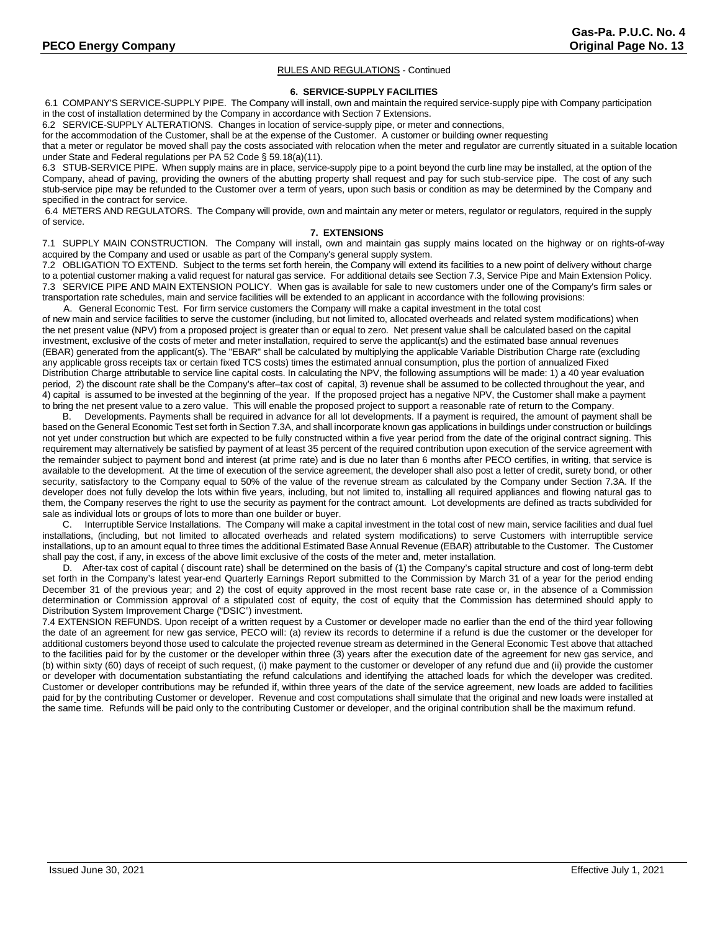#### **6. SERVICE-SUPPLY FACILITIES**

6.1 COMPANY'S SERVICE-SUPPLY PIPE. The Company will install, own and maintain the required service-supply pipe with Company participation in the cost of installation determined by the Company in accordance with Section 7 Extensions.

6.2 SERVICE-SUPPLY ALTERATIONS. Changes in location of service-supply pipe, or meter and connections,

for the accommodation of the Customer, shall be at the expense of the Customer. A customer or building owner requesting

that a meter or regulator be moved shall pay the costs associated with relocation when the meter and regulator are currently situated in a suitable location under State and Federal regulations per PA 52 Code § 59.18(a)(11).

6.3 STUB-SERVICE PIPE. When supply mains are in place, service-supply pipe to a point beyond the curb line may be installed, at the option of the Company, ahead of paving, providing the owners of the abutting property shall request and pay for such stub-service pipe. The cost of any such stub-service pipe may be refunded to the Customer over a term of years, upon such basis or condition as may be determined by the Company and specified in the contract for service.

6.4 METERS AND REGULATORS. The Company will provide, own and maintain any meter or meters, regulator or regulators, required in the supply of service.

# **7. EXTENSIONS**

7.1 SUPPLY MAIN CONSTRUCTION. The Company will install, own and maintain gas supply mains located on the highway or on rights-of-way acquired by the Company and used or usable as part of the Company's general supply system.

7.2 OBLIGATION TO EXTEND. Subject to the terms set forth herein, the Company will extend its facilities to a new point of delivery without charge to a potential customer making a valid request for natural gas service. For additional details see Section 7.3, Service Pipe and Main Extension Policy. 7.3 SERVICE PIPE AND MAIN EXTENSION POLICY. When gas is available for sale to new customers under one of the Company's firm sales or transportation rate schedules, main and service facilities will be extended to an applicant in accordance with the following provisions:

A. General Economic Test. For firm service customers the Company will make a capital investment in the total cost of new main and service facilities to serve the customer (including, but not limited to, allocated overheads and related system modifications) when the net present value (NPV) from a proposed project is greater than or equal to zero. Net present value shall be calculated based on the capital investment, exclusive of the costs of meter and meter installation, required to serve the applicant(s) and the estimated base annual revenues (EBAR) generated from the applicant(s). The "EBAR" shall be calculated by multiplying the applicable Variable Distribution Charge rate (excluding any applicable gross receipts tax or certain fixed TCS costs) times the estimated annual consumption, plus the portion of annualized Fixed Distribution Charge attributable to service line capital costs. In calculating the NPV, the following assumptions will be made: 1) a 40 year evaluation period, 2) the discount rate shall be the Company's after–tax cost of capital, 3) revenue shall be assumed to be collected throughout the year, and 4) capital is assumed to be invested at the beginning of the year. If the proposed project has a negative NPV, the Customer shall make a payment to bring the net present value to a zero value. This will enable the proposed project to support a reasonable rate of return to the Company.

B. Developments. Payments shall be required in advance for all lot developments. If a payment is required, the amount of payment shall be based on the General Economic Test set forth in Section 7.3A, and shall incorporate known gas applications in buildings under construction or buildings not yet under construction but which are expected to be fully constructed within a five year period from the date of the original contract signing. This requirement may alternatively be satisfied by payment of at least 35 percent of the required contribution upon execution of the service agreement with the remainder subject to payment bond and interest (at prime rate) and is due no later than 6 months after PECO certifies, in writing, that service is available to the development. At the time of execution of the service agreement, the developer shall also post a letter of credit, surety bond, or other security, satisfactory to the Company equal to 50% of the value of the revenue stream as calculated by the Company under Section 7.3A. If the developer does not fully develop the lots within five years, including, but not limited to, installing all required appliances and flowing natural gas to them, the Company reserves the right to use the security as payment for the contract amount. Lot developments are defined as tracts subdivided for sale as individual lots or groups of lots to more than one builder or buyer.

C. Interruptible Service Installations. The Company will make a capital investment in the total cost of new main, service facilities and dual fuel installations, (including, but not limited to allocated overheads and related system modifications) to serve Customers with interruptible service installations, up to an amount equal to three times the additional Estimated Base Annual Revenue (EBAR) attributable to the Customer. The Customer shall pay the cost, if any, in excess of the above limit exclusive of the costs of the meter and, meter installation.

 D. After-tax cost of capital ( discount rate) shall be determined on the basis of (1) the Company's capital structure and cost of long-term debt set forth in the Company's latest year-end Quarterly Earnings Report submitted to the Commission by March 31 of a year for the period ending December 31 of the previous year; and 2) the cost of equity approved in the most recent base rate case or, in the absence of a Commission determination or Commission approval of a stipulated cost of equity, the cost of equity that the Commission has determined should apply to Distribution System Improvement Charge ("DSIC") investment.

7.4 EXTENSION REFUNDS. Upon receipt of a written request by a Customer or developer made no earlier than the end of the third year following the date of an agreement for new gas service, PECO will: (a) review its records to determine if a refund is due the customer or the developer for additional customers beyond those used to calculate the projected revenue stream as determined in the General Economic Test above that attached to the facilities paid for by the customer or the developer within three (3) years after the execution date of the agreement for new gas service, and (b) within sixty (60) days of receipt of such request, (i) make payment to the customer or developer of any refund due and (ii) provide the customer or developer with documentation substantiating the refund calculations and identifying the attached loads for which the developer was credited. Customer or developer contributions may be refunded if, within three years of the date of the service agreement, new loads are added to facilities paid for by the contributing Customer or developer. Revenue and cost computations shall simulate that the original and new loads were installed at the same time. Refunds will be paid only to the contributing Customer or developer, and the original contribution shall be the maximum refund.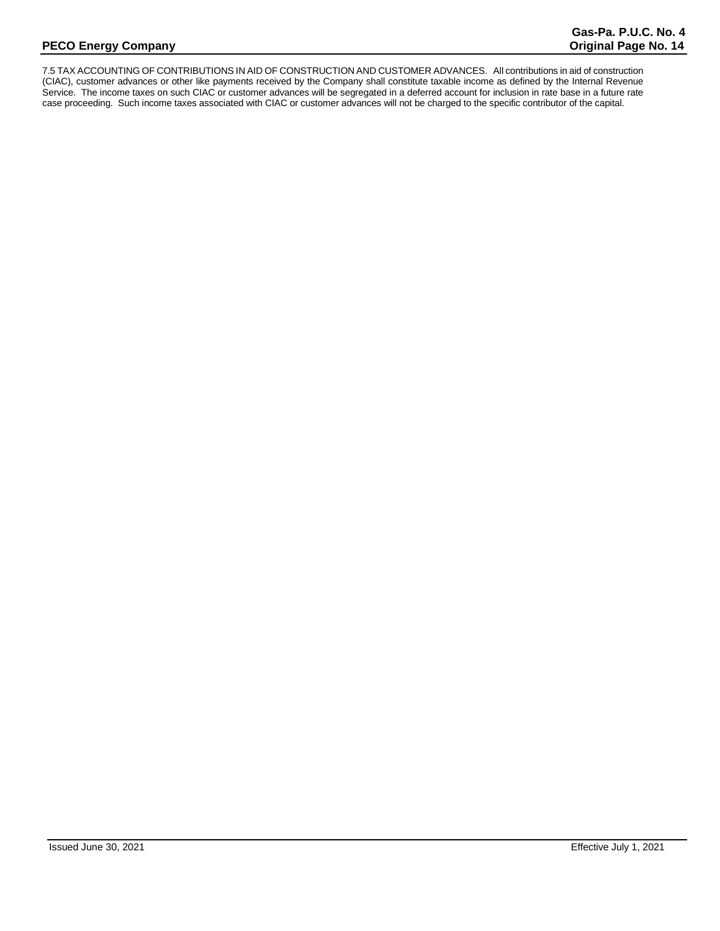7.5 TAX ACCOUNTING OF CONTRIBUTIONS IN AID OF CONSTRUCTION AND CUSTOMER ADVANCES. All contributions in aid of construction (CIAC), customer advances or other like payments received by the Company shall constitute taxable income as defined by the Internal Revenue Service. The income taxes on such CIAC or customer advances will be segregated in a deferred account for inclusion in rate base in a future rate case proceeding. Such income taxes associated with CIAC or customer advances will not be charged to the specific contributor of the capital.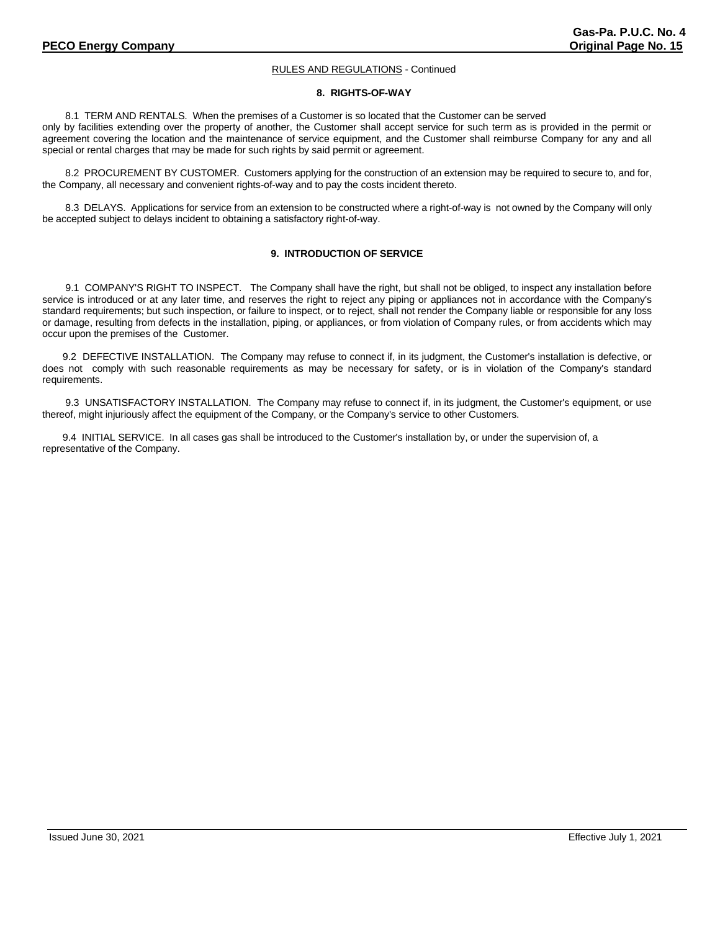# **8. RIGHTS-OF-WAY**

8.1 TERM AND RENTALS. When the premises of a Customer is so located that the Customer can be served only by facilities extending over the property of another, the Customer shall accept service for such term as is provided in the permit or agreement covering the location and the maintenance of service equipment, and the Customer shall reimburse Company for any and all special or rental charges that may be made for such rights by said permit or agreement.

8.2 PROCUREMENT BY CUSTOMER. Customers applying for the construction of an extension may be required to secure to, and for, the Company, all necessary and convenient rights-of-way and to pay the costs incident thereto.

8.3 DELAYS. Applications for service from an extension to be constructed where a right-of-way is not owned by the Company will only be accepted subject to delays incident to obtaining a satisfactory right-of-way.

# **9. INTRODUCTION OF SERVICE**

9.1 COMPANY'S RIGHT TO INSPECT. The Company shall have the right, but shall not be obliged, to inspect any installation before service is introduced or at any later time, and reserves the right to reject any piping or appliances not in accordance with the Company's standard requirements; but such inspection, or failure to inspect, or to reject, shall not render the Company liable or responsible for any loss or damage, resulting from defects in the installation, piping, or appliances, or from violation of Company rules, or from accidents which may occur upon the premises of the Customer.

9.2 DEFECTIVE INSTALLATION. The Company may refuse to connect if, in its judgment, the Customer's installation is defective, or does not comply with such reasonable requirements as may be necessary for safety, or is in violation of the Company's standard requirements.

9.3 UNSATISFACTORY INSTALLATION. The Company may refuse to connect if, in its judgment, the Customer's equipment, or use thereof, might injuriously affect the equipment of the Company, or the Company's service to other Customers.

9.4 INITIAL SERVICE. In all cases gas shall be introduced to the Customer's installation by, or under the supervision of, a representative of the Company.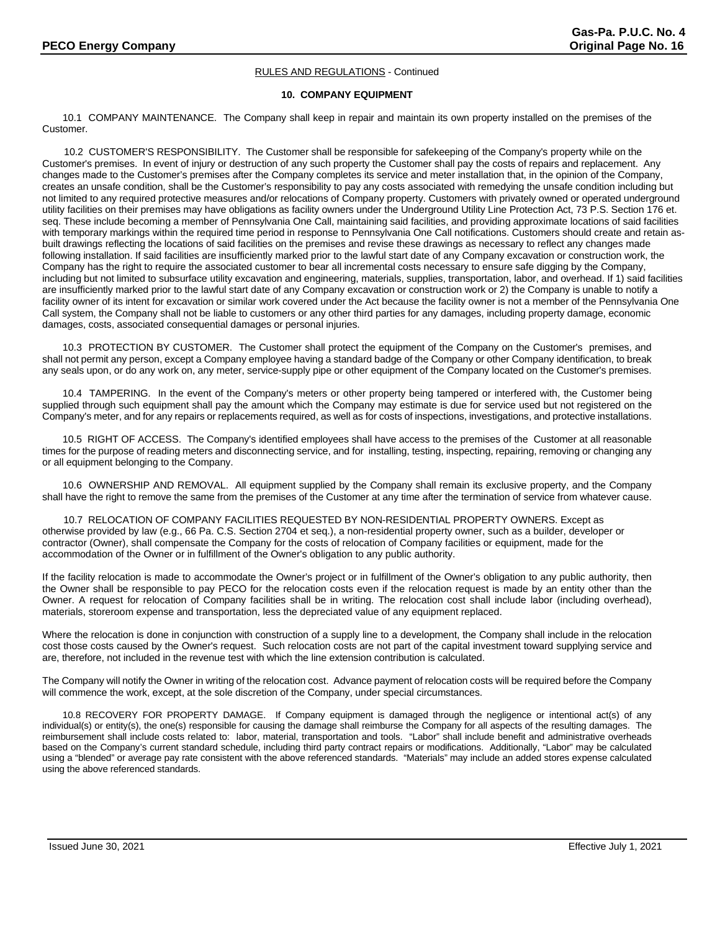# **10. COMPANY EQUIPMENT**

10.1 COMPANY MAINTENANCE. The Company shall keep in repair and maintain its own property installed on the premises of the Customer.

 10.2 CUSTOMER'S RESPONSIBILITY. The Customer shall be responsible for safekeeping of the Company's property while on the Customer's premises. In event of injury or destruction of any such property the Customer shall pay the costs of repairs and replacement. Any changes made to the Customer's premises after the Company completes its service and meter installation that, in the opinion of the Company, creates an unsafe condition, shall be the Customer's responsibility to pay any costs associated with remedying the unsafe condition including but not limited to any required protective measures and/or relocations of Company property. Customers with privately owned or operated underground utility facilities on their premises may have obligations as facility owners under the Underground Utility Line Protection Act, 73 P.S. Section 176 et. seq. These include becoming a member of Pennsylvania One Call, maintaining said facilities, and providing approximate locations of said facilities with temporary markings within the required time period in response to Pennsylvania One Call notifications. Customers should create and retain asbuilt drawings reflecting the locations of said facilities on the premises and revise these drawings as necessary to reflect any changes made following installation. If said facilities are insufficiently marked prior to the lawful start date of any Company excavation or construction work, the Company has the right to require the associated customer to bear all incremental costs necessary to ensure safe digging by the Company, including but not limited to subsurface utility excavation and engineering, materials, supplies, transportation, labor, and overhead. If 1) said facilities are insufficiently marked prior to the lawful start date of any Company excavation or construction work or 2) the Company is unable to notify a facility owner of its intent for excavation or similar work covered under the Act because the facility owner is not a member of the Pennsylvania One Call system, the Company shall not be liable to customers or any other third parties for any damages, including property damage, economic damages, costs, associated consequential damages or personal injuries.

10.3 PROTECTION BY CUSTOMER. The Customer shall protect the equipment of the Company on the Customer's premises, and shall not permit any person, except a Company employee having a standard badge of the Company or other Company identification, to break any seals upon, or do any work on, any meter, service-supply pipe or other equipment of the Company located on the Customer's premises.

10.4 TAMPERING. In the event of the Company's meters or other property being tampered or interfered with, the Customer being supplied through such equipment shall pay the amount which the Company may estimate is due for service used but not registered on the Company's meter, and for any repairs or replacements required, as well as for costs of inspections, investigations, and protective installations.

10.5 RIGHT OF ACCESS. The Company's identified employees shall have access to the premises of the Customer at all reasonable times for the purpose of reading meters and disconnecting service, and for installing, testing, inspecting, repairing, removing or changing any or all equipment belonging to the Company.

10.6 OWNERSHIP AND REMOVAL. All equipment supplied by the Company shall remain its exclusive property, and the Company shall have the right to remove the same from the premises of the Customer at any time after the termination of service from whatever cause.

10.7 RELOCATION OF COMPANY FACILITIES REQUESTED BY NON-RESIDENTIAL PROPERTY OWNERS. Except as otherwise provided by law (e.g., 66 Pa. C.S. Section 2704 et seq.), a non-residential property owner, such as a builder, developer or contractor (Owner), shall compensate the Company for the costs of relocation of Company facilities or equipment, made for the accommodation of the Owner or in fulfillment of the Owner's obligation to any public authority.

If the facility relocation is made to accommodate the Owner's project or in fulfillment of the Owner's obligation to any public authority, then the Owner shall be responsible to pay PECO for the relocation costs even if the relocation request is made by an entity other than the Owner. A request for relocation of Company facilities shall be in writing. The relocation cost shall include labor (including overhead), materials, storeroom expense and transportation, less the depreciated value of any equipment replaced.

Where the relocation is done in conjunction with construction of a supply line to a development, the Company shall include in the relocation cost those costs caused by the Owner's request. Such relocation costs are not part of the capital investment toward supplying service and are, therefore, not included in the revenue test with which the line extension contribution is calculated.

The Company will notify the Owner in writing of the relocation cost. Advance payment of relocation costs will be required before the Company will commence the work, except, at the sole discretion of the Company, under special circumstances.

10.8 RECOVERY FOR PROPERTY DAMAGE. If Company equipment is damaged through the negligence or intentional act(s) of any individual(s) or entity(s), the one(s) responsible for causing the damage shall reimburse the Company for all aspects of the resulting damages. The reimbursement shall include costs related to: labor, material, transportation and tools. "Labor" shall include benefit and administrative overheads based on the Company's current standard schedule, including third party contract repairs or modifications. Additionally, "Labor" may be calculated using a "blended" or average pay rate consistent with the above referenced standards. "Materials" may include an added stores expense calculated using the above referenced standards.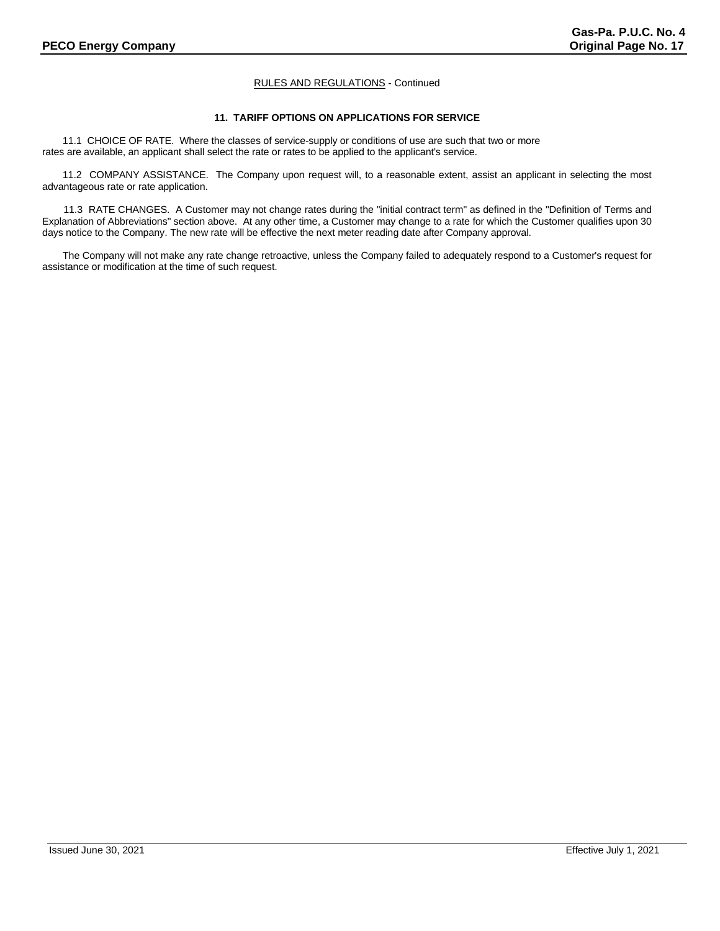# **11. TARIFF OPTIONS ON APPLICATIONS FOR SERVICE**

11.1 CHOICE OF RATE. Where the classes of service-supply or conditions of use are such that two or more rates are available, an applicant shall select the rate or rates to be applied to the applicant's service.

11.2 COMPANY ASSISTANCE. The Company upon request will, to a reasonable extent, assist an applicant in selecting the most advantageous rate or rate application.

11.3 RATE CHANGES. A Customer may not change rates during the "initial contract term" as defined in the "Definition of Terms and Explanation of Abbreviations" section above. At any other time, a Customer may change to a rate for which the Customer qualifies upon 30 days notice to the Company. The new rate will be effective the next meter reading date after Company approval.

The Company will not make any rate change retroactive, unless the Company failed to adequately respond to a Customer's request for assistance or modification at the time of such request.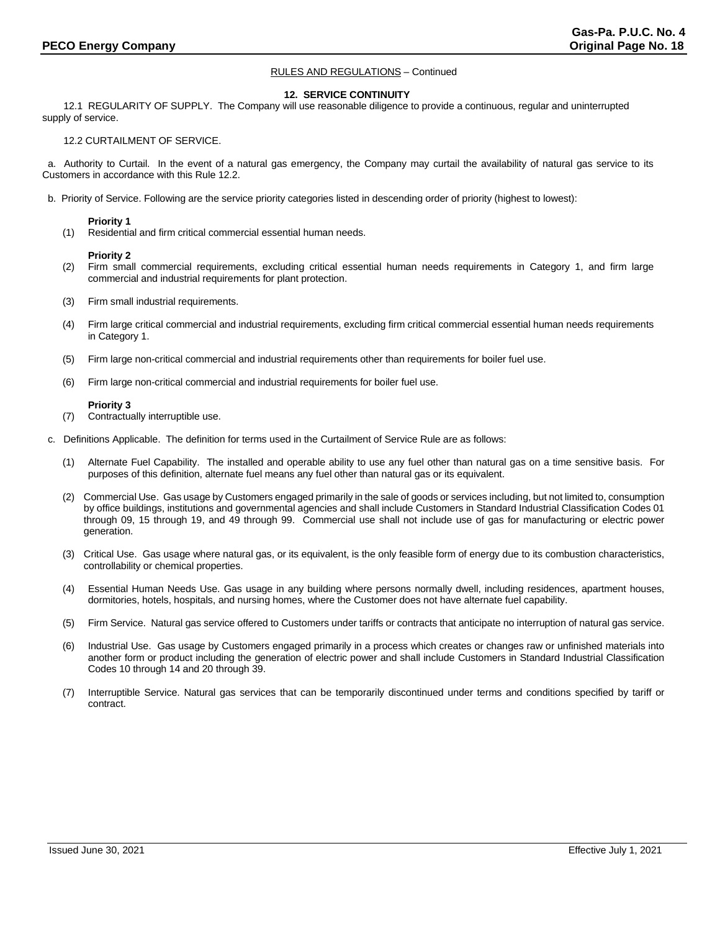#### **12. SERVICE CONTINUITY**

12.1 REGULARITY OF SUPPLY. The Company will use reasonable diligence to provide a continuous, regular and uninterrupted supply of service.

# 12.2 CURTAILMENT OF SERVICE.

 a. Authority to Curtail. In the event of a natural gas emergency, the Company may curtail the availability of natural gas service to its Customers in accordance with this Rule 12.2.

b. Priority of Service. Following are the service priority categories listed in descending order of priority (highest to lowest):

# **Priority 1**

(1) Residential and firm critical commercial essential human needs.

#### **Priority 2**

- (2) Firm small commercial requirements, excluding critical essential human needs requirements in Category 1, and firm large commercial and industrial requirements for plant protection.
- (3) Firm small industrial requirements.
- (4) Firm large critical commercial and industrial requirements, excluding firm critical commercial essential human needs requirements in Category 1.
- (5) Firm large non-critical commercial and industrial requirements other than requirements for boiler fuel use.
- (6) Firm large non-critical commercial and industrial requirements for boiler fuel use.

### **Priority 3**

- (7) Contractually interruptible use.
- c. Definitions Applicable. The definition for terms used in the Curtailment of Service Rule are as follows:
	- (1) Alternate Fuel Capability. The installed and operable ability to use any fuel other than natural gas on a time sensitive basis. For purposes of this definition, alternate fuel means any fuel other than natural gas or its equivalent.
	- (2) Commercial Use. Gas usage by Customers engaged primarily in the sale of goods or services including, but not limited to, consumption by office buildings, institutions and governmental agencies and shall include Customers in Standard Industrial Classification Codes 01 through 09, 15 through 19, and 49 through 99. Commercial use shall not include use of gas for manufacturing or electric power generation.
	- (3) Critical Use. Gas usage where natural gas, or its equivalent, is the only feasible form of energy due to its combustion characteristics, controllability or chemical properties.
	- (4) Essential Human Needs Use. Gas usage in any building where persons normally dwell, including residences, apartment houses, dormitories, hotels, hospitals, and nursing homes, where the Customer does not have alternate fuel capability.
	- (5) Firm Service. Natural gas service offered to Customers under tariffs or contracts that anticipate no interruption of natural gas service.
	- (6) Industrial Use. Gas usage by Customers engaged primarily in a process which creates or changes raw or unfinished materials into another form or product including the generation of electric power and shall include Customers in Standard Industrial Classification Codes 10 through 14 and 20 through 39.
	- (7) Interruptible Service. Natural gas services that can be temporarily discontinued under terms and conditions specified by tariff or contract.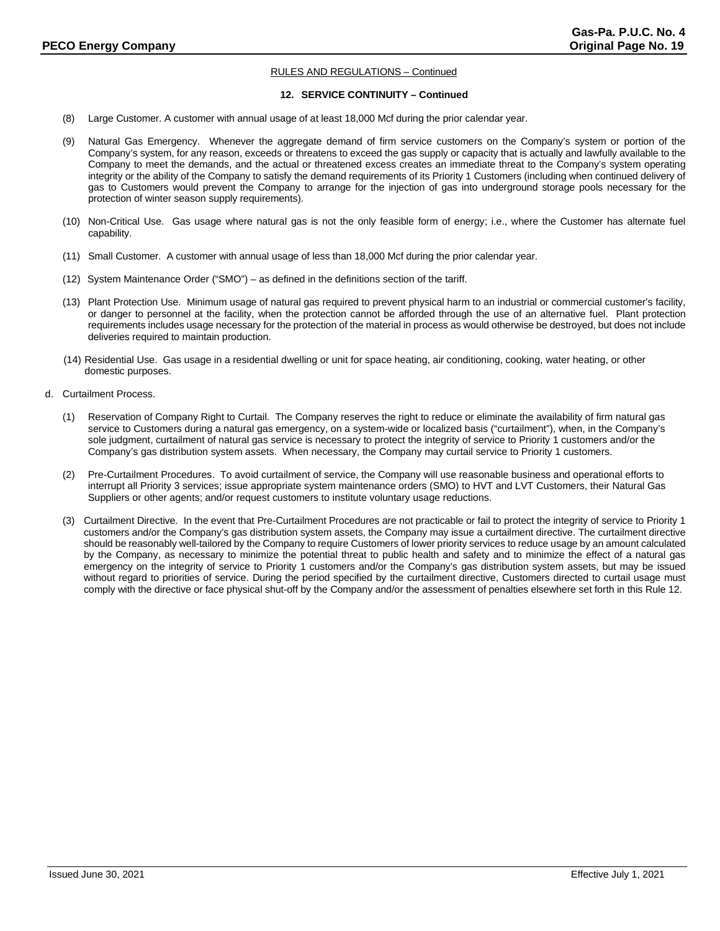# **12. SERVICE CONTINUITY – Continued**

- (8) Large Customer. A customer with annual usage of at least 18,000 Mcf during the prior calendar year.
- (9) Natural Gas Emergency. Whenever the aggregate demand of firm service customers on the Company's system or portion of the Company's system, for any reason, exceeds or threatens to exceed the gas supply or capacity that is actually and lawfully available to the Company to meet the demands, and the actual or threatened excess creates an immediate threat to the Company's system operating integrity or the ability of the Company to satisfy the demand requirements of its Priority 1 Customers (including when continued delivery of gas to Customers would prevent the Company to arrange for the injection of gas into underground storage pools necessary for the protection of winter season supply requirements).
- (10) Non-Critical Use. Gas usage where natural gas is not the only feasible form of energy; i.e., where the Customer has alternate fuel capability.
- (11) Small Customer. A customer with annual usage of less than 18,000 Mcf during the prior calendar year.
- (12) System Maintenance Order ("SMO") as defined in the definitions section of the tariff.
- (13) Plant Protection Use. Minimum usage of natural gas required to prevent physical harm to an industrial or commercial customer's facility, or danger to personnel at the facility, when the protection cannot be afforded through the use of an alternative fuel. Plant protection requirements includes usage necessary for the protection of the material in process as would otherwise be destroyed, but does not include deliveries required to maintain production.
- (14) Residential Use. Gas usage in a residential dwelling or unit for space heating, air conditioning, cooking, water heating, or other domestic purposes.
- d. Curtailment Process.
	- (1) Reservation of Company Right to Curtail. The Company reserves the right to reduce or eliminate the availability of firm natural gas service to Customers during a natural gas emergency, on a system-wide or localized basis ("curtailment"), when, in the Company's sole judgment, curtailment of natural gas service is necessary to protect the integrity of service to Priority 1 customers and/or the Company's gas distribution system assets. When necessary, the Company may curtail service to Priority 1 customers.
	- (2) Pre-Curtailment Procedures. To avoid curtailment of service, the Company will use reasonable business and operational efforts to interrupt all Priority 3 services; issue appropriate system maintenance orders (SMO) to HVT and LVT Customers, their Natural Gas Suppliers or other agents; and/or request customers to institute voluntary usage reductions.
	- (3) Curtailment Directive. In the event that Pre-Curtailment Procedures are not practicable or fail to protect the integrity of service to Priority 1 customers and/or the Company's gas distribution system assets, the Company may issue a curtailment directive. The curtailment directive should be reasonably well-tailored by the Company to require Customers of lower priority services to reduce usage by an amount calculated by the Company, as necessary to minimize the potential threat to public health and safety and to minimize the effect of a natural gas emergency on the integrity of service to Priority 1 customers and/or the Company's gas distribution system assets, but may be issued without regard to priorities of service. During the period specified by the curtailment directive, Customers directed to curtail usage must comply with the directive or face physical shut-off by the Company and/or the assessment of penalties elsewhere set forth in this Rule 12.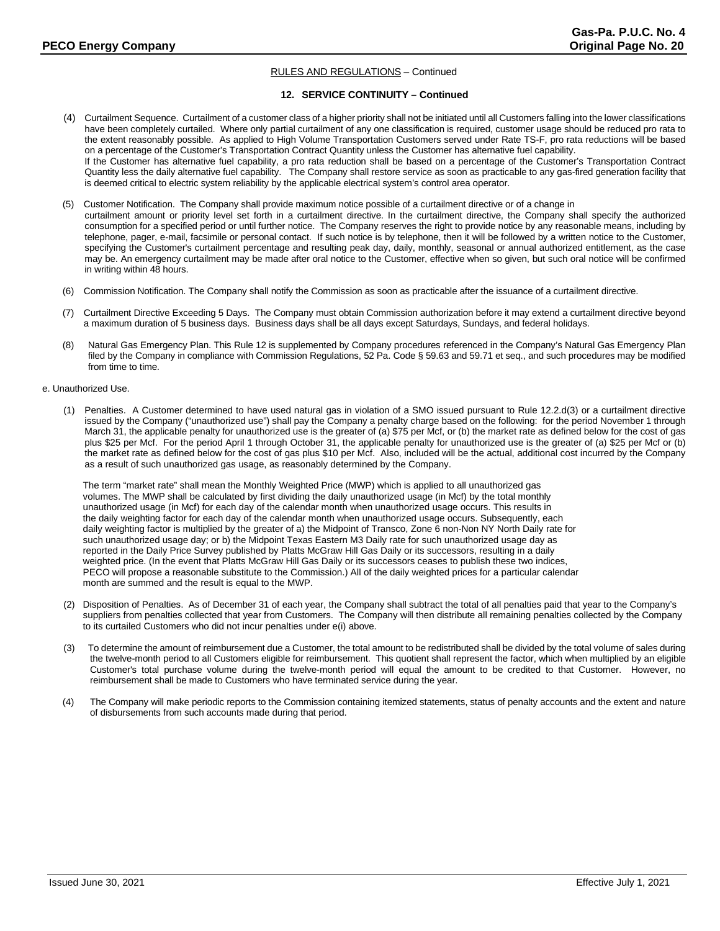# **12. SERVICE CONTINUITY – Continued**

- (4) Curtailment Sequence. Curtailment of a customer class of a higher priority shall not be initiated until all Customers falling into the lower classifications have been completely curtailed. Where only partial curtailment of any one classification is required, customer usage should be reduced pro rata to the extent reasonably possible. As applied to High Volume Transportation Customers served under Rate TS-F, pro rata reductions will be based on a percentage of the Customer's Transportation Contract Quantity unless the Customer has alternative fuel capability. If the Customer has alternative fuel capability, a pro rata reduction shall be based on a percentage of the Customer's Transportation Contract Quantity less the daily alternative fuel capability. The Company shall restore service as soon as practicable to any gas-fired generation facility that is deemed critical to electric system reliability by the applicable electrical system's control area operator.
- (5) Customer Notification. The Company shall provide maximum notice possible of a curtailment directive or of a change in curtailment amount or priority level set forth in a curtailment directive. In the curtailment directive, the Company shall specify the authorized consumption for a specified period or until further notice. The Company reserves the right to provide notice by any reasonable means, including by telephone, pager, e-mail, facsimile or personal contact. If such notice is by telephone, then it will be followed by a written notice to the Customer, specifying the Customer's curtailment percentage and resulting peak day, daily, monthly, seasonal or annual authorized entitlement, as the case may be. An emergency curtailment may be made after oral notice to the Customer, effective when so given, but such oral notice will be confirmed in writing within 48 hours.
- (6) Commission Notification. The Company shall notify the Commission as soon as practicable after the issuance of a curtailment directive.
- (7) Curtailment Directive Exceeding 5 Days. The Company must obtain Commission authorization before it may extend a curtailment directive beyond a maximum duration of 5 business days. Business days shall be all days except Saturdays, Sundays, and federal holidays.
- (8) Natural Gas Emergency Plan. This Rule 12 is supplemented by Company procedures referenced in the Company's Natural Gas Emergency Plan filed by the Company in compliance with Commission Regulations, 52 Pa. Code § 59.63 and 59.71 et seq., and such procedures may be modified from time to time.

# e. Unauthorized Use.

(1) Penalties. A Customer determined to have used natural gas in violation of a SMO issued pursuant to Rule 12.2.d(3) or a curtailment directive issued by the Company ("unauthorized use") shall pay the Company a penalty charge based on the following: for the period November 1 through March 31, the applicable penalty for unauthorized use is the greater of (a) \$75 per Mcf, or (b) the market rate as defined below for the cost of gas plus \$25 per Mcf. For the period April 1 through October 31, the applicable penalty for unauthorized use is the greater of (a) \$25 per Mcf or (b) the market rate as defined below for the cost of gas plus \$10 per Mcf. Also, included will be the actual, additional cost incurred by the Company as a result of such unauthorized gas usage, as reasonably determined by the Company.

The term "market rate" shall mean the Monthly Weighted Price (MWP) which is applied to all unauthorized gas volumes. The MWP shall be calculated by first dividing the daily unauthorized usage (in Mcf) by the total monthly unauthorized usage (in Mcf) for each day of the calendar month when unauthorized usage occurs. This results in the daily weighting factor for each day of the calendar month when unauthorized usage occurs. Subsequently, each daily weighting factor is multiplied by the greater of a) the Midpoint of Transco, Zone 6 non-Non NY North Daily rate for such unauthorized usage day; or b) the Midpoint Texas Eastern M3 Daily rate for such unauthorized usage day as reported in the Daily Price Survey published by Platts McGraw Hill Gas Daily or its successors, resulting in a daily weighted price. (In the event that Platts McGraw Hill Gas Daily or its successors ceases to publish these two indices, PECO will propose a reasonable substitute to the Commission.) All of the daily weighted prices for a particular calendar month are summed and the result is equal to the MWP.

- (2) Disposition of Penalties. As of December 31 of each year, the Company shall subtract the total of all penalties paid that year to the Company's suppliers from penalties collected that year from Customers. The Company will then distribute all remaining penalties collected by the Company to its curtailed Customers who did not incur penalties under e(i) above.
- (3) To determine the amount of reimbursement due a Customer, the total amount to be redistributed shall be divided by the total volume of sales during the twelve-month period to all Customers eligible for reimbursement. This quotient shall represent the factor, which when multiplied by an eligible Customer's total purchase volume during the twelve-month period will equal the amount to be credited to that Customer. However, no reimbursement shall be made to Customers who have terminated service during the year.
- (4) The Company will make periodic reports to the Commission containing itemized statements, status of penalty accounts and the extent and nature of disbursements from such accounts made during that period.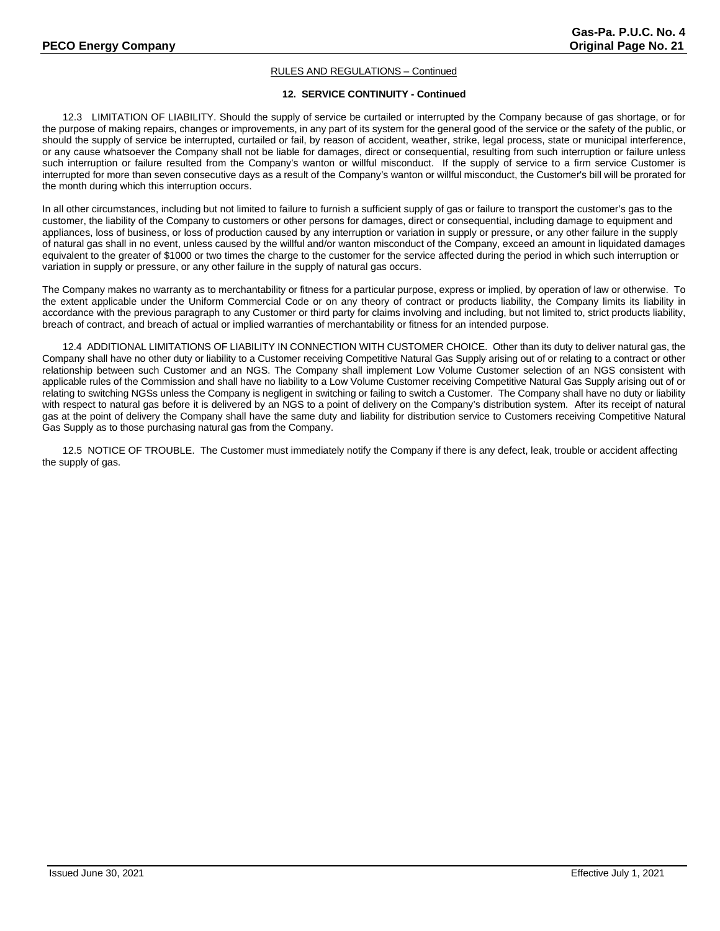# **12. SERVICE CONTINUITY - Continued**

12.3 LIMITATION OF LIABILITY. Should the supply of service be curtailed or interrupted by the Company because of gas shortage, or for the purpose of making repairs, changes or improvements, in any part of its system for the general good of the service or the safety of the public, or should the supply of service be interrupted, curtailed or fail, by reason of accident, weather, strike, legal process, state or municipal interference, or any cause whatsoever the Company shall not be liable for damages, direct or consequential, resulting from such interruption or failure unless such interruption or failure resulted from the Company's wanton or willful misconduct. If the supply of service to a firm service Customer is interrupted for more than seven consecutive days as a result of the Company's wanton or willful misconduct, the Customer's bill will be prorated for the month during which this interruption occurs.

In all other circumstances, including but not limited to failure to furnish a sufficient supply of gas or failure to transport the customer's gas to the customer, the liability of the Company to customers or other persons for damages, direct or consequential, including damage to equipment and appliances, loss of business, or loss of production caused by any interruption or variation in supply or pressure, or any other failure in the supply of natural gas shall in no event, unless caused by the willful and/or wanton misconduct of the Company, exceed an amount in liquidated damages equivalent to the greater of \$1000 or two times the charge to the customer for the service affected during the period in which such interruption or variation in supply or pressure, or any other failure in the supply of natural gas occurs.

The Company makes no warranty as to merchantability or fitness for a particular purpose, express or implied, by operation of law or otherwise. To the extent applicable under the Uniform Commercial Code or on any theory of contract or products liability, the Company limits its liability in accordance with the previous paragraph to any Customer or third party for claims involving and including, but not limited to, strict products liability, breach of contract, and breach of actual or implied warranties of merchantability or fitness for an intended purpose.

12.4 ADDITIONAL LIMITATIONS OF LIABILITY IN CONNECTION WITH CUSTOMER CHOICE. Other than its duty to deliver natural gas, the Company shall have no other duty or liability to a Customer receiving Competitive Natural Gas Supply arising out of or relating to a contract or other relationship between such Customer and an NGS. The Company shall implement Low Volume Customer selection of an NGS consistent with applicable rules of the Commission and shall have no liability to a Low Volume Customer receiving Competitive Natural Gas Supply arising out of or relating to switching NGSs unless the Company is negligent in switching or failing to switch a Customer. The Company shall have no duty or liability with respect to natural gas before it is delivered by an NGS to a point of delivery on the Company's distribution system. After its receipt of natural gas at the point of delivery the Company shall have the same duty and liability for distribution service to Customers receiving Competitive Natural Gas Supply as to those purchasing natural gas from the Company.

12.5 NOTICE OF TROUBLE. The Customer must immediately notify the Company if there is any defect, leak, trouble or accident affecting the supply of gas.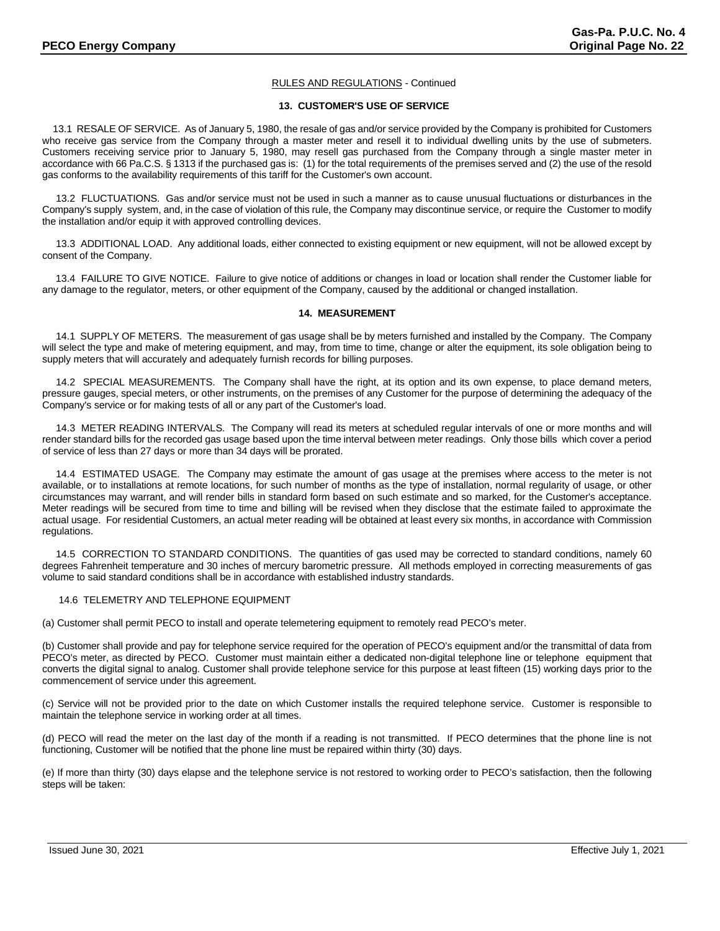# **13. CUSTOMER'S USE OF SERVICE**

13.1 RESALE OF SERVICE. As of January 5, 1980, the resale of gas and/or service provided by the Company is prohibited for Customers who receive gas service from the Company through a master meter and resell it to individual dwelling units by the use of submeters. Customers receiving service prior to January 5, 1980, may resell gas purchased from the Company through a single master meter in accordance with 66 Pa.C.S. § 1313 if the purchased gas is: (1) for the total requirements of the premises served and (2) the use of the resold gas conforms to the availability requirements of this tariff for the Customer's own account.

 13.2 FLUCTUATIONS. Gas and/or service must not be used in such a manner as to cause unusual fluctuations or disturbances in the Company's supply system, and, in the case of violation of this rule, the Company may discontinue service, or require the Customer to modify the installation and/or equip it with approved controlling devices.

 13.3 ADDITIONAL LOAD. Any additional loads, either connected to existing equipment or new equipment, will not be allowed except by consent of the Company.

 13.4 FAILURE TO GIVE NOTICE. Failure to give notice of additions or changes in load or location shall render the Customer liable for any damage to the regulator, meters, or other equipment of the Company, caused by the additional or changed installation.

### **14. MEASUREMENT**

 14.1 SUPPLY OF METERS. The measurement of gas usage shall be by meters furnished and installed by the Company. The Company will select the type and make of metering equipment, and may, from time to time, change or alter the equipment, its sole obligation being to supply meters that will accurately and adequately furnish records for billing purposes.

 14.2 SPECIAL MEASUREMENTS. The Company shall have the right, at its option and its own expense, to place demand meters, pressure gauges, special meters, or other instruments, on the premises of any Customer for the purpose of determining the adequacy of the Company's service or for making tests of all or any part of the Customer's load.

 14.3 METER READING INTERVALS. The Company will read its meters at scheduled regular intervals of one or more months and will render standard bills for the recorded gas usage based upon the time interval between meter readings. Only those bills which cover a period of service of less than 27 days or more than 34 days will be prorated.

 14.4 ESTIMATED USAGE. The Company may estimate the amount of gas usage at the premises where access to the meter is not available, or to installations at remote locations, for such number of months as the type of installation, normal regularity of usage, or other circumstances may warrant, and will render bills in standard form based on such estimate and so marked, for the Customer's acceptance. Meter readings will be secured from time to time and billing will be revised when they disclose that the estimate failed to approximate the actual usage. For residential Customers, an actual meter reading will be obtained at least every six months, in accordance with Commission regulations.

 14.5 CORRECTION TO STANDARD CONDITIONS. The quantities of gas used may be corrected to standard conditions, namely 60 degrees Fahrenheit temperature and 30 inches of mercury barometric pressure. All methods employed in correcting measurements of gas volume to said standard conditions shall be in accordance with established industry standards.

# 14.6 TELEMETRY AND TELEPHONE EQUIPMENT

(a) Customer shall permit PECO to install and operate telemetering equipment to remotely read PECO's meter.

(b) Customer shall provide and pay for telephone service required for the operation of PECO's equipment and/or the transmittal of data from PECO's meter, as directed by PECO. Customer must maintain either a dedicated non-digital telephone line or telephone equipment that converts the digital signal to analog. Customer shall provide telephone service for this purpose at least fifteen (15) working days prior to the commencement of service under this agreement.

(c) Service will not be provided prior to the date on which Customer installs the required telephone service. Customer is responsible to maintain the telephone service in working order at all times.

(d) PECO will read the meter on the last day of the month if a reading is not transmitted. If PECO determines that the phone line is not functioning, Customer will be notified that the phone line must be repaired within thirty (30) days.

(e) If more than thirty (30) days elapse and the telephone service is not restored to working order to PECO's satisfaction, then the following steps will be taken: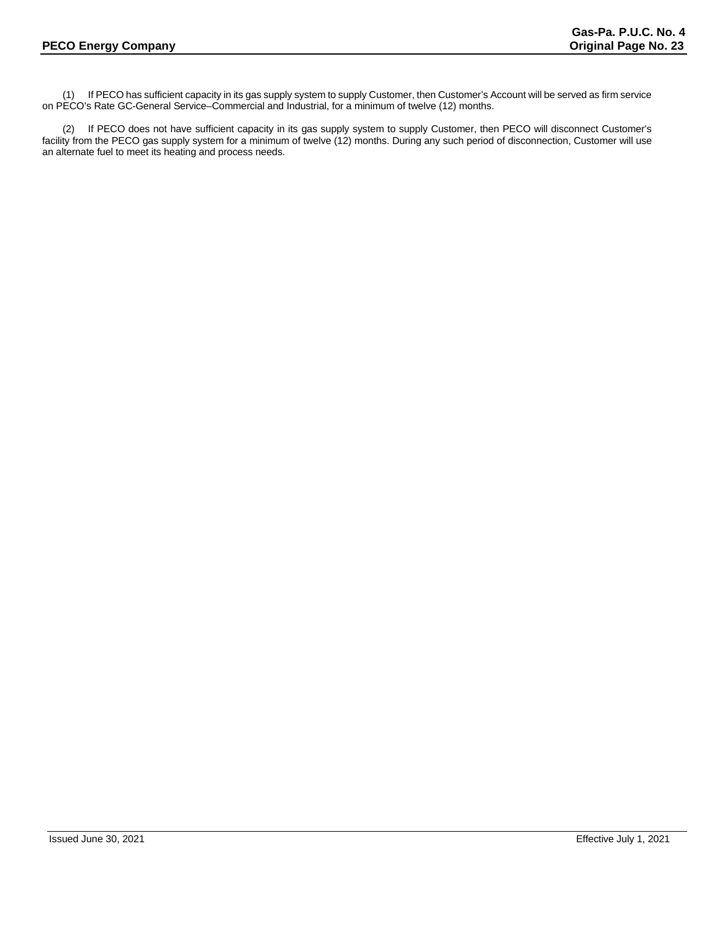(1) If PECO has sufficient capacity in its gas supply system to supply Customer, then Customer's Account will be served as firm service on PECO's Rate GC-General Service–Commercial and Industrial, for a minimum of twelve (12) months.

(2) If PECO does not have sufficient capacity in its gas supply system to supply Customer, then PECO will disconnect Customer's facility from the PECO gas supply system for a minimum of twelve (12) months. During any such period of disconnection, Customer will use an alternate fuel to meet its heating and process needs.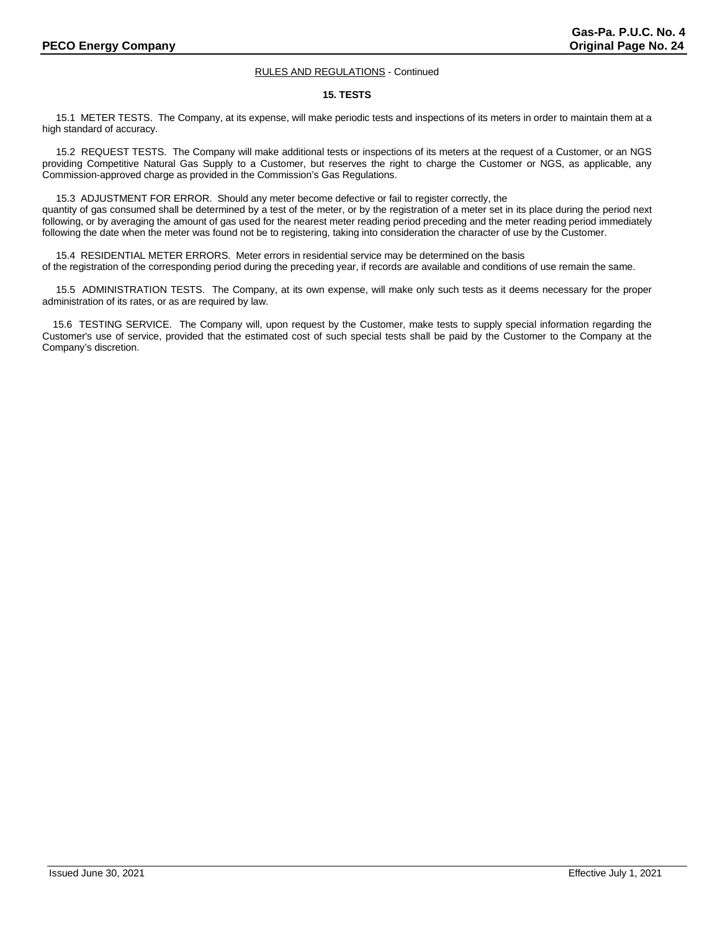# **15. TESTS**

 15.1 METER TESTS. The Company, at its expense, will make periodic tests and inspections of its meters in order to maintain them at a high standard of accuracy.

 15.2 REQUEST TESTS. The Company will make additional tests or inspections of its meters at the request of a Customer, or an NGS providing Competitive Natural Gas Supply to a Customer, but reserves the right to charge the Customer or NGS, as applicable, any Commission-approved charge as provided in the Commission's Gas Regulations.

 15.3 ADJUSTMENT FOR ERROR. Should any meter become defective or fail to register correctly, the quantity of gas consumed shall be determined by a test of the meter, or by the registration of a meter set in its place during the period next following, or by averaging the amount of gas used for the nearest meter reading period preceding and the meter reading period immediately following the date when the meter was found not be to registering, taking into consideration the character of use by the Customer.

 15.4 RESIDENTIAL METER ERRORS. Meter errors in residential service may be determined on the basis of the registration of the corresponding period during the preceding year, if records are available and conditions of use remain the same.

 15.5 ADMINISTRATION TESTS. The Company, at its own expense, will make only such tests as it deems necessary for the proper administration of its rates, or as are required by law.

15.6 TESTING SERVICE. The Company will, upon request by the Customer, make tests to supply special information regarding the Customer's use of service, provided that the estimated cost of such special tests shall be paid by the Customer to the Company at the Company's discretion.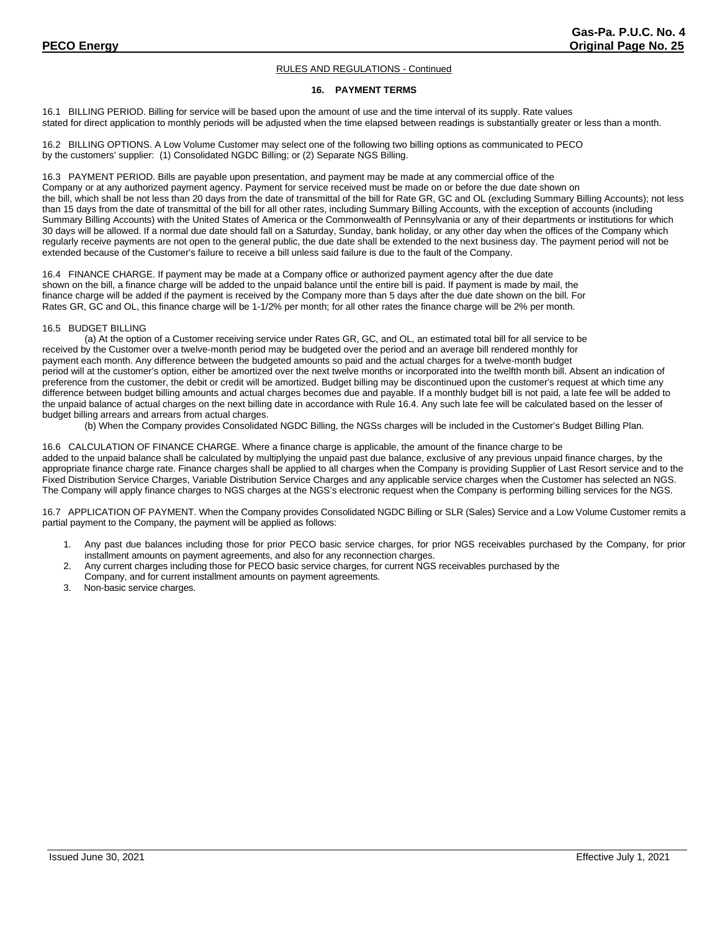# **16. PAYMENT TERMS**

16.1 BILLING PERIOD. Billing for service will be based upon the amount of use and the time interval of its supply. Rate values stated for direct application to monthly periods will be adjusted when the time elapsed between readings is substantially greater or less than a month.

16.2 BILLING OPTIONS. A Low Volume Customer may select one of the following two billing options as communicated to PECO by the customers' supplier: (1) Consolidated NGDC Billing; or (2) Separate NGS Billing.

16.3 PAYMENT PERIOD. Bills are payable upon presentation, and payment may be made at any commercial office of the Company or at any authorized payment agency. Payment for service received must be made on or before the due date shown on the bill, which shall be not less than 20 days from the date of transmittal of the bill for Rate GR, GC and OL (excluding Summary Billing Accounts); not less than 15 days from the date of transmittal of the bill for all other rates, including Summary Billing Accounts, with the exception of accounts (including Summary Billing Accounts) with the United States of America or the Commonwealth of Pennsylvania or any of their departments or institutions for which 30 days will be allowed. If a normal due date should fall on a Saturday, Sunday, bank holiday, or any other day when the offices of the Company which regularly receive payments are not open to the general public, the due date shall be extended to the next business day. The payment period will not be extended because of the Customer's failure to receive a bill unless said failure is due to the fault of the Company.

16.4 FINANCE CHARGE. If payment may be made at a Company office or authorized payment agency after the due date shown on the bill, a finance charge will be added to the unpaid balance until the entire bill is paid. If payment is made by mail, the finance charge will be added if the payment is received by the Company more than 5 days after the due date shown on the bill. For Rates GR, GC and OL, this finance charge will be 1-1/2% per month; for all other rates the finance charge will be 2% per month.

#### 16.5 BUDGET BILLING

(a) At the option of a Customer receiving service under Rates GR, GC, and OL, an estimated total bill for all service to be received by the Customer over a twelve-month period may be budgeted over the period and an average bill rendered monthly for payment each month. Any difference between the budgeted amounts so paid and the actual charges for a twelve-month budget period will at the customer's option, either be amortized over the next twelve months or incorporated into the twelfth month bill. Absent an indication of preference from the customer, the debit or credit will be amortized. Budget billing may be discontinued upon the customer's request at which time any difference between budget billing amounts and actual charges becomes due and payable. If a monthly budget bill is not paid, a late fee will be added to the unpaid balance of actual charges on the next billing date in accordance with Rule 16.4. Any such late fee will be calculated based on the lesser of budget billing arrears and arrears from actual charges.

(b) When the Company provides Consolidated NGDC Billing, the NGSs charges will be included in the Customer's Budget Billing Plan.

16.6 CALCULATION OF FINANCE CHARGE. Where a finance charge is applicable, the amount of the finance charge to be added to the unpaid balance shall be calculated by multiplying the unpaid past due balance, exclusive of any previous unpaid finance charges, by the appropriate finance charge rate. Finance charges shall be applied to all charges when the Company is providing Supplier of Last Resort service and to the Fixed Distribution Service Charges, Variable Distribution Service Charges and any applicable service charges when the Customer has selected an NGS. The Company will apply finance charges to NGS charges at the NGS's electronic request when the Company is performing billing services for the NGS.

16.7 APPLICATION OF PAYMENT. When the Company provides Consolidated NGDC Billing or SLR (Sales) Service and a Low Volume Customer remits a partial payment to the Company, the payment will be applied as follows:

- 1. Any past due balances including those for prior PECO basic service charges, for prior NGS receivables purchased by the Company, for prior installment amounts on payment agreements, and also for any reconnection charges.
- 2. Any current charges including those for PECO basic service charges, for current NGS receivables purchased by the Company, and for current installment amounts on payment agreements.
- 3. Non-basic service charges.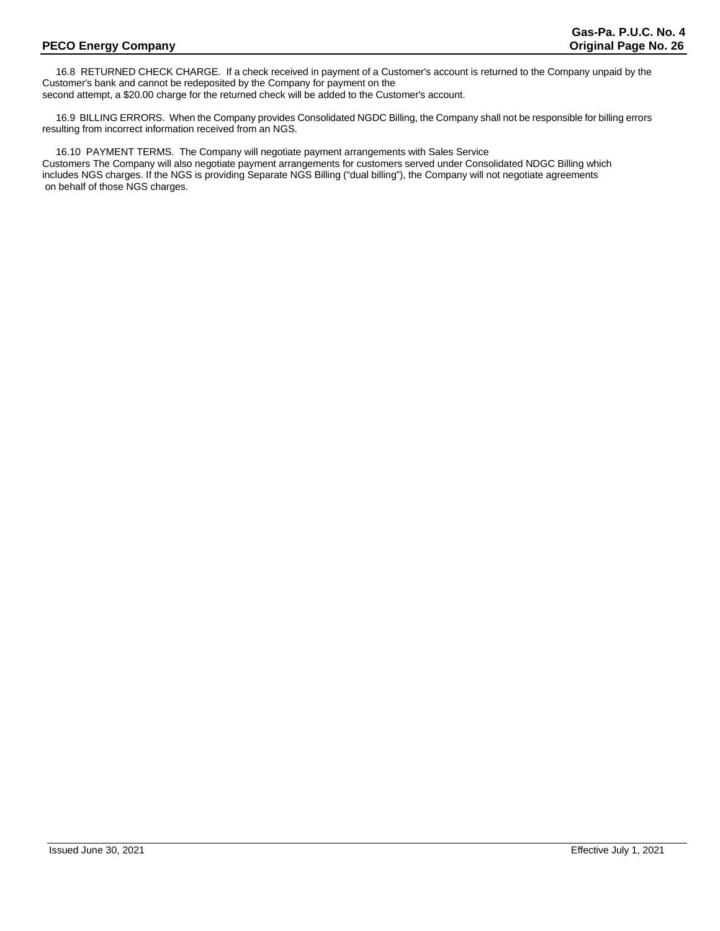16.8 RETURNED CHECK CHARGE. If a check received in payment of a Customer's account is returned to the Company unpaid by the Customer's bank and cannot be redeposited by the Company for payment on the second attempt, a \$20.00 charge for the returned check will be added to the Customer's account.

 16.9 BILLING ERRORS. When the Company provides Consolidated NGDC Billing, the Company shall not be responsible for billing errors resulting from incorrect information received from an NGS.

 16.10 PAYMENT TERMS. The Company will negotiate payment arrangements with Sales Service Customers The Company will also negotiate payment arrangements for customers served under Consolidated NDGC Billing which includes NGS charges. If the NGS is providing Separate NGS Billing ("dual billing"), the Company will not negotiate agreements on behalf of those NGS charges.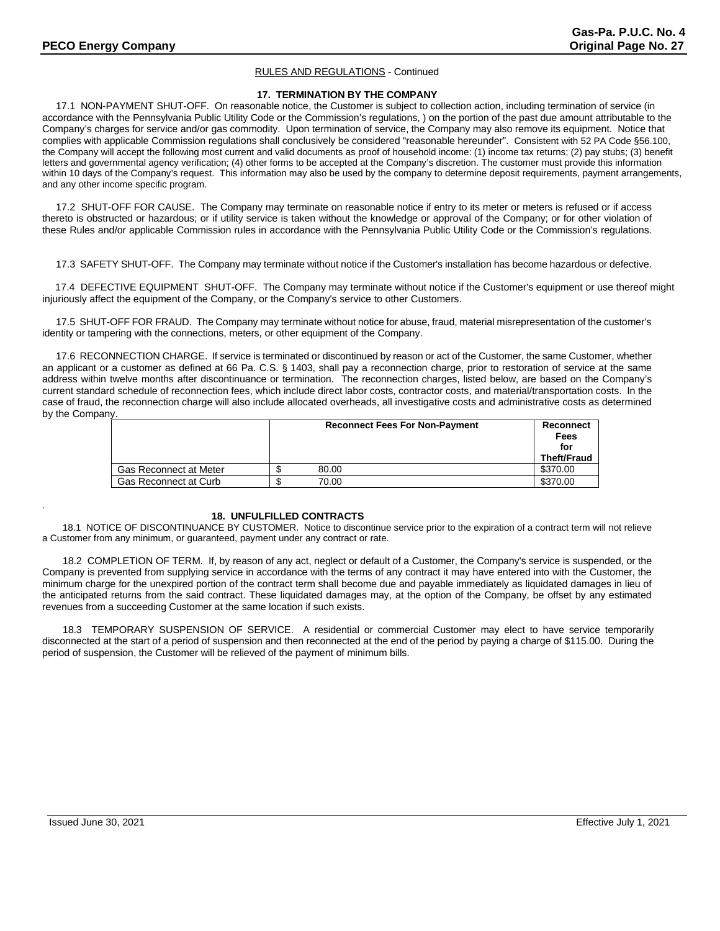# **17. TERMINATION BY THE COMPANY**

 17.1 NON-PAYMENT SHUT-OFF. On reasonable notice, the Customer is subject to collection action, including termination of service (in accordance with the Pennsylvania Public Utility Code or the Commission's regulations, ) on the portion of the past due amount attributable to the Company's charges for service and/or gas commodity. Upon termination of service, the Company may also remove its equipment. Notice that complies with applicable Commission regulations shall conclusively be considered "reasonable hereunder". Consistent with 52 PA Code §56.100, the Company will accept the following most current and valid documents as proof of household income: (1) income tax returns; (2) pay stubs; (3) benefit letters and governmental agency verification; (4) other forms to be accepted at the Company's discretion. The customer must provide this information within 10 days of the Company's request. This information may also be used by the company to determine deposit requirements, payment arrangements, and any other income specific program.

 17.2 SHUT-OFF FOR CAUSE. The Company may terminate on reasonable notice if entry to its meter or meters is refused or if access thereto is obstructed or hazardous; or if utility service is taken without the knowledge or approval of the Company; or for other violation of these Rules and/or applicable Commission rules in accordance with the Pennsylvania Public Utility Code or the Commission's regulations.

17.3 SAFETY SHUT-OFF. The Company may terminate without notice if the Customer's installation has become hazardous or defective.

 17.4 DEFECTIVE EQUIPMENT SHUT-OFF. The Company may terminate without notice if the Customer's equipment or use thereof might injuriously affect the equipment of the Company, or the Company's service to other Customers.

 17.5 SHUT-OFF FOR FRAUD. The Company may terminate without notice for abuse, fraud, material misrepresentation of the customer's identity or tampering with the connections, meters, or other equipment of the Company.

 17.6 RECONNECTION CHARGE. If service is terminated or discontinued by reason or act of the Customer, the same Customer, whether an applicant or a customer as defined at 66 Pa. C.S. § 1403, shall pay a reconnection charge, prior to restoration of service at the same address within twelve months after discontinuance or termination. The reconnection charges, listed below, are based on the Company's current standard schedule of reconnection fees, which include direct labor costs, contractor costs, and material/transportation costs. In the case of fraud, the reconnection charge will also include allocated overheads, all investigative costs and administrative costs as determined by the Company.

|                        | <b>Reconnect Fees For Non-Payment</b> | Reconnect<br>Fees  |
|------------------------|---------------------------------------|--------------------|
|                        |                                       | for<br>Theft/Fraud |
| Gas Reconnect at Meter | 80.00                                 | \$370.00           |
| Gas Reconnect at Curb  | 70.00                                 | \$370.00           |

# **18. UNFULFILLED CONTRACTS**

18.1 NOTICE OF DISCONTINUANCE BY CUSTOMER. Notice to discontinue service prior to the expiration of a contract term will not relieve a Customer from any minimum, or guaranteed, payment under any contract or rate.

18.2 COMPLETION OF TERM. If, by reason of any act, neglect or default of a Customer, the Company's service is suspended, or the Company is prevented from supplying service in accordance with the terms of any contract it may have entered into with the Customer, the minimum charge for the unexpired portion of the contract term shall become due and payable immediately as liquidated damages in lieu of the anticipated returns from the said contract. These liquidated damages may, at the option of the Company, be offset by any estimated revenues from a succeeding Customer at the same location if such exists.

18.3 TEMPORARY SUSPENSION OF SERVICE. A residential or commercial Customer may elect to have service temporarily disconnected at the start of a period of suspension and then reconnected at the end of the period by paying a charge of \$115.00. During the period of suspension, the Customer will be relieved of the payment of minimum bills.

.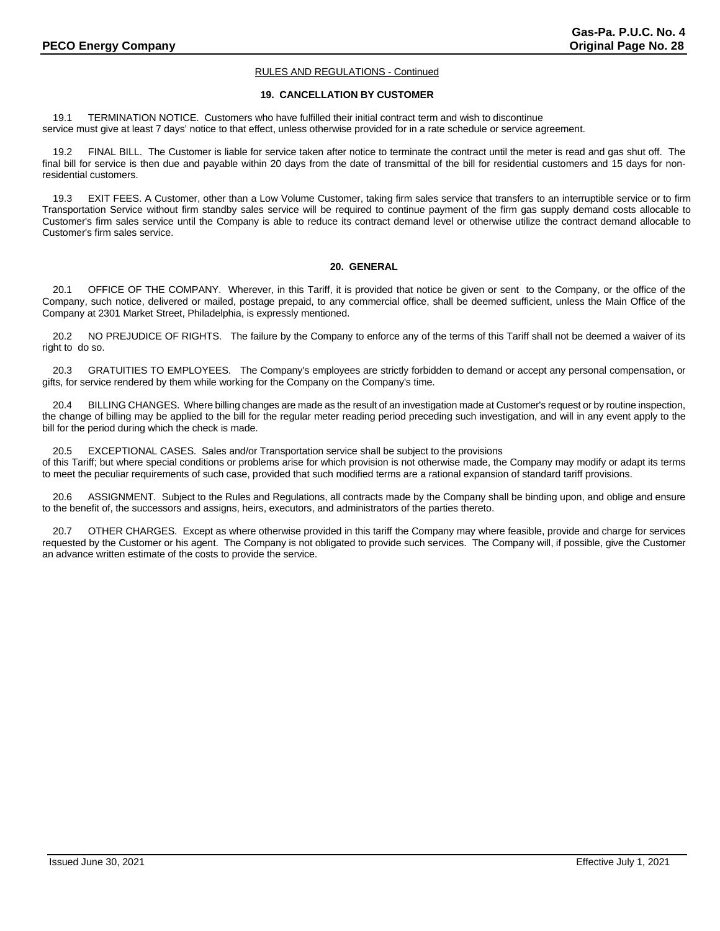# **19. CANCELLATION BY CUSTOMER**

19.1 TERMINATION NOTICE. Customers who have fulfilled their initial contract term and wish to discontinue service must give at least 7 days' notice to that effect, unless otherwise provided for in a rate schedule or service agreement.

19.2 FINAL BILL. The Customer is liable for service taken after notice to terminate the contract until the meter is read and gas shut off. The final bill for service is then due and payable within 20 days from the date of transmittal of the bill for residential customers and 15 days for nonresidential customers.

19.3 EXIT FEES. A Customer, other than a Low Volume Customer, taking firm sales service that transfers to an interruptible service or to firm Transportation Service without firm standby sales service will be required to continue payment of the firm gas supply demand costs allocable to Customer's firm sales service until the Company is able to reduce its contract demand level or otherwise utilize the contract demand allocable to Customer's firm sales service.

# **20. GENERAL**

20.1 OFFICE OF THE COMPANY. Wherever, in this Tariff, it is provided that notice be given or sent to the Company, or the office of the Company, such notice, delivered or mailed, postage prepaid, to any commercial office, shall be deemed sufficient, unless the Main Office of the Company at 2301 Market Street, Philadelphia, is expressly mentioned.

20.2 NO PREJUDICE OF RIGHTS. The failure by the Company to enforce any of the terms of this Tariff shall not be deemed a waiver of its right to do so.

20.3 GRATUITIES TO EMPLOYEES. The Company's employees are strictly forbidden to demand or accept any personal compensation, or gifts, for service rendered by them while working for the Company on the Company's time.

20.4 BILLING CHANGES. Where billing changes are made as the result of an investigation made at Customer's request or by routine inspection, the change of billing may be applied to the bill for the regular meter reading period preceding such investigation, and will in any event apply to the bill for the period during which the check is made.

20.5 EXCEPTIONAL CASES. Sales and/or Transportation service shall be subject to the provisions

of this Tariff; but where special conditions or problems arise for which provision is not otherwise made, the Company may modify or adapt its terms to meet the peculiar requirements of such case, provided that such modified terms are a rational expansion of standard tariff provisions.

20.6 ASSIGNMENT. Subject to the Rules and Regulations, all contracts made by the Company shall be binding upon, and oblige and ensure to the benefit of, the successors and assigns, heirs, executors, and administrators of the parties thereto.

20.7 OTHER CHARGES. Except as where otherwise provided in this tariff the Company may where feasible, provide and charge for services requested by the Customer or his agent. The Company is not obligated to provide such services. The Company will, if possible, give the Customer an advance written estimate of the costs to provide the service.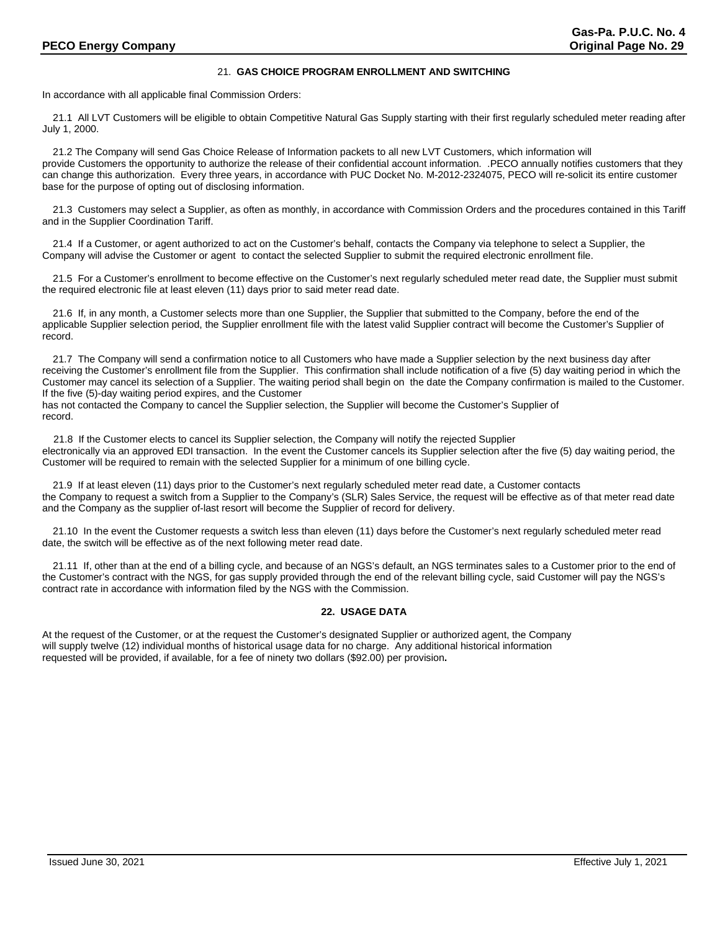# 21. **GAS CHOICE PROGRAM ENROLLMENT AND SWITCHING**

In accordance with all applicable final Commission Orders:

21.1 All LVT Customers will be eligible to obtain Competitive Natural Gas Supply starting with their first regularly scheduled meter reading after July 1, 2000.

21.2 The Company will send Gas Choice Release of Information packets to all new LVT Customers, which information will provide Customers the opportunity to authorize the release of their confidential account information. .PECO annually notifies customers that they can change this authorization. Every three years, in accordance with PUC Docket No. M-2012-2324075, PECO will re-solicit its entire customer base for the purpose of opting out of disclosing information.

21.3 Customers may select a Supplier, as often as monthly, in accordance with Commission Orders and the procedures contained in this Tariff and in the Supplier Coordination Tariff.

21.4 If a Customer, or agent authorized to act on the Customer's behalf, contacts the Company via telephone to select a Supplier, the Company will advise the Customer or agent to contact the selected Supplier to submit the required electronic enrollment file.

21.5 For a Customer's enrollment to become effective on the Customer's next regularly scheduled meter read date, the Supplier must submit the required electronic file at least eleven (11) days prior to said meter read date.

21.6 If, in any month, a Customer selects more than one Supplier, the Supplier that submitted to the Company, before the end of the applicable Supplier selection period, the Supplier enrollment file with the latest valid Supplier contract will become the Customer's Supplier of record.

21.7 The Company will send a confirmation notice to all Customers who have made a Supplier selection by the next business day after receiving the Customer's enrollment file from the Supplier. This confirmation shall include notification of a five (5) day waiting period in which the Customer may cancel its selection of a Supplier. The waiting period shall begin on the date the Company confirmation is mailed to the Customer. If the five (5)-day waiting period expires, and the Customer

has not contacted the Company to cancel the Supplier selection, the Supplier will become the Customer's Supplier of record.

 21.8 If the Customer elects to cancel its Supplier selection, the Company will notify the rejected Supplier electronically via an approved EDI transaction. In the event the Customer cancels its Supplier selection after the five (5) day waiting period, the Customer will be required to remain with the selected Supplier for a minimum of one billing cycle.

21.9 If at least eleven (11) days prior to the Customer's next regularly scheduled meter read date, a Customer contacts the Company to request a switch from a Supplier to the Company's (SLR) Sales Service, the request will be effective as of that meter read date and the Company as the supplier of-last resort will become the Supplier of record for delivery.

21.10 In the event the Customer requests a switch less than eleven (11) days before the Customer's next regularly scheduled meter read date, the switch will be effective as of the next following meter read date.

21.11 If, other than at the end of a billing cycle, and because of an NGS's default, an NGS terminates sales to a Customer prior to the end of the Customer's contract with the NGS, for gas supply provided through the end of the relevant billing cycle, said Customer will pay the NGS's contract rate in accordance with information filed by the NGS with the Commission.

# **22. USAGE DATA**

At the request of the Customer, or at the request the Customer's designated Supplier or authorized agent, the Company will supply twelve (12) individual months of historical usage data for no charge. Any additional historical information requested will be provided, if available, for a fee of ninety two dollars (\$92.00) per provision**.**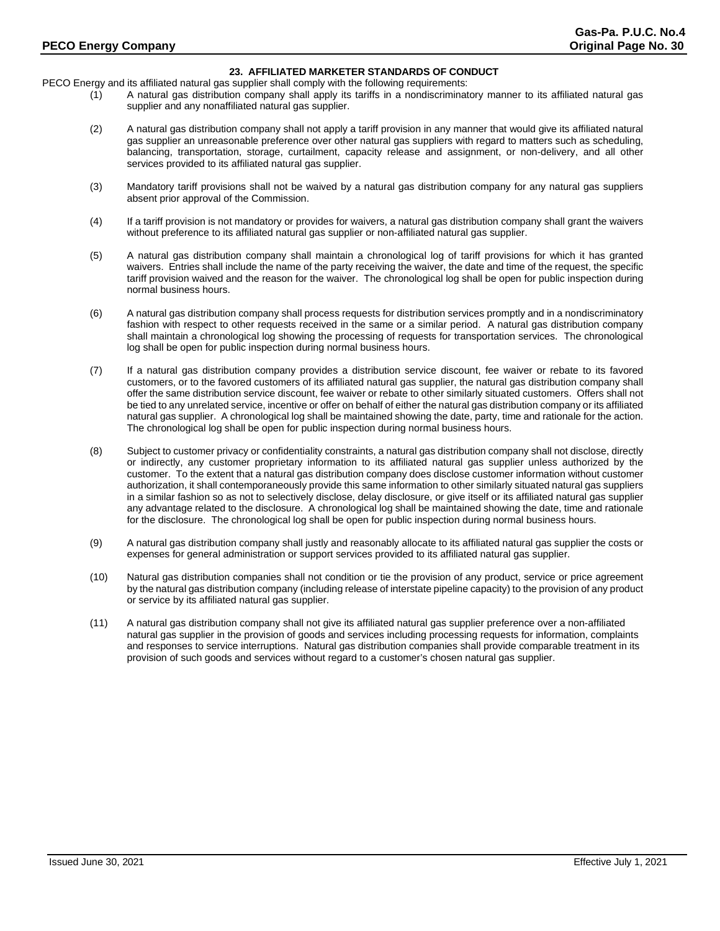# **23. AFFILIATED MARKETER STANDARDS OF CONDUCT**

PECO Energy and its affiliated natural gas supplier shall comply with the following requirements:

- (1) A natural gas distribution company shall apply its tariffs in a nondiscriminatory manner to its affiliated natural gas supplier and any nonaffiliated natural gas supplier.
- (2) A natural gas distribution company shall not apply a tariff provision in any manner that would give its affiliated natural gas supplier an unreasonable preference over other natural gas suppliers with regard to matters such as scheduling, balancing, transportation, storage, curtailment, capacity release and assignment, or non-delivery, and all other services provided to its affiliated natural gas supplier.
- (3) Mandatory tariff provisions shall not be waived by a natural gas distribution company for any natural gas suppliers absent prior approval of the Commission.
- (4) If a tariff provision is not mandatory or provides for waivers, a natural gas distribution company shall grant the waivers without preference to its affiliated natural gas supplier or non-affiliated natural gas supplier.
- (5) A natural gas distribution company shall maintain a chronological log of tariff provisions for which it has granted waivers. Entries shall include the name of the party receiving the waiver, the date and time of the request, the specific tariff provision waived and the reason for the waiver. The chronological log shall be open for public inspection during normal business hours.
- (6) A natural gas distribution company shall process requests for distribution services promptly and in a nondiscriminatory fashion with respect to other requests received in the same or a similar period. A natural gas distribution company shall maintain a chronological log showing the processing of requests for transportation services. The chronological log shall be open for public inspection during normal business hours.
- (7) If a natural gas distribution company provides a distribution service discount, fee waiver or rebate to its favored customers, or to the favored customers of its affiliated natural gas supplier, the natural gas distribution company shall offer the same distribution service discount, fee waiver or rebate to other similarly situated customers. Offers shall not be tied to any unrelated service, incentive or offer on behalf of either the natural gas distribution company or its affiliated natural gas supplier. A chronological log shall be maintained showing the date, party, time and rationale for the action. The chronological log shall be open for public inspection during normal business hours.
- (8) Subject to customer privacy or confidentiality constraints, a natural gas distribution company shall not disclose, directly or indirectly, any customer proprietary information to its affiliated natural gas supplier unless authorized by the customer. To the extent that a natural gas distribution company does disclose customer information without customer authorization, it shall contemporaneously provide this same information to other similarly situated natural gas suppliers in a similar fashion so as not to selectively disclose, delay disclosure, or give itself or its affiliated natural gas supplier any advantage related to the disclosure. A chronological log shall be maintained showing the date, time and rationale for the disclosure. The chronological log shall be open for public inspection during normal business hours.
- (9) A natural gas distribution company shall justly and reasonably allocate to its affiliated natural gas supplier the costs or expenses for general administration or support services provided to its affiliated natural gas supplier.
- (10) Natural gas distribution companies shall not condition or tie the provision of any product, service or price agreement by the natural gas distribution company (including release of interstate pipeline capacity) to the provision of any product or service by its affiliated natural gas supplier.
- (11) A natural gas distribution company shall not give its affiliated natural gas supplier preference over a non-affiliated natural gas supplier in the provision of goods and services including processing requests for information, complaints and responses to service interruptions. Natural gas distribution companies shall provide comparable treatment in its provision of such goods and services without regard to a customer's chosen natural gas supplier.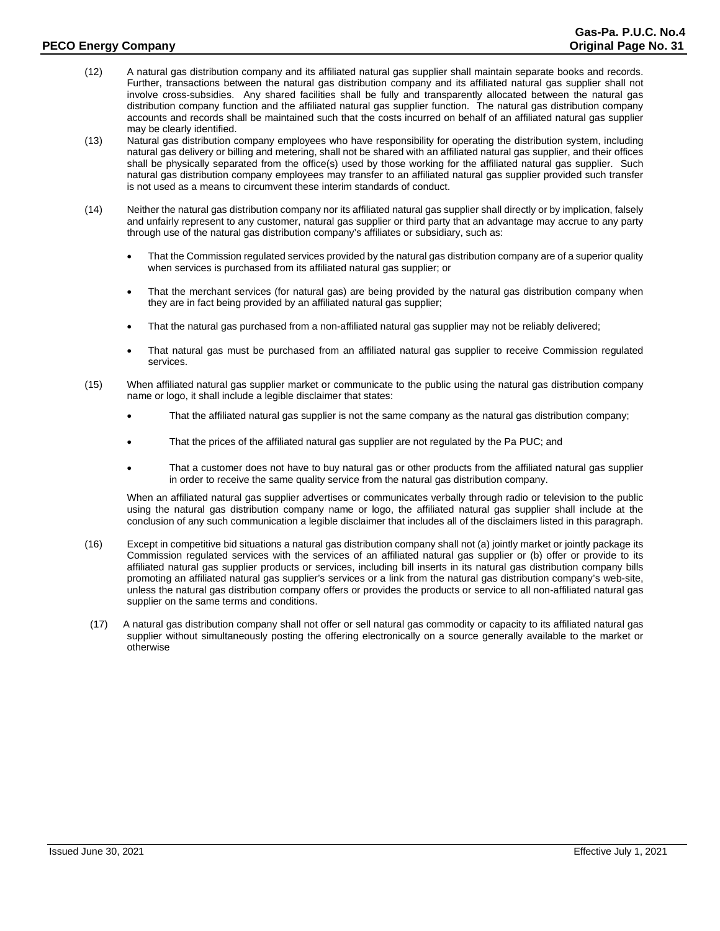- (12) A natural gas distribution company and its affiliated natural gas supplier shall maintain separate books and records. Further, transactions between the natural gas distribution company and its affiliated natural gas supplier shall not involve cross-subsidies. Any shared facilities shall be fully and transparently allocated between the natural gas distribution company function and the affiliated natural gas supplier function. The natural gas distribution company accounts and records shall be maintained such that the costs incurred on behalf of an affiliated natural gas supplier may be clearly identified.
- (13) Natural gas distribution company employees who have responsibility for operating the distribution system, including natural gas delivery or billing and metering, shall not be shared with an affiliated natural gas supplier, and their offices shall be physically separated from the office(s) used by those working for the affiliated natural gas supplier. Such natural gas distribution company employees may transfer to an affiliated natural gas supplier provided such transfer is not used as a means to circumvent these interim standards of conduct.
- (14) Neither the natural gas distribution company nor its affiliated natural gas supplier shall directly or by implication, falsely and unfairly represent to any customer, natural gas supplier or third party that an advantage may accrue to any party through use of the natural gas distribution company's affiliates or subsidiary, such as:
	- That the Commission regulated services provided by the natural gas distribution company are of a superior quality when services is purchased from its affiliated natural gas supplier; or
	- That the merchant services (for natural gas) are being provided by the natural gas distribution company when they are in fact being provided by an affiliated natural gas supplier;
	- That the natural gas purchased from a non-affiliated natural gas supplier may not be reliably delivered;
	- That natural gas must be purchased from an affiliated natural gas supplier to receive Commission regulated services.
- (15) When affiliated natural gas supplier market or communicate to the public using the natural gas distribution company name or logo, it shall include a legible disclaimer that states:
	- That the affiliated natural gas supplier is not the same company as the natural gas distribution company;
	- That the prices of the affiliated natural gas supplier are not regulated by the Pa PUC; and
	- That a customer does not have to buy natural gas or other products from the affiliated natural gas supplier in order to receive the same quality service from the natural gas distribution company.

When an affiliated natural gas supplier advertises or communicates verbally through radio or television to the public using the natural gas distribution company name or logo, the affiliated natural gas supplier shall include at the conclusion of any such communication a legible disclaimer that includes all of the disclaimers listed in this paragraph.

- (16) Except in competitive bid situations a natural gas distribution company shall not (a) jointly market or jointly package its Commission regulated services with the services of an affiliated natural gas supplier or (b) offer or provide to its affiliated natural gas supplier products or services, including bill inserts in its natural gas distribution company bills promoting an affiliated natural gas supplier's services or a link from the natural gas distribution company's web-site, unless the natural gas distribution company offers or provides the products or service to all non-affiliated natural gas supplier on the same terms and conditions.
- (17) A natural gas distribution company shall not offer or sell natural gas commodity or capacity to its affiliated natural gas supplier without simultaneously posting the offering electronically on a source generally available to the market or otherwise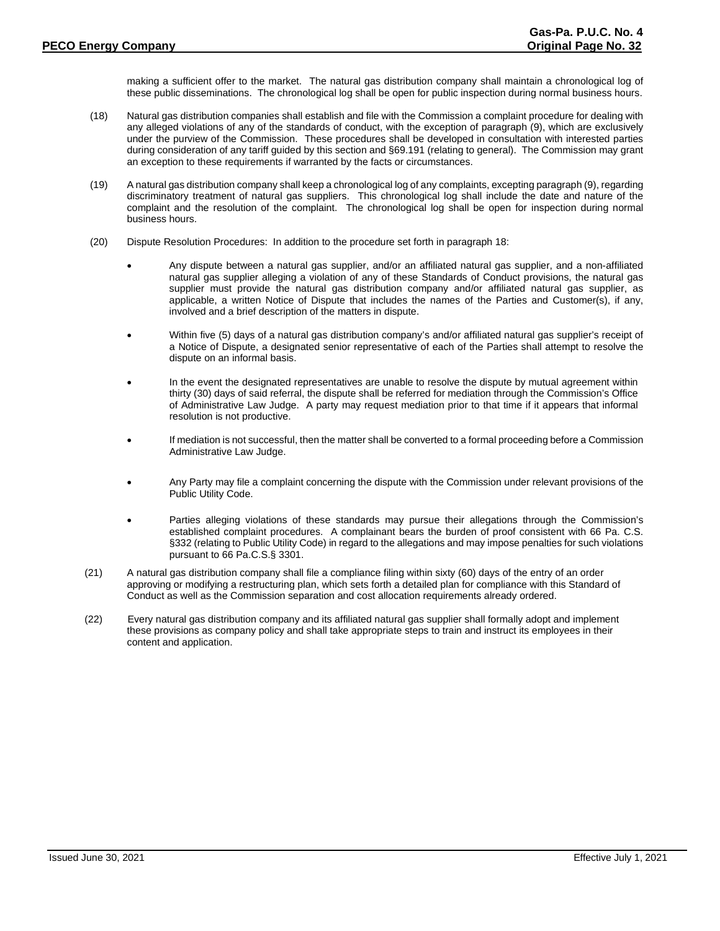making a sufficient offer to the market. The natural gas distribution company shall maintain a chronological log of these public disseminations. The chronological log shall be open for public inspection during normal business hours.

- (18) Natural gas distribution companies shall establish and file with the Commission a complaint procedure for dealing with any alleged violations of any of the standards of conduct, with the exception of paragraph (9), which are exclusively under the purview of the Commission. These procedures shall be developed in consultation with interested parties during consideration of any tariff guided by this section and §69.191 (relating to general). The Commission may grant an exception to these requirements if warranted by the facts or circumstances.
- (19) A natural gas distribution company shall keep a chronological log of any complaints, excepting paragraph (9), regarding discriminatory treatment of natural gas suppliers. This chronological log shall include the date and nature of the complaint and the resolution of the complaint. The chronological log shall be open for inspection during normal business hours.
- (20) Dispute Resolution Procedures: In addition to the procedure set forth in paragraph 18:
	- Any dispute between a natural gas supplier, and/or an affiliated natural gas supplier, and a non-affiliated natural gas supplier alleging a violation of any of these Standards of Conduct provisions, the natural gas supplier must provide the natural gas distribution company and/or affiliated natural gas supplier, as applicable, a written Notice of Dispute that includes the names of the Parties and Customer(s), if any, involved and a brief description of the matters in dispute.
	- Within five (5) days of a natural gas distribution company's and/or affiliated natural gas supplier's receipt of a Notice of Dispute, a designated senior representative of each of the Parties shall attempt to resolve the dispute on an informal basis.
	- In the event the designated representatives are unable to resolve the dispute by mutual agreement within thirty (30) days of said referral, the dispute shall be referred for mediation through the Commission's Office of Administrative Law Judge. A party may request mediation prior to that time if it appears that informal resolution is not productive.
	- If mediation is not successful, then the matter shall be converted to a formal proceeding before a Commission Administrative Law Judge.
	- Any Party may file a complaint concerning the dispute with the Commission under relevant provisions of the Public Utility Code.
	- Parties alleging violations of these standards may pursue their allegations through the Commission's established complaint procedures. A complainant bears the burden of proof consistent with 66 Pa. C.S. §332 (relating to Public Utility Code) in regard to the allegations and may impose penalties for such violations pursuant to 66 Pa.C.S.§ 3301.
- (21) A natural gas distribution company shall file a compliance filing within sixty (60) days of the entry of an order approving or modifying a restructuring plan, which sets forth a detailed plan for compliance with this Standard of Conduct as well as the Commission separation and cost allocation requirements already ordered.
- (22) Every natural gas distribution company and its affiliated natural gas supplier shall formally adopt and implement these provisions as company policy and shall take appropriate steps to train and instruct its employees in their content and application.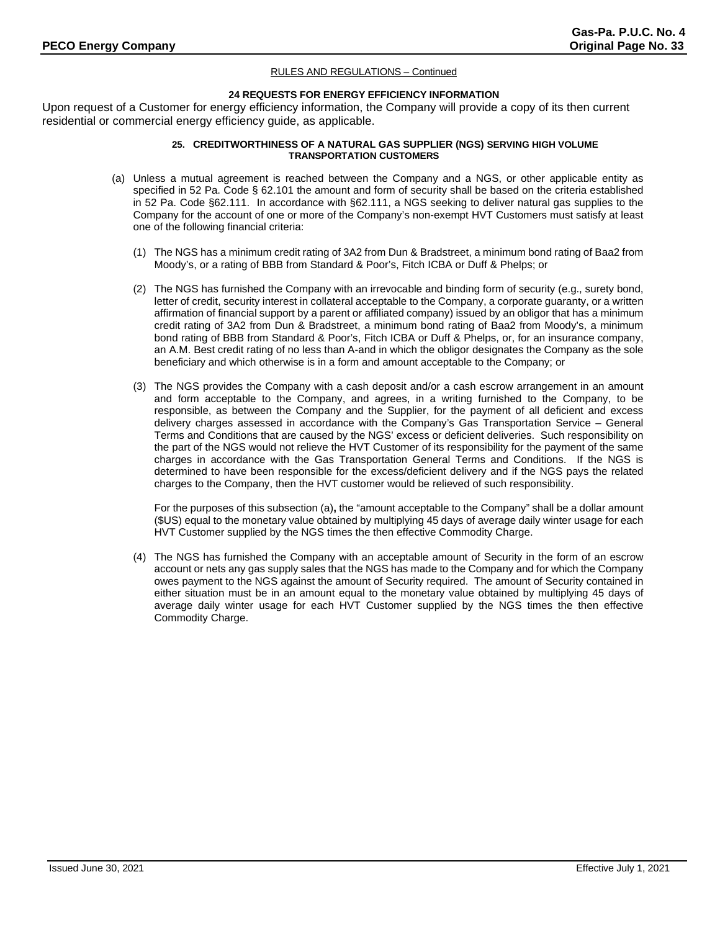# **24 REQUESTS FOR ENERGY EFFICIENCY INFORMATION**

Upon request of a Customer for energy efficiency information, the Company will provide a copy of its then current residential or commercial energy efficiency guide, as applicable.

# **25. CREDITWORTHINESS OF A NATURAL GAS SUPPLIER (NGS) SERVING HIGH VOLUME TRANSPORTATION CUSTOMERS**

- (a) Unless a mutual agreement is reached between the Company and a NGS, or other applicable entity as specified in 52 Pa. Code § 62.101 the amount and form of security shall be based on the criteria established in 52 Pa. Code §62.111. In accordance with §62.111, a NGS seeking to deliver natural gas supplies to the Company for the account of one or more of the Company's non-exempt HVT Customers must satisfy at least one of the following financial criteria:
	- (1) The NGS has a minimum credit rating of 3A2 from Dun & Bradstreet, a minimum bond rating of Baa2 from Moody's, or a rating of BBB from Standard & Poor's, Fitch ICBA or Duff & Phelps; or
	- (2) The NGS has furnished the Company with an irrevocable and binding form of security (e.g., surety bond, letter of credit, security interest in collateral acceptable to the Company, a corporate guaranty, or a written affirmation of financial support by a parent or affiliated company) issued by an obligor that has a minimum credit rating of 3A2 from Dun & Bradstreet, a minimum bond rating of Baa2 from Moody's, a minimum bond rating of BBB from Standard & Poor's, Fitch ICBA or Duff & Phelps, or, for an insurance company, an A.M. Best credit rating of no less than A-and in which the obligor designates the Company as the sole beneficiary and which otherwise is in a form and amount acceptable to the Company; or
	- (3) The NGS provides the Company with a cash deposit and/or a cash escrow arrangement in an amount and form acceptable to the Company, and agrees, in a writing furnished to the Company, to be responsible, as between the Company and the Supplier, for the payment of all deficient and excess delivery charges assessed in accordance with the Company's Gas Transportation Service – General Terms and Conditions that are caused by the NGS' excess or deficient deliveries. Such responsibility on the part of the NGS would not relieve the HVT Customer of its responsibility for the payment of the same charges in accordance with the Gas Transportation General Terms and Conditions. If the NGS is determined to have been responsible for the excess/deficient delivery and if the NGS pays the related charges to the Company, then the HVT customer would be relieved of such responsibility.

For the purposes of this subsection (a)**,** the "amount acceptable to the Company" shall be a dollar amount (\$US) equal to the monetary value obtained by multiplying 45 days of average daily winter usage for each HVT Customer supplied by the NGS times the then effective Commodity Charge.

(4) The NGS has furnished the Company with an acceptable amount of Security in the form of an escrow account or nets any gas supply sales that the NGS has made to the Company and for which the Company owes payment to the NGS against the amount of Security required. The amount of Security contained in either situation must be in an amount equal to the monetary value obtained by multiplying 45 days of average daily winter usage for each HVT Customer supplied by the NGS times the then effective Commodity Charge.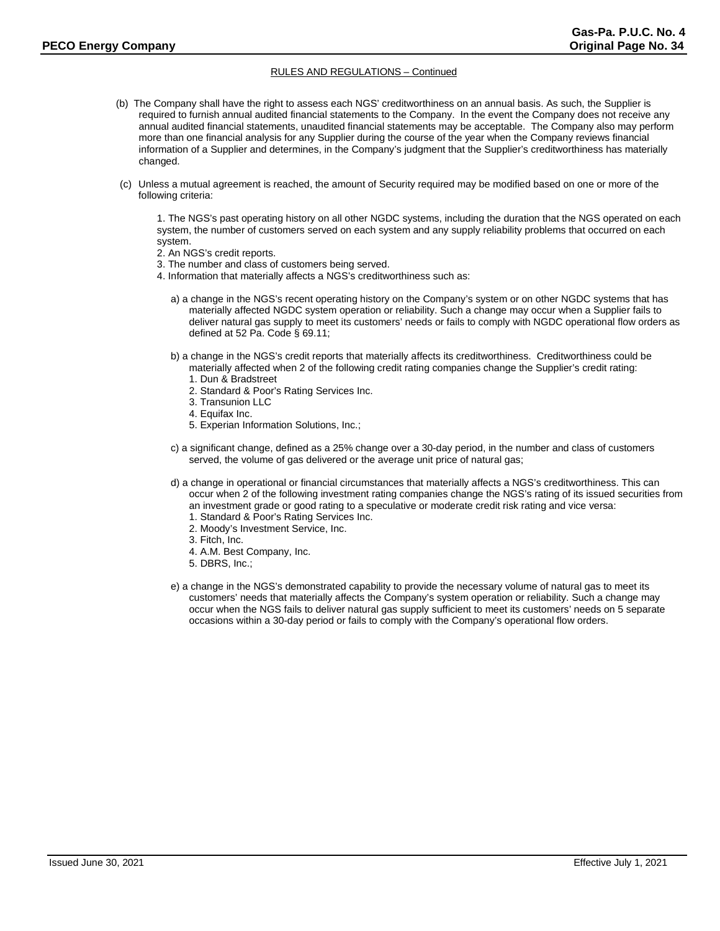- (b) The Company shall have the right to assess each NGS' creditworthiness on an annual basis. As such, the Supplier is required to furnish annual audited financial statements to the Company. In the event the Company does not receive any annual audited financial statements, unaudited financial statements may be acceptable. The Company also may perform more than one financial analysis for any Supplier during the course of the year when the Company reviews financial information of a Supplier and determines, in the Company's judgment that the Supplier's creditworthiness has materially changed.
- (c) Unless a mutual agreement is reached, the amount of Security required may be modified based on one or more of the following criteria:

1. The NGS's past operating history on all other NGDC systems, including the duration that the NGS operated on each system, the number of customers served on each system and any supply reliability problems that occurred on each system.

- 2. An NGS's credit reports.
- 3. The number and class of customers being served.
- 4. Information that materially affects a NGS's creditworthiness such as:
	- a) a change in the NGS's recent operating history on the Company's system or on other NGDC systems that has materially affected NGDC system operation or reliability. Such a change may occur when a Supplier fails to deliver natural gas supply to meet its customers' needs or fails to comply with NGDC operational flow orders as defined at 52 Pa. Code § 69.11;
	- b) a change in the NGS's credit reports that materially affects its creditworthiness. Creditworthiness could be materially affected when 2 of the following credit rating companies change the Supplier's credit rating:
		- 1. Dun & Bradstreet
		- 2. Standard & Poor's Rating Services Inc.
		- 3. Transunion LLC
		- 4. Equifax Inc.
		- 5. Experian Information Solutions, Inc.;
	- c) a significant change, defined as a 25% change over a 30-day period, in the number and class of customers served, the volume of gas delivered or the average unit price of natural gas;
	- d) a change in operational or financial circumstances that materially affects a NGS's creditworthiness. This can occur when 2 of the following investment rating companies change the NGS's rating of its issued securities from
		- an investment grade or good rating to a speculative or moderate credit risk rating and vice versa:
		- 1. Standard & Poor's Rating Services Inc.
		- 2. Moody's Investment Service, Inc.
		- 3. Fitch, Inc.
		- 4. A.M. Best Company, Inc.
		- 5. DBRS, Inc.;
	- e) a change in the NGS's demonstrated capability to provide the necessary volume of natural gas to meet its customers' needs that materially affects the Company's system operation or reliability. Such a change may occur when the NGS fails to deliver natural gas supply sufficient to meet its customers' needs on 5 separate occasions within a 30-day period or fails to comply with the Company's operational flow orders.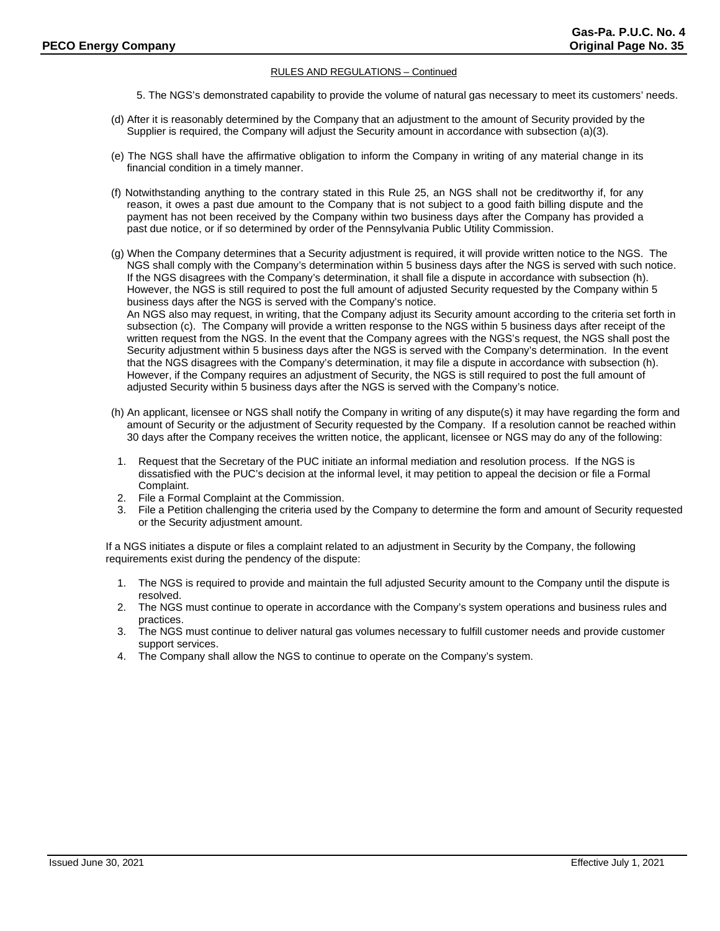- 5. The NGS's demonstrated capability to provide the volume of natural gas necessary to meet its customers' needs.
- (d) After it is reasonably determined by the Company that an adjustment to the amount of Security provided by the Supplier is required, the Company will adjust the Security amount in accordance with subsection (a)(3).
- (e) The NGS shall have the affirmative obligation to inform the Company in writing of any material change in its financial condition in a timely manner.
- (f) Notwithstanding anything to the contrary stated in this Rule 25, an NGS shall not be creditworthy if, for any reason, it owes a past due amount to the Company that is not subject to a good faith billing dispute and the payment has not been received by the Company within two business days after the Company has provided a past due notice, or if so determined by order of the Pennsylvania Public Utility Commission.
- (g) When the Company determines that a Security adjustment is required, it will provide written notice to the NGS. The NGS shall comply with the Company's determination within 5 business days after the NGS is served with such notice. If the NGS disagrees with the Company's determination, it shall file a dispute in accordance with subsection (h). However, the NGS is still required to post the full amount of adjusted Security requested by the Company within 5 business days after the NGS is served with the Company's notice. An NGS also may request, in writing, that the Company adjust its Security amount according to the criteria set forth in subsection (c). The Company will provide a written response to the NGS within 5 business days after receipt of the written request from the NGS. In the event that the Company agrees with the NGS's request, the NGS shall post the Security adjustment within 5 business days after the NGS is served with the Company's determination. In the event that the NGS disagrees with the Company's determination, it may file a dispute in accordance with subsection (h). However, if the Company requires an adjustment of Security, the NGS is still required to post the full amount of adjusted Security within 5 business days after the NGS is served with the Company's notice.
- (h) An applicant, licensee or NGS shall notify the Company in writing of any dispute(s) it may have regarding the form and amount of Security or the adjustment of Security requested by the Company. If a resolution cannot be reached within 30 days after the Company receives the written notice, the applicant, licensee or NGS may do any of the following:
- 1. Request that the Secretary of the PUC initiate an informal mediation and resolution process. If the NGS is dissatisfied with the PUC's decision at the informal level, it may petition to appeal the decision or file a Formal Complaint.
- 2. File a Formal Complaint at the Commission.
- 3. File a Petition challenging the criteria used by the Company to determine the form and amount of Security requested or the Security adjustment amount.

If a NGS initiates a dispute or files a complaint related to an adjustment in Security by the Company, the following requirements exist during the pendency of the dispute:

- 1. The NGS is required to provide and maintain the full adjusted Security amount to the Company until the dispute is resolved.
- 2. The NGS must continue to operate in accordance with the Company's system operations and business rules and practices.
- 3. The NGS must continue to deliver natural gas volumes necessary to fulfill customer needs and provide customer support services.
- 4. The Company shall allow the NGS to continue to operate on the Company's system.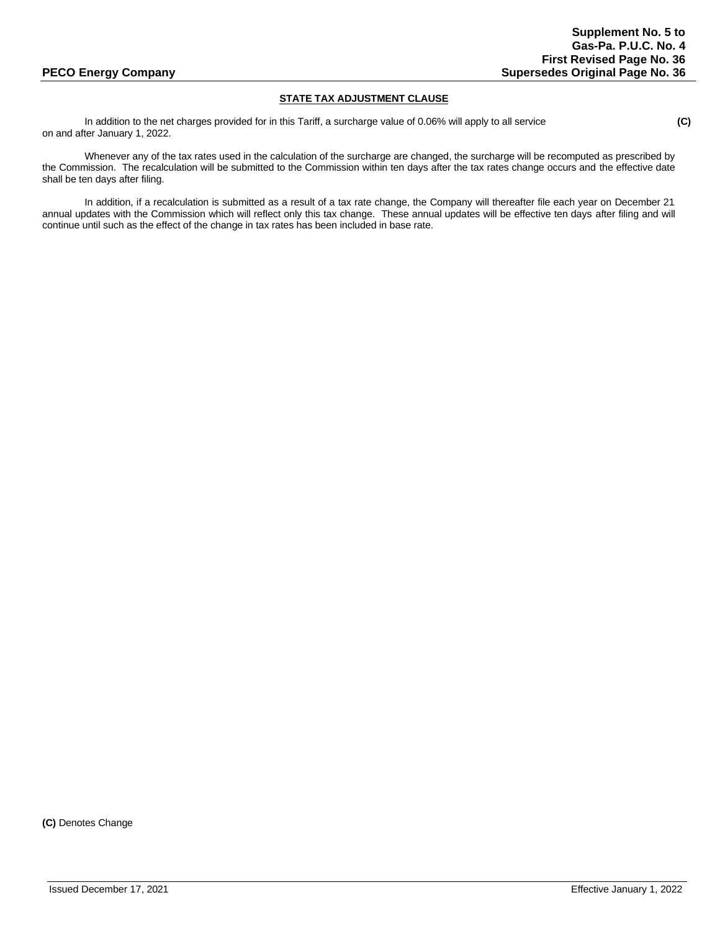# **STATE TAX ADJUSTMENT CLAUSE**

In addition to the net charges provided for in this Tariff, a surcharge value of 0.06% will apply to all service **(C)** on and after January 1, 2022.

Whenever any of the tax rates used in the calculation of the surcharge are changed, the surcharge will be recomputed as prescribed by the Commission. The recalculation will be submitted to the Commission within ten days after the tax rates change occurs and the effective date shall be ten days after filing.

In addition, if a recalculation is submitted as a result of a tax rate change, the Company will thereafter file each year on December 21 annual updates with the Commission which will reflect only this tax change. These annual updates will be effective ten days after filing and will continue until such as the effect of the change in tax rates has been included in base rate.

**(C)** Denotes Change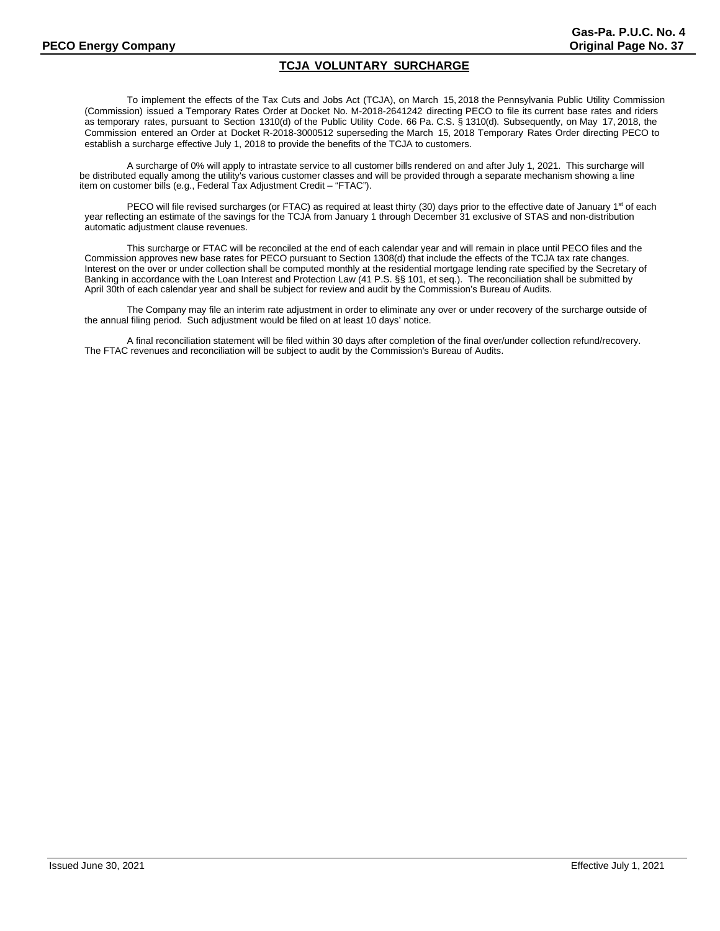# **TCJA VOLUNTARY SURCHARGE**

To implement the effects of the Tax Cuts and Jobs Act (TCJA), on March 15, 2018 the Pennsylvania Public Utility Commission (Commission) issued a Temporary Rates Order at Docket No. M-2018-2641242 directing PECO to file its current base rates and riders as temporary rates, pursuant to Section 1310(d) of the Public Utility Code. 66 Pa. C.S. § 1310(d). Subsequently, on May 17, 2018, the Commission entered an Order at Docket R-2018-3000512 superseding the March 15, 2018 Temporary Rates Order directing PECO to establish a surcharge effective July 1, 2018 to provide the benefits of the TCJA to customers.

A surcharge of 0% will apply to intrastate service to all customer bills rendered on and after July 1, 2021. This surcharge will be distributed equally among the utility's various customer classes and will be provided through a separate mechanism showing a line item on customer bills (e.g., Federal Tax Adjustment Credit – "FTAC").

PECO will file revised surcharges (or FTAC) as required at least thirty (30) days prior to the effective date of January 1<sup>st</sup> of each year reflecting an estimate of the savings for the TCJA from January 1 through December 31 exclusive of STAS and non-distribution automatic adjustment clause revenues.

This surcharge or FTAC will be reconciled at the end of each calendar year and will remain in place until PECO files and the Commission approves new base rates for PECO pursuant to Section 1308(d) that include the effects of the TCJA tax rate changes. Interest on the over or under collection shall be computed monthly at the residential mortgage lending rate specified by the Secretary of Banking in accordance with the Loan Interest and Protection Law (41 P.S. §§ 101, et seq.). The reconciliation shall be submitted by April 30th of each calendar year and shall be subject for review and audit by the Commission's Bureau of Audits.

The Company may file an interim rate adjustment in order to eliminate any over or under recovery of the surcharge outside of the annual filing period. Such adjustment would be filed on at least 10 days' notice.

A final reconciliation statement will be filed within 30 days after completion of the final over/under collection refund/recovery. The FTAC revenues and reconciliation will be subject to audit by the Commission's Bureau of Audits.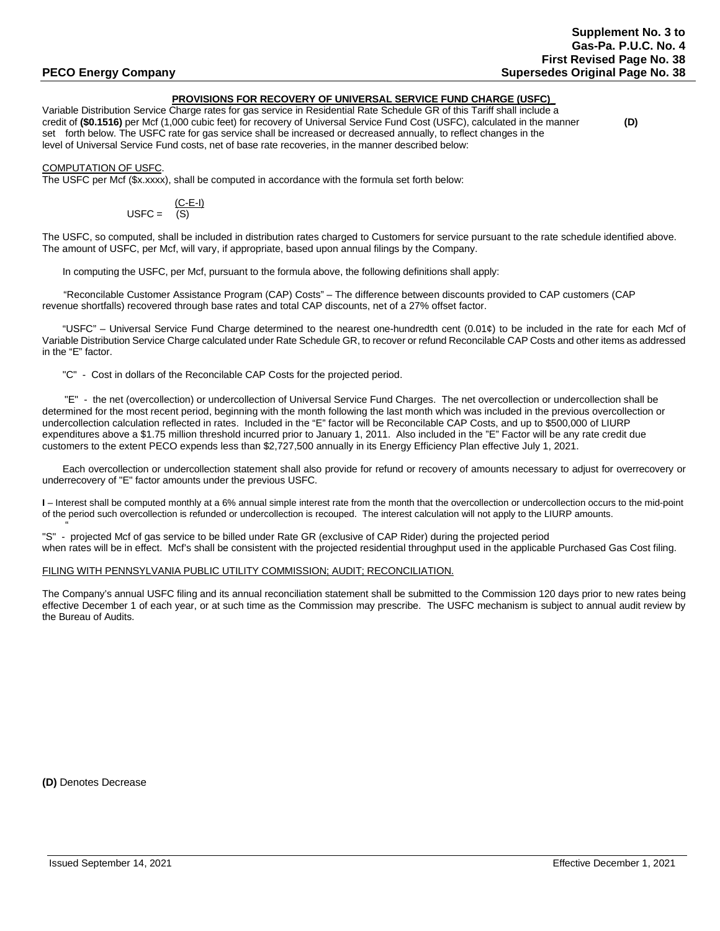# **PROVISIONS FOR RECOVERY OF UNIVERSAL SERVICE FUND CHARGE (USFC)\_**

Variable Distribution Service Charge rates for gas service in Residential Rate Schedule GR of this Tariff shall include a credit of **(\$0.1516)** per Mcf (1,000 cubic feet) for recovery of Universal Service Fund Cost (USFC), calculated in the manner **(D)** set forth below. The USFC rate for gas service shall be increased or decreased annually, to reflect changes in the level of Universal Service Fund costs, net of base rate recoveries, in the manner described below:

COMPUTATION OF USFC.

The USFC per Mcf (\$x.xxxx), shall be computed in accordance with the formula set forth below:

$$
USFC = \frac{(C-E-I)}{(S)}
$$

The USFC, so computed, shall be included in distribution rates charged to Customers for service pursuant to the rate schedule identified above. The amount of USFC, per Mcf, will vary, if appropriate, based upon annual filings by the Company.

In computing the USFC, per Mcf, pursuant to the formula above, the following definitions shall apply:

"Reconcilable Customer Assistance Program (CAP) Costs" – The difference between discounts provided to CAP customers (CAP revenue shortfalls) recovered through base rates and total CAP discounts, net of a 27% offset factor.

"USFC" – Universal Service Fund Charge determined to the nearest one-hundredth cent (0.01¢) to be included in the rate for each Mcf of Variable Distribution Service Charge calculated under Rate Schedule GR, to recover or refund Reconcilable CAP Costs and other items as addressed in the "E" factor.

"C" - Cost in dollars of the Reconcilable CAP Costs for the projected period.

 "E" - the net (overcollection) or undercollection of Universal Service Fund Charges. The net overcollection or undercollection shall be determined for the most recent period, beginning with the month following the last month which was included in the previous overcollection or undercollection calculation reflected in rates. Included in the "E" factor will be Reconcilable CAP Costs, and up to \$500,000 of LIURP expenditures above a \$1.75 million threshold incurred prior to January 1, 2011. Also included in the "E" Factor will be any rate credit due customers to the extent PECO expends less than \$2,727,500 annually in its Energy Efficiency Plan effective July 1, 2021.

Each overcollection or undercollection statement shall also provide for refund or recovery of amounts necessary to adjust for overrecovery or underrecovery of "E" factor amounts under the previous USFC.

**I** – Interest shall be computed monthly at a 6% annual simple interest rate from the month that the overcollection or undercollection occurs to the mid-point of the period such overcollection is refunded or undercollection is recouped. The interest calculation will not apply to the LIURP amounts.

 " "S" - projected Mcf of gas service to be billed under Rate GR (exclusive of CAP Rider) during the projected period when rates will be in effect. Mcf's shall be consistent with the projected residential throughput used in the applicable Purchased Gas Cost filing.

## FILING WITH PENNSYLVANIA PUBLIC UTILITY COMMISSION; AUDIT; RECONCILIATION.

The Company's annual USFC filing and its annual reconciliation statement shall be submitted to the Commission 120 days prior to new rates being effective December 1 of each year, or at such time as the Commission may prescribe. The USFC mechanism is subject to annual audit review by the Bureau of Audits.

**(D)** Denotes Decrease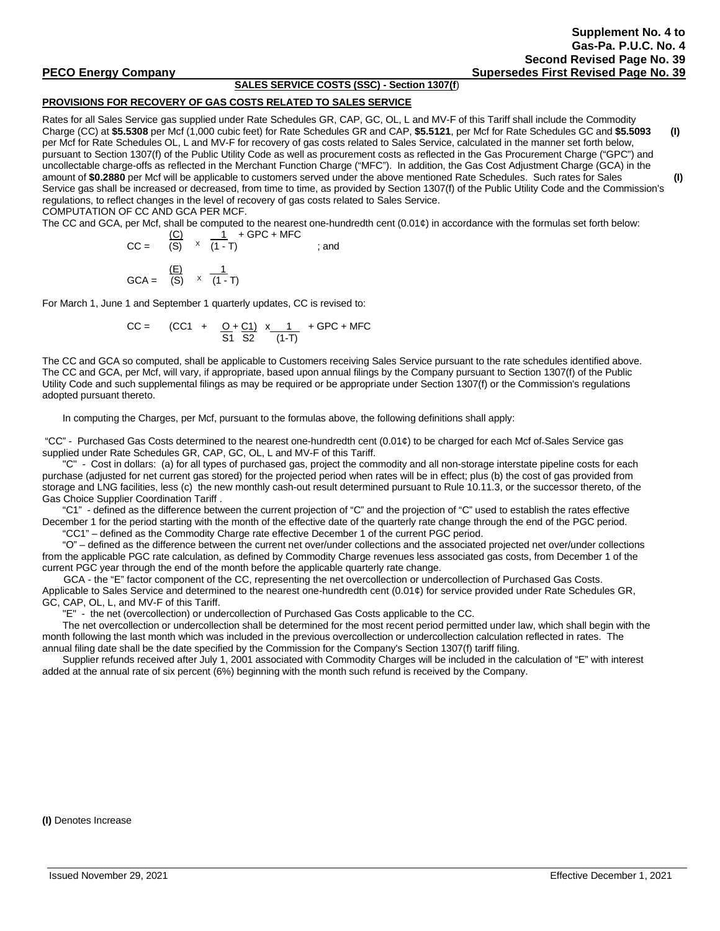# **SALES SERVICE COSTS (SSC) - Section 1307(f**)

# **PROVISIONS FOR RECOVERY OF GAS COSTS RELATED TO SALES SERVICE**

Rates for all Sales Service gas supplied under Rate Schedules GR, CAP, GC, OL, L and MV-F of this Tariff shall include the Commodity Charge (CC) at **\$5.5308** per Mcf (1,000 cubic feet) for Rate Schedules GR and CAP, **\$5.5121**, per Mcf for Rate Schedules GC and **\$5.5093 (I)** per Mcf for Rate Schedules OL, L and MV-F for recovery of gas costs related to Sales Service, calculated in the manner set forth below, pursuant to Section 1307(f) of the Public Utility Code as well as procurement costs as reflected in the Gas Procurement Charge ("GPC") and uncollectable charge-offs as reflected in the Merchant Function Charge ("MFC"). In addition, the Gas Cost Adjustment Charge (GCA) in the amount of **\$0.2880** per Mcf will be applicable to customers served under the above mentioned Rate Schedules. Such rates for Sales **(I)** Service gas shall be increased or decreased, from time to time, as provided by Section 1307(f) of the Public Utility Code and the Commission's regulations, to reflect changes in the level of recovery of gas costs related to Sales Service. COMPUTATION OF CC AND GCA PER MCF.

The CC and GCA, per Mcf, shall be computed to the nearest one-hundredth cent  $(0.01¢)$  in accordance with the formulas set forth below:

$$
CC = \frac{(C)}{(S)} \times \frac{1}{(1-T)} + GPC + MFC
$$
  
and  

$$
GCA = \frac{(E)}{(S)} \times \frac{1}{(1-T)}
$$

For March 1, June 1 and September 1 quarterly updates, CC is revised to:

$$
CC = (CC1 + \frac{O + C1}{S1} \times \frac{1}{(1-T)} + GPC + MFC
$$

The CC and GCA so computed, shall be applicable to Customers receiving Sales Service pursuant to the rate schedules identified above. The CC and GCA, per Mcf, will vary, if appropriate, based upon annual filings by the Company pursuant to Section 1307(f) of the Public Utility Code and such supplemental filings as may be required or be appropriate under Section 1307(f) or the Commission's regulations adopted pursuant thereto.

In computing the Charges, per Mcf, pursuant to the formulas above, the following definitions shall apply:

"CC" - Purchased Gas Costs determined to the nearest one-hundredth cent (0.01¢) to be charged for each Mcf of Sales Service gas supplied under Rate Schedules GR, CAP, GC, OL, L and MV-F of this Tariff.

"C" - Cost in dollars: (a) for all types of purchased gas, project the commodity and all non-storage interstate pipeline costs for each purchase (adjusted for net current gas stored) for the projected period when rates will be in effect; plus (b) the cost of gas provided from storage and LNG facilities, less (c) the new monthly cash-out result determined pursuant to Rule 10.11.3, or the successor thereto, of the Gas Choice Supplier Coordination Tariff .

"C1" - defined as the difference between the current projection of "C" and the projection of "C" used to establish the rates effective December 1 for the period starting with the month of the effective date of the quarterly rate change through the end of the PGC period. "CC1" – defined as the Commodity Charge rate effective December 1 of the current PGC period.

"O" – defined as the difference between the current net over/under collections and the associated projected net over/under collections from the applicable PGC rate calculation, as defined by Commodity Charge revenues less associated gas costs, from December 1 of the current PGC year through the end of the month before the applicable quarterly rate change.

GCA - the "E" factor component of the CC, representing the net overcollection or undercollection of Purchased Gas Costs. Applicable to Sales Service and determined to the nearest one-hundredth cent (0.01¢) for service provided under Rate Schedules GR, GC, CAP, OL, L, and MV-F of this Tariff.

"E" - the net (overcollection) or undercollection of Purchased Gas Costs applicable to the CC.

The net overcollection or undercollection shall be determined for the most recent period permitted under law, which shall begin with the month following the last month which was included in the previous overcollection or undercollection calculation reflected in rates. The annual filing date shall be the date specified by the Commission for the Company's Section 1307(f) tariff filing.

Supplier refunds received after July 1, 2001 associated with Commodity Charges will be included in the calculation of "E" with interest added at the annual rate of six percent (6%) beginning with the month such refund is received by the Company.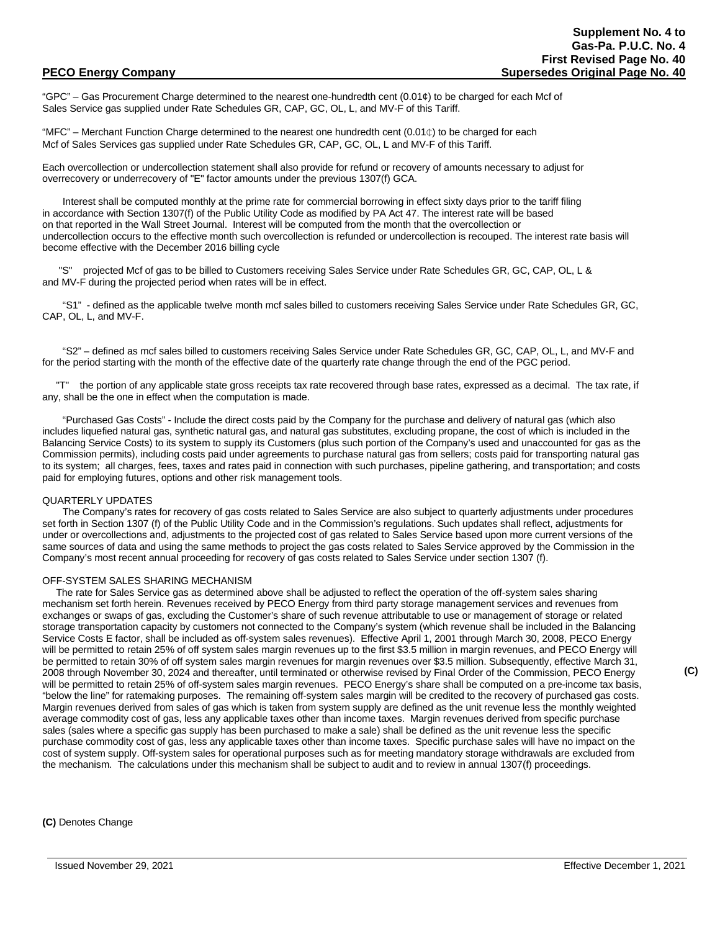"GPC" – Gas Procurement Charge determined to the nearest one-hundredth cent  $(0.01\ell)$  to be charged for each Mcf of Sales Service gas supplied under Rate Schedules GR, CAP, GC, OL, L, and MV-F of this Tariff.

"MFC" – Merchant Function Charge determined to the nearest one hundredth cent (0.01 $\phi$ ) to be charged for each Mcf of Sales Services gas supplied under Rate Schedules GR, CAP, GC, OL, L and MV-F of this Tariff.

Each overcollection or undercollection statement shall also provide for refund or recovery of amounts necessary to adjust for overrecovery or underrecovery of "E" factor amounts under the previous 1307(f) GCA.

Interest shall be computed monthly at the prime rate for commercial borrowing in effect sixty days prior to the tariff filing in accordance with Section 1307(f) of the Public Utility Code as modified by PA Act 47. The interest rate will be based on that reported in the Wall Street Journal. Interest will be computed from the month that the overcollection or undercollection occurs to the effective month such overcollection is refunded or undercollection is recouped. The interest rate basis will become effective with the December 2016 billing cycle

 "S" projected Mcf of gas to be billed to Customers receiving Sales Service under Rate Schedules GR, GC, CAP, OL, L & and MV-F during the projected period when rates will be in effect.

"S1" - defined as the applicable twelve month mcf sales billed to customers receiving Sales Service under Rate Schedules GR, GC, CAP, OL, L, and MV-F.

"S2" – defined as mcf sales billed to customers receiving Sales Service under Rate Schedules GR, GC, CAP, OL, L, and MV-F and for the period starting with the month of the effective date of the quarterly rate change through the end of the PGC period.

the portion of any applicable state gross receipts tax rate recovered through base rates, expressed as a decimal. The tax rate, if any, shall be the one in effect when the computation is made.

"Purchased Gas Costs" - Include the direct costs paid by the Company for the purchase and delivery of natural gas (which also includes liquefied natural gas, synthetic natural gas, and natural gas substitutes, excluding propane, the cost of which is included in the Balancing Service Costs) to its system to supply its Customers (plus such portion of the Company's used and unaccounted for gas as the Commission permits), including costs paid under agreements to purchase natural gas from sellers; costs paid for transporting natural gas to its system; all charges, fees, taxes and rates paid in connection with such purchases, pipeline gathering, and transportation; and costs paid for employing futures, options and other risk management tools.

# QUARTERLY UPDATES

The Company's rates for recovery of gas costs related to Sales Service are also subject to quarterly adjustments under procedures set forth in Section 1307 (f) of the Public Utility Code and in the Commission's regulations. Such updates shall reflect, adjustments for under or overcollections and, adjustments to the projected cost of gas related to Sales Service based upon more current versions of the same sources of data and using the same methods to project the gas costs related to Sales Service approved by the Commission in the Company's most recent annual proceeding for recovery of gas costs related to Sales Service under section 1307 (f).

## OFF-SYSTEM SALES SHARING MECHANISM

 The rate for Sales Service gas as determined above shall be adjusted to reflect the operation of the off-system sales sharing mechanism set forth herein. Revenues received by PECO Energy from third party storage management services and revenues from exchanges or swaps of gas, excluding the Customer's share of such revenue attributable to use or management of storage or related storage transportation capacity by customers not connected to the Company's system (which revenue shall be included in the Balancing Service Costs E factor, shall be included as off-system sales revenues). Effective April 1, 2001 through March 30, 2008, PECO Energy will be permitted to retain 25% of off system sales margin revenues up to the first \$3.5 million in margin revenues, and PECO Energy will be permitted to retain 30% of off system sales margin revenues for margin revenues over \$3.5 million. Subsequently, effective March 31, 2008 through November 30, 2024 and thereafter, until terminated or otherwise revised by Final Order of the Commission, PECO Energy will be permitted to retain 25% of off-system sales margin revenues. PECO Energy's share shall be computed on a pre-income tax basis, "below the line" for ratemaking purposes. The remaining off-system sales margin will be credited to the recovery of purchased gas costs. Margin revenues derived from sales of gas which is taken from system supply are defined as the unit revenue less the monthly weighted average commodity cost of gas, less any applicable taxes other than income taxes. Margin revenues derived from specific purchase sales (sales where a specific gas supply has been purchased to make a sale) shall be defined as the unit revenue less the specific purchase commodity cost of gas, less any applicable taxes other than income taxes. Specific purchase sales will have no impact on the cost of system supply. Off-system sales for operational purposes such as for meeting mandatory storage withdrawals are excluded from the mechanism. The calculations under this mechanism shall be subject to audit and to review in annual 1307(f) proceedings.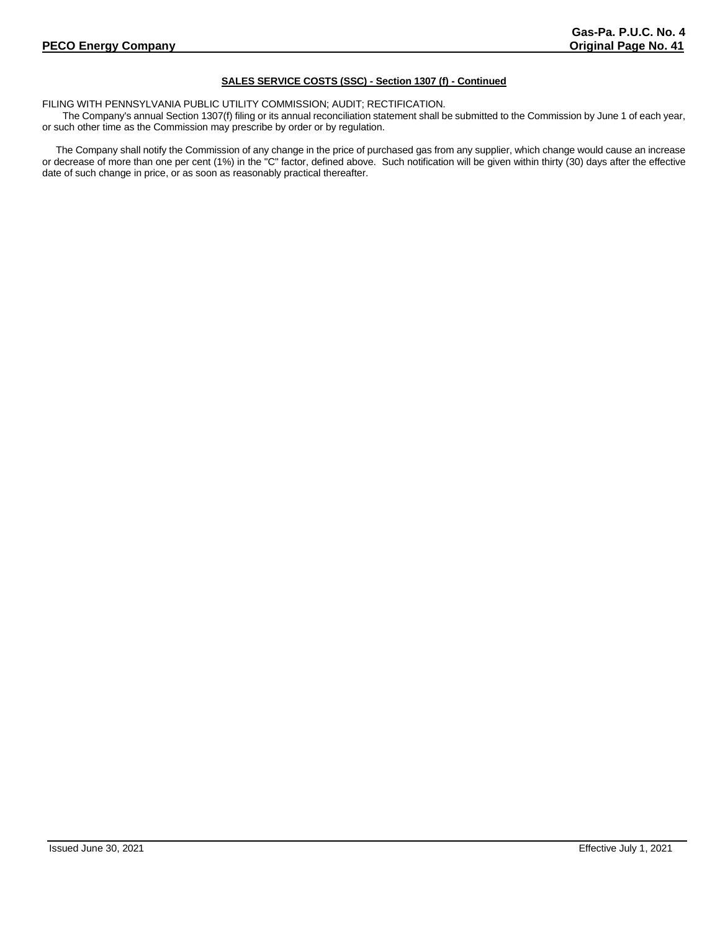# **SALES SERVICE COSTS (SSC) - Section 1307 (f) - Continued**

FILING WITH PENNSYLVANIA PUBLIC UTILITY COMMISSION; AUDIT; RECTIFICATION.

The Company's annual Section 1307(f) filing or its annual reconciliation statement shall be submitted to the Commission by June 1 of each year, or such other time as the Commission may prescribe by order or by regulation.

 The Company shall notify the Commission of any change in the price of purchased gas from any supplier, which change would cause an increase or decrease of more than one per cent (1%) in the "C" factor, defined above. Such notification will be given within thirty (30) days after the effective date of such change in price, or as soon as reasonably practical thereafter.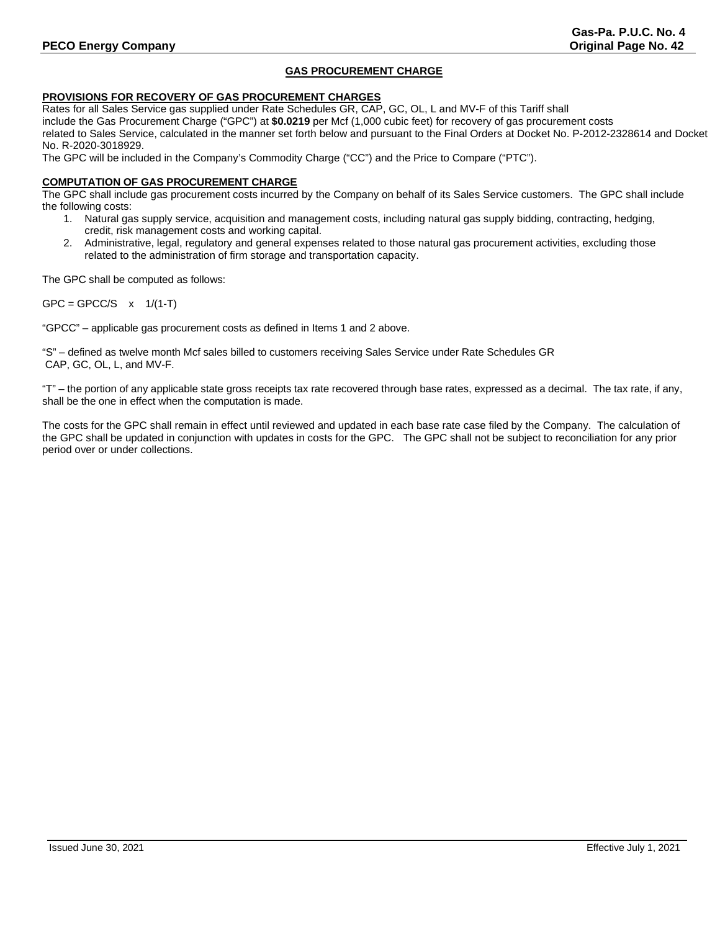# **PECO Energy Company Company Company Company Company Company Company Company Company Company Company Company Company Company Company Company Company Company Company Company Company Company Company Company Company Company C**

# **GAS PROCUREMENT CHARGE**

# **PROVISIONS FOR RECOVERY OF GAS PROCUREMENT CHARGES**

Rates for all Sales Service gas supplied under Rate Schedules GR, CAP, GC, OL, L and MV-F of this Tariff shall include the Gas Procurement Charge ("GPC") at **\$0.0219** per Mcf (1,000 cubic feet) for recovery of gas procurement costs related to Sales Service, calculated in the manner set forth below and pursuant to the Final Orders at Docket No. P-2012-2328614 and Docket No. R-2020-3018929.

The GPC will be included in the Company's Commodity Charge ("CC") and the Price to Compare ("PTC").

# **COMPUTATION OF GAS PROCUREMENT CHARGE**

The GPC shall include gas procurement costs incurred by the Company on behalf of its Sales Service customers. The GPC shall include the following costs:

- 1. Natural gas supply service, acquisition and management costs, including natural gas supply bidding, contracting, hedging, credit, risk management costs and working capital.
- 2. Administrative, legal, regulatory and general expenses related to those natural gas procurement activities, excluding those related to the administration of firm storage and transportation capacity.

The GPC shall be computed as follows:

 $GPC = GPCC/S$  x  $1/(1-T)$ 

"GPCC" – applicable gas procurement costs as defined in Items 1 and 2 above.

"S" – defined as twelve month Mcf sales billed to customers receiving Sales Service under Rate Schedules GR CAP, GC, OL, L, and MV-F.

"T" – the portion of any applicable state gross receipts tax rate recovered through base rates, expressed as a decimal. The tax rate, if any, shall be the one in effect when the computation is made.

The costs for the GPC shall remain in effect until reviewed and updated in each base rate case filed by the Company. The calculation of the GPC shall be updated in conjunction with updates in costs for the GPC. The GPC shall not be subject to reconciliation for any prior period over or under collections.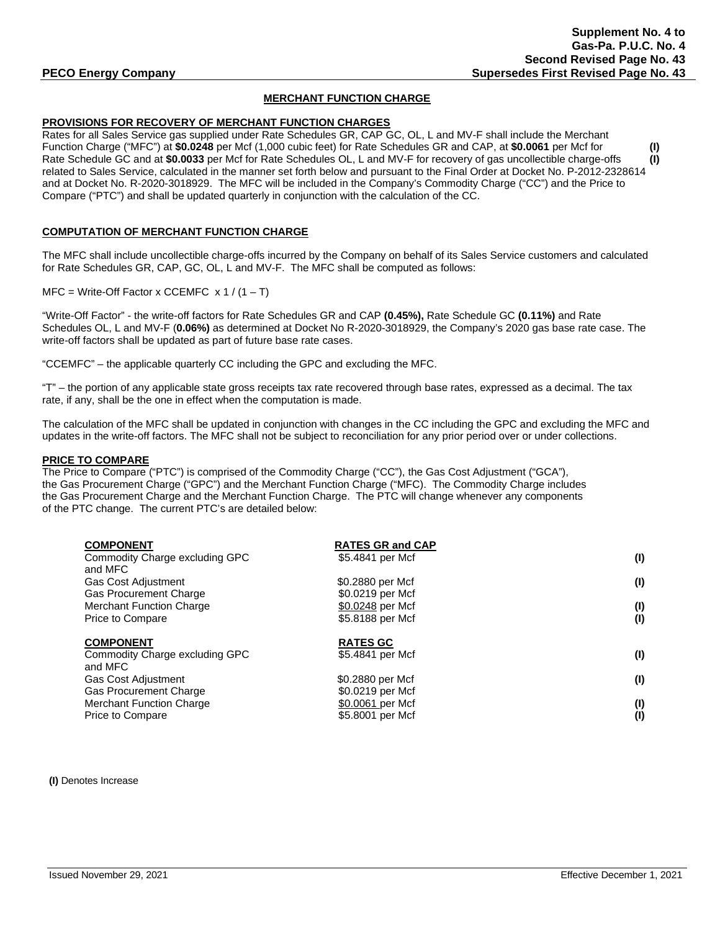# **MERCHANT FUNCTION CHARGE**

# **PROVISIONS FOR RECOVERY OF MERCHANT FUNCTION CHARGES**

Rates for all Sales Service gas supplied under Rate Schedules GR, CAP GC, OL, L and MV-F shall include the Merchant Function Charge ("MFC") at **\$0.0248** per Mcf (1,000 cubic feet) for Rate Schedules GR and CAP, at **\$0.0061** per Mcf for **(I)** Rate Schedule GC and at **\$0.0033** per Mcf for Rate Schedules OL, L and MV-F for recovery of gas uncollectible charge-offs **(I)** related to Sales Service, calculated in the manner set forth below and pursuant to the Final Order at Docket No. P-2012-2328614 and at Docket No. R-2020-3018929. The MFC will be included in the Company's Commodity Charge ("CC") and the Price to Compare ("PTC") and shall be updated quarterly in conjunction with the calculation of the CC.

# **COMPUTATION OF MERCHANT FUNCTION CHARGE**

The MFC shall include uncollectible charge-offs incurred by the Company on behalf of its Sales Service customers and calculated for Rate Schedules GR, CAP, GC, OL, L and MV-F. The MFC shall be computed as follows:

 $MFC = Write-Off Factor x CCEMFC x 1 / (1 - T)$ 

"Write-Off Factor" - the write-off factors for Rate Schedules GR and CAP **(0.45%),** Rate Schedule GC **(0.11%)** and Rate Schedules OL, L and MV-F (**0.06%)** as determined at Docket No R-2020-3018929, the Company's 2020 gas base rate case. The write-off factors shall be updated as part of future base rate cases.

"CCEMFC" – the applicable quarterly CC including the GPC and excluding the MFC.

"T" – the portion of any applicable state gross receipts tax rate recovered through base rates, expressed as a decimal. The tax rate, if any, shall be the one in effect when the computation is made.

The calculation of the MFC shall be updated in conjunction with changes in the CC including the GPC and excluding the MFC and updates in the write-off factors. The MFC shall not be subject to reconciliation for any prior period over or under collections.

## **PRICE TO COMPARE**

The Price to Compare ("PTC") is comprised of the Commodity Charge ("CC"), the Gas Cost Adjustment ("GCA"), the Gas Procurement Charge ("GPC") and the Merchant Function Charge ("MFC). The Commodity Charge includes the Gas Procurement Charge and the Merchant Function Charge. The PTC will change whenever any components of the PTC change. The current PTC's are detailed below:

| <b>COMPONENT</b>                | <b>RATES GR and CAP</b> |     |
|---------------------------------|-------------------------|-----|
| Commodity Charge excluding GPC  | \$5.4841 per Mcf        | (1) |
| and MFC                         |                         |     |
| <b>Gas Cost Adjustment</b>      | \$0.2880 per Mcf        | (1) |
| <b>Gas Procurement Charge</b>   | \$0.0219 per Mcf        |     |
| <b>Merchant Function Charge</b> | \$0.0248 per Mcf        | (1) |
| Price to Compare                | \$5.8188 per Mcf        | (1) |
|                                 |                         |     |
| <b>COMPONENT</b>                | <b>RATES GC</b>         |     |
| Commodity Charge excluding GPC  | \$5.4841 per Mcf        | (1) |
| and MFC                         |                         |     |
| <b>Gas Cost Adjustment</b>      | \$0.2880 per Mcf        | (1) |
| <b>Gas Procurement Charge</b>   | \$0.0219 per Mcf        |     |
| <b>Merchant Function Charge</b> | \$0.0061 per Mcf        | (1) |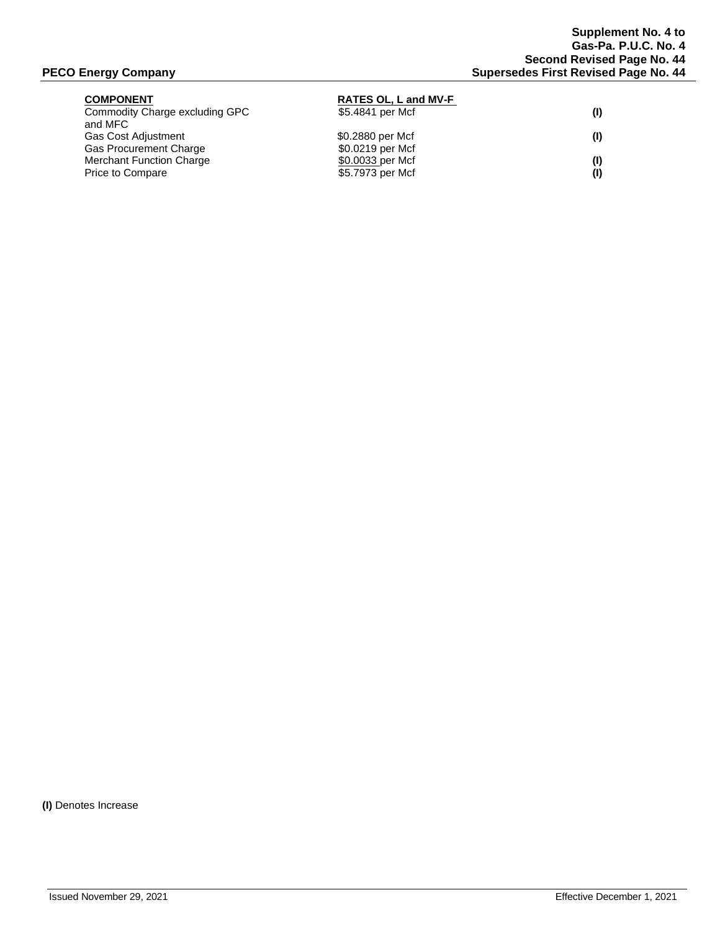| <b>RATES OL, L and MV-F</b> |     |
|-----------------------------|-----|
| \$5.4841 per Mcf            | (1) |
|                             |     |
| \$0.2880 per Mcf            | (1) |
| \$0.0219 per Mcf            |     |
| \$0.0033 per Mcf            | (1) |
| \$5.7973 per Mcf            | (1) |
|                             |     |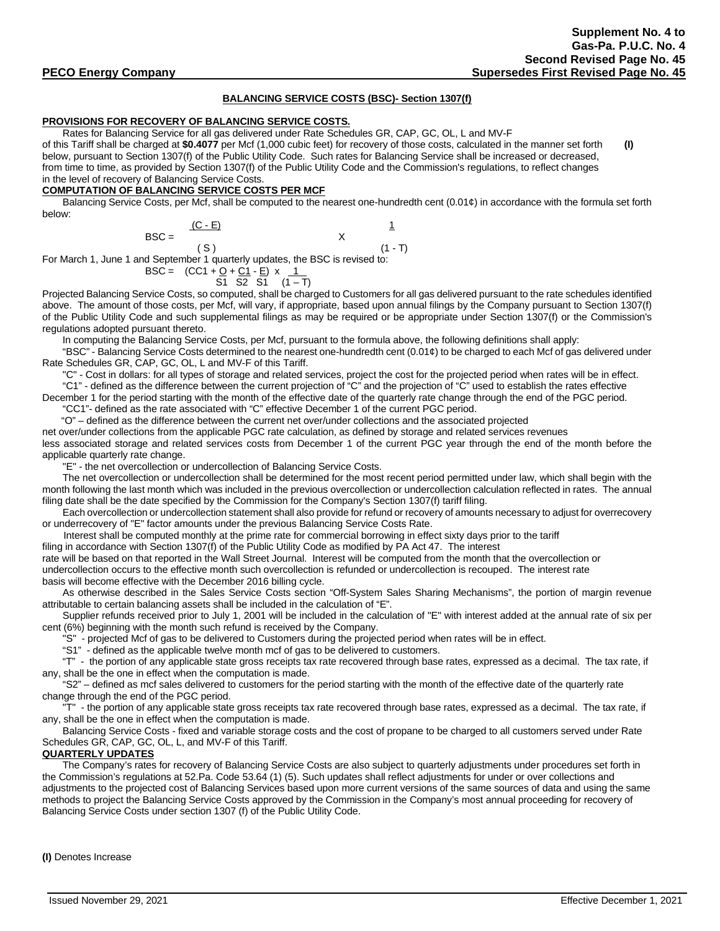## **BALANCING SERVICE COSTS (BSC)- Section 1307(f)**

# **PROVISIONS FOR RECOVERY OF BALANCING SERVICE COSTS.**

Rates for Balancing Service for all gas delivered under Rate Schedules GR, CAP, GC, OL, L and MV-F

of this Tariff shall be charged at **\$0.4077** per Mcf (1,000 cubic feet) for recovery of those costs, calculated in the manner set forth **(I)** below, pursuant to Section 1307(f) of the Public Utility Code. Such rates for Balancing Service shall be increased or decreased, from time to time, as provided by Section 1307(f) of the Public Utility Code and the Commission's regulations, to reflect changes in the level of recovery of Balancing Service Costs.

# **COMPUTATION OF BALANCING SERVICE COSTS PER MCF**

Balancing Service Costs, per Mcf, shall be computed to the nearest one-hundredth cent (0.01¢) in accordance with the formula set forth below:

| $(C - E)$                                                                     |           |
|-------------------------------------------------------------------------------|-----------|
| $\text{BSC} =$                                                                |           |
|                                                                               | $(1 - T)$ |
| For March 1, June 1 and September 1 quarterly updates, the BSC is revised to: |           |

For March 1, June 1 and September 1 quarterly updates, the BSC is revised to:

 $BSC = (CC1 + Q + C1 - E) \times 1$  $S1$  S2 S1  $(1 - T)$ 

Projected Balancing Service Costs, so computed, shall be charged to Customers for all gas delivered pursuant to the rate schedules identified above. The amount of those costs, per Mcf, will vary, if appropriate, based upon annual filings by the Company pursuant to Section 1307(f) of the Public Utility Code and such supplemental filings as may be required or be appropriate under Section 1307(f) or the Commission's regulations adopted pursuant thereto.

In computing the Balancing Service Costs, per Mcf, pursuant to the formula above, the following definitions shall apply:

"BSC" - Balancing Service Costs determined to the nearest one-hundredth cent (0.01¢) to be charged to each Mcf of gas delivered under Rate Schedules GR, CAP, GC, OL, L and MV-F of this Tariff.

"C" - Cost in dollars: for all types of storage and related services, project the cost for the projected period when rates will be in effect.

"C1" - defined as the difference between the current projection of "C" and the projection of "C" used to establish the rates effective December 1 for the period starting with the month of the effective date of the quarterly rate change through the end of the PGC period.

"CC1"- defined as the rate associated with "C" effective December 1 of the current PGC period.

"O" – defined as the difference between the current net over/under collections and the associated projected

net over/under collections from the applicable PGC rate calculation, as defined by storage and related services revenues

less associated storage and related services costs from December 1 of the current PGC year through the end of the month before the applicable quarterly rate change.

"E" - the net overcollection or undercollection of Balancing Service Costs.

The net overcollection or undercollection shall be determined for the most recent period permitted under law, which shall begin with the month following the last month which was included in the previous overcollection or undercollection calculation reflected in rates. The annual filing date shall be the date specified by the Commission for the Company's Section 1307(f) tariff filing.

Each overcollection or undercollection statement shall also provide for refund or recovery of amounts necessary to adjust for overrecovery or underrecovery of "E" factor amounts under the previous Balancing Service Costs Rate.

Interest shall be computed monthly at the prime rate for commercial borrowing in effect sixty days prior to the tariff

filing in accordance with Section 1307(f) of the Public Utility Code as modified by PA Act 47. The interest

rate will be based on that reported in the Wall Street Journal. Interest will be computed from the month that the overcollection or undercollection occurs to the effective month such overcollection is refunded or undercollection is recouped. The interest rate basis will become effective with the December 2016 billing cycle.

As otherwise described in the Sales Service Costs section "Off-System Sales Sharing Mechanisms", the portion of margin revenue attributable to certain balancing assets shall be included in the calculation of "E".

Supplier refunds received prior to July 1, 2001 will be included in the calculation of "E" with interest added at the annual rate of six per cent (6%) beginning with the month such refund is received by the Company.

"S" - projected Mcf of gas to be delivered to Customers during the projected period when rates will be in effect.

"S1" - defined as the applicable twelve month mcf of gas to be delivered to customers.

"T" - the portion of any applicable state gross receipts tax rate recovered through base rates, expressed as a decimal. The tax rate, if any, shall be the one in effect when the computation is made.

"S2" – defined as mcf sales delivered to customers for the period starting with the month of the effective date of the quarterly rate change through the end of the PGC period.

"T" - the portion of any applicable state gross receipts tax rate recovered through base rates, expressed as a decimal. The tax rate, if any, shall be the one in effect when the computation is made.

 Balancing Service Costs - fixed and variable storage costs and the cost of propane to be charged to all customers served under Rate Schedules GR, CAP, GC, OL, L, and MV-F of this Tariff.

# **QUARTERLY UPDATES**

The Company's rates for recovery of Balancing Service Costs are also subject to quarterly adjustments under procedures set forth in the Commission's regulations at 52.Pa. Code 53.64 (1) (5). Such updates shall reflect adjustments for under or over collections and adjustments to the projected cost of Balancing Services based upon more current versions of the same sources of data and using the same methods to project the Balancing Service Costs approved by the Commission in the Company's most annual proceeding for recovery of Balancing Service Costs under section 1307 (f) of the Public Utility Code.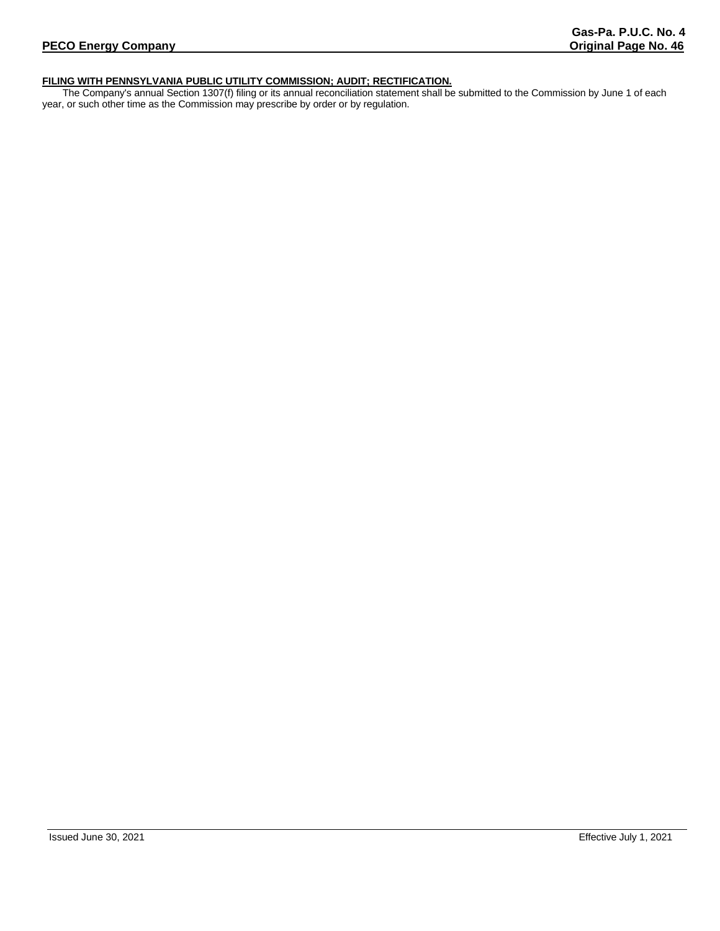# **FILING WITH PENNSYLVANIA PUBLIC UTILITY COMMISSION; AUDIT; RECTIFICATION.**

The Company's annual Section 1307(f) filing or its annual reconciliation statement shall be submitted to the Commission by June 1 of each year, or such other time as the Commission may prescribe by order or by regulation.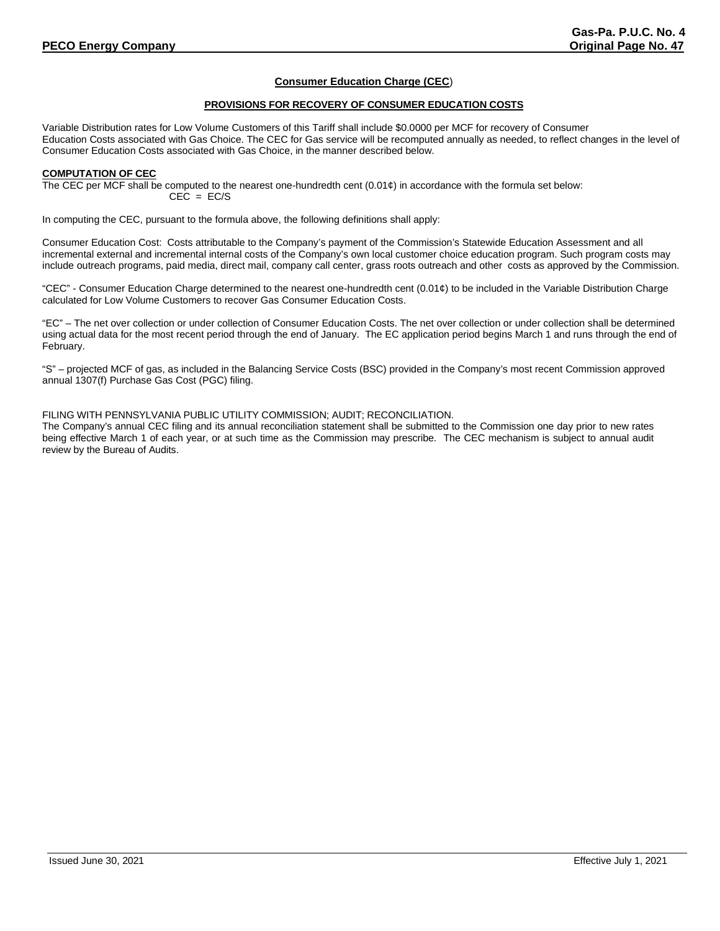# **Consumer Education Charge (CEC**)

## **PROVISIONS FOR RECOVERY OF CONSUMER EDUCATION COSTS**

Variable Distribution rates for Low Volume Customers of this Tariff shall include \$0.0000 per MCF for recovery of Consumer Education Costs associated with Gas Choice. The CEC for Gas service will be recomputed annually as needed, to reflect changes in the level of Consumer Education Costs associated with Gas Choice, in the manner described below.

## **COMPUTATION OF CEC**

The CEC per MCF shall be computed to the nearest one-hundredth cent  $(0.01¢)$  in accordance with the formula set below:  $CEC = EC/S$ 

In computing the CEC, pursuant to the formula above, the following definitions shall apply:

Consumer Education Cost: Costs attributable to the Company's payment of the Commission's Statewide Education Assessment and all incremental external and incremental internal costs of the Company's own local customer choice education program. Such program costs may include outreach programs, paid media, direct mail, company call center, grass roots outreach and other costs as approved by the Commission.

"CEC" - Consumer Education Charge determined to the nearest one-hundredth cent (0.01¢) to be included in the Variable Distribution Charge calculated for Low Volume Customers to recover Gas Consumer Education Costs.

"EC" – The net over collection or under collection of Consumer Education Costs. The net over collection or under collection shall be determined using actual data for the most recent period through the end of January. The EC application period begins March 1 and runs through the end of February.

"S" – projected MCF of gas, as included in the Balancing Service Costs (BSC) provided in the Company's most recent Commission approved annual 1307(f) Purchase Gas Cost (PGC) filing.

## FILING WITH PENNSYLVANIA PUBLIC UTILITY COMMISSION; AUDIT; RECONCILIATION.

The Company's annual CEC filing and its annual reconciliation statement shall be submitted to the Commission one day prior to new rates being effective March 1 of each year, or at such time as the Commission may prescribe. The CEC mechanism is subject to annual audit review by the Bureau of Audits.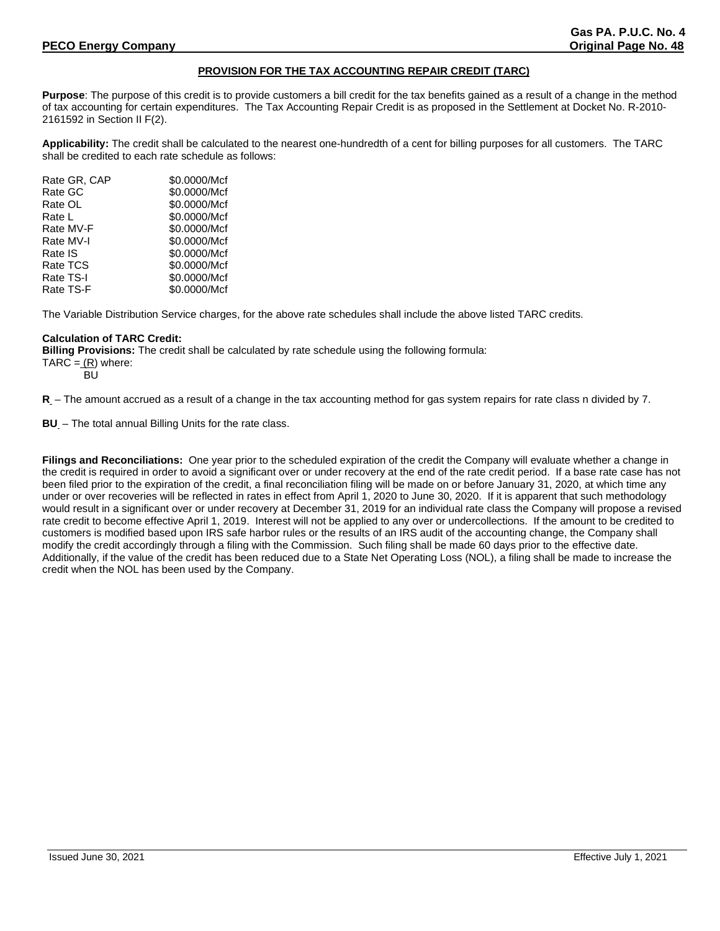# **PROVISION FOR THE TAX ACCOUNTING REPAIR CREDIT (TARC)**

**Purpose**: The purpose of this credit is to provide customers a bill credit for the tax benefits gained as a result of a change in the method of tax accounting for certain expenditures. The Tax Accounting Repair Credit is as proposed in the Settlement at Docket No. R-2010- 2161592 in Section II F(2).

**Applicability:** The credit shall be calculated to the nearest one-hundredth of a cent for billing purposes for all customers. The TARC shall be credited to each rate schedule as follows:

| Rate GR, CAP | \$0.0000/Mcf |
|--------------|--------------|
| Rate GC      | \$0.0000/Mcf |
| Rate OL      | \$0.0000/Mcf |
| Rate L       | \$0.0000/Mcf |
| Rate MV-F    | \$0.0000/Mcf |
| Rate MV-I    | \$0.0000/Mcf |
| Rate IS      | \$0.0000/Mcf |
| Rate TCS     | \$0.0000/Mcf |
| Rate TS-I    | \$0.0000/Mcf |
| Rate TS-F    | \$0.0000/Mcf |
|              |              |

The Variable Distribution Service charges, for the above rate schedules shall include the above listed TARC credits.

# **Calculation of TARC Credit:**

**Billing Provisions:** The credit shall be calculated by rate schedule using the following formula:  $TARC = (R)$  where:

BU

**R** – The amount accrued as a result of a change in the tax accounting method for gas system repairs for rate class n divided by 7.

**BU** – The total annual Billing Units for the rate class.

**Filings and Reconciliations:** One year prior to the scheduled expiration of the credit the Company will evaluate whether a change in the credit is required in order to avoid a significant over or under recovery at the end of the rate credit period. If a base rate case has not been filed prior to the expiration of the credit, a final reconciliation filing will be made on or before January 31, 2020, at which time any under or over recoveries will be reflected in rates in effect from April 1, 2020 to June 30, 2020. If it is apparent that such methodology would result in a significant over or under recovery at December 31, 2019 for an individual rate class the Company will propose a revised rate credit to become effective April 1, 2019. Interest will not be applied to any over or undercollections. If the amount to be credited to customers is modified based upon IRS safe harbor rules or the results of an IRS audit of the accounting change, the Company shall modify the credit accordingly through a filing with the Commission. Such filing shall be made 60 days prior to the effective date. Additionally, if the value of the credit has been reduced due to a State Net Operating Loss (NOL), a filing shall be made to increase the credit when the NOL has been used by the Company.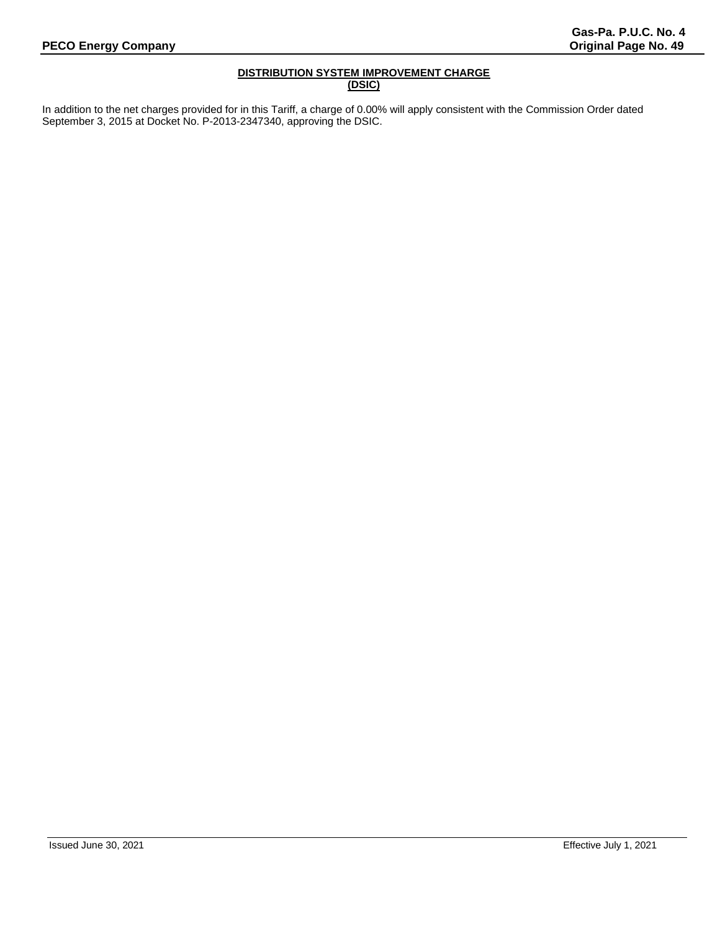# **DISTRIBUTION SYSTEM IMPROVEMENT CHARGE (DSIC)**

In addition to the net charges provided for in this Tariff, a charge of 0.00% will apply consistent with the Commission Order dated September 3, 2015 at Docket No. P-2013-2347340, approving the DSIC.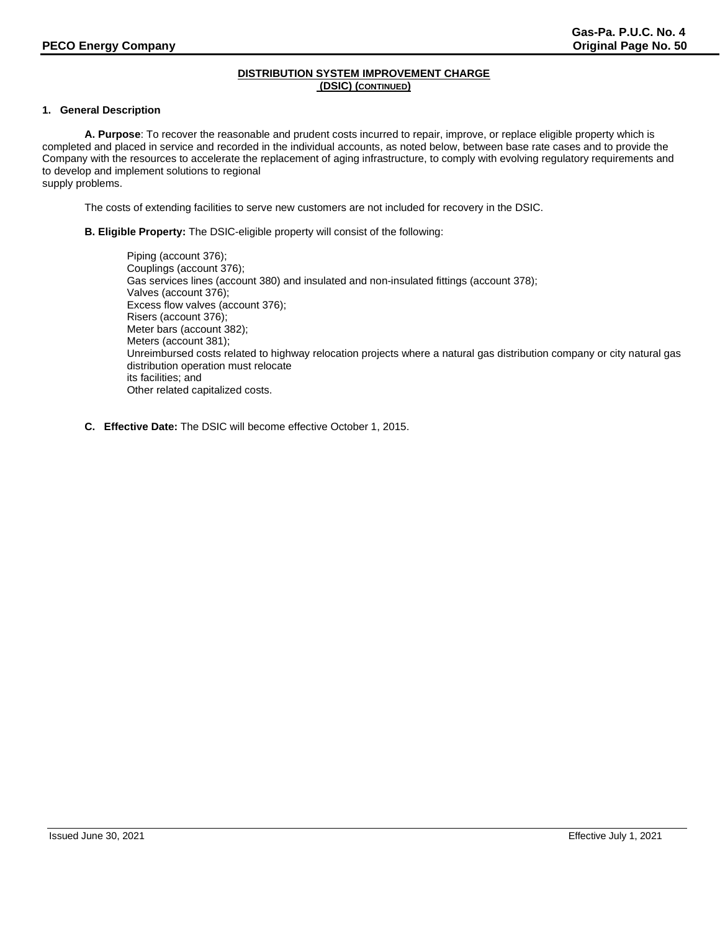# **1. General Description**

**A. Purpose**: To recover the reasonable and prudent costs incurred to repair, improve, or replace eligible property which is completed and placed in service and recorded in the individual accounts, as noted below, between base rate cases and to provide the Company with the resources to accelerate the replacement of aging infrastructure, to comply with evolving regulatory requirements and to develop and implement solutions to regional

supply problems.

The costs of extending facilities to serve new customers are not included for recovery in the DSIC.

**B. Eligible Property:** The DSIC-eligible property will consist of the following:

Piping (account 376); Couplings (account 376); Gas services lines (account 380) and insulated and non-insulated fittings (account 378); Valves (account 376); Excess flow valves (account 376); Risers (account 376); Meter bars (account 382); Meters (account 381); Unreimbursed costs related to highway relocation projects where a natural gas distribution company or city natural gas distribution operation must relocate its facilities; and Other related capitalized costs.

**C. Effective Date:** The DSIC will become effective October 1, 2015.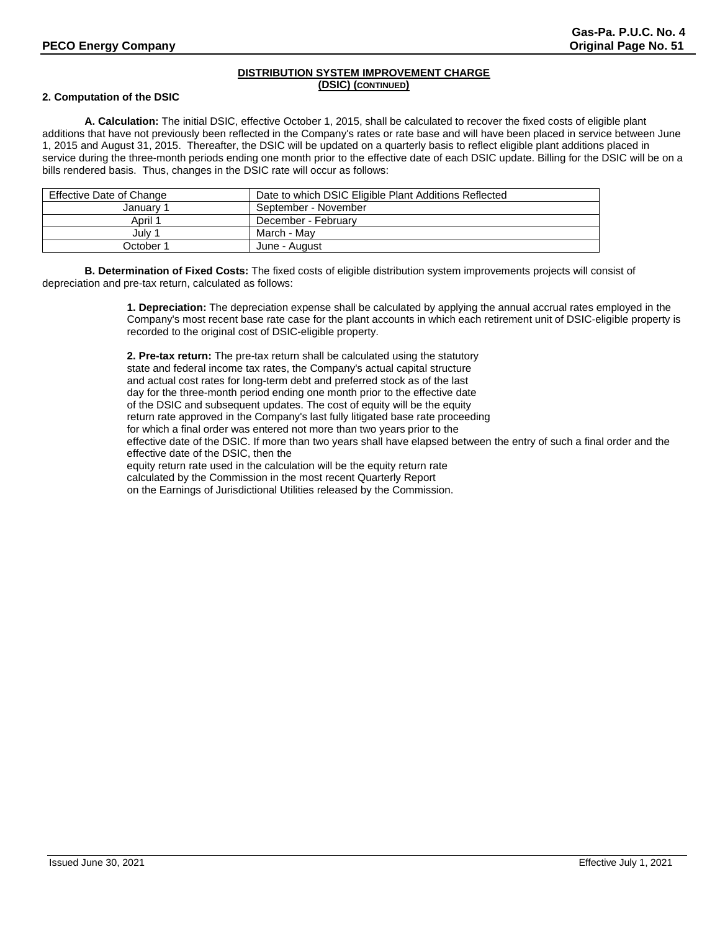# **2. Computation of the DSIC**

**A. Calculation:** The initial DSIC, effective October 1, 2015, shall be calculated to recover the fixed costs of eligible plant additions that have not previously been reflected in the Company's rates or rate base and will have been placed in service between June 1, 2015 and August 31, 2015. Thereafter, the DSIC will be updated on a quarterly basis to reflect eligible plant additions placed in service during the three-month periods ending one month prior to the effective date of each DSIC update. Billing for the DSIC will be on a bills rendered basis. Thus, changes in the DSIC rate will occur as follows:

| Effective Date of Change | Date to which DSIC Eligible Plant Additions Reflected |
|--------------------------|-------------------------------------------------------|
| January 1                | September - November                                  |
| April 1                  | December - February                                   |
| July 1                   | March - Mav                                           |
| October 1                | June - August                                         |

**B. Determination of Fixed Costs:** The fixed costs of eligible distribution system improvements projects will consist of depreciation and pre-tax return, calculated as follows:

> **1. Depreciation:** The depreciation expense shall be calculated by applying the annual accrual rates employed in the Company's most recent base rate case for the plant accounts in which each retirement unit of DSIC-eligible property is recorded to the original cost of DSIC-eligible property.

**2. Pre-tax return:** The pre-tax return shall be calculated using the statutory state and federal income tax rates, the Company's actual capital structure and actual cost rates for long-term debt and preferred stock as of the last day for the three-month period ending one month prior to the effective date of the DSIC and subsequent updates. The cost of equity will be the equity return rate approved in the Company's last fully litigated base rate proceeding for which a final order was entered not more than two years prior to the effective date of the DSIC. If more than two years shall have elapsed between the entry of such a final order and the effective date of the DSIC, then the equity return rate used in the calculation will be the equity return rate calculated by the Commission in the most recent Quarterly Report on the Earnings of Jurisdictional Utilities released by the Commission.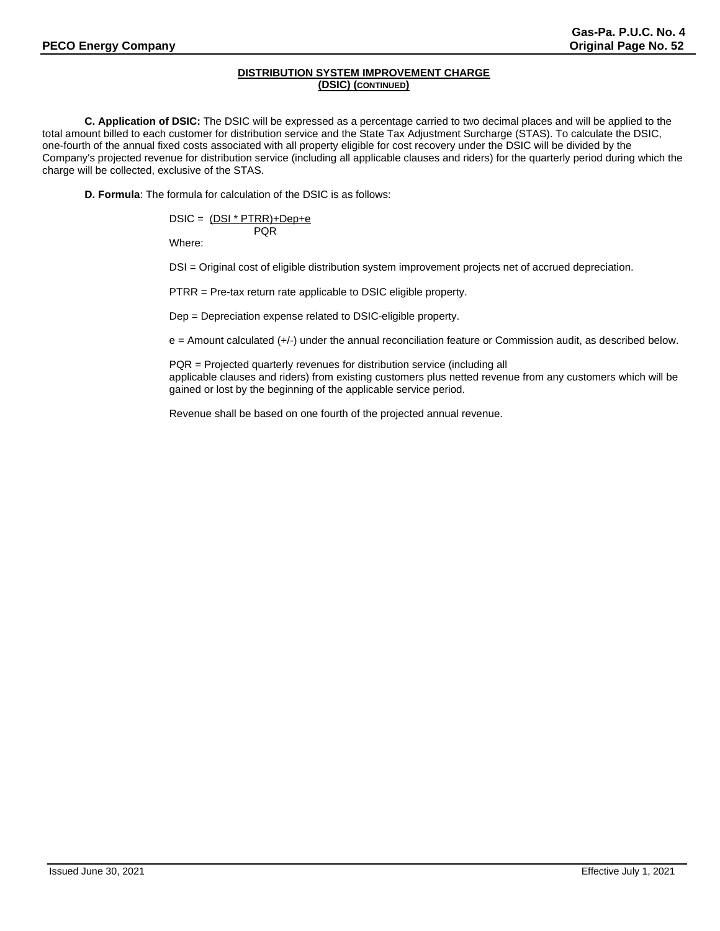**C. Application of DSIC:** The DSIC will be expressed as a percentage carried to two decimal places and will be applied to the total amount billed to each customer for distribution service and the State Tax Adjustment Surcharge (STAS). To calculate the DSIC, one-fourth of the annual fixed costs associated with all property eligible for cost recovery under the DSIC will be divided by the Company's projected revenue for distribution service (including all applicable clauses and riders) for the quarterly period during which the charge will be collected, exclusive of the STAS.

**D. Formula**: The formula for calculation of the DSIC is as follows:

$$
DSIC = \frac{(DSI * PTRR) + Dep + e}{PQR}
$$

Where:

DSI = Original cost of eligible distribution system improvement projects net of accrued depreciation.

PTRR = Pre-tax return rate applicable to DSIC eligible property.

Dep = Depreciation expense related to DSIC-eligible property.

e = Amount calculated (+/-) under the annual reconciliation feature or Commission audit, as described below.

PQR = Projected quarterly revenues for distribution service (including all applicable clauses and riders) from existing customers plus netted revenue from any customers which will be gained or lost by the beginning of the applicable service period.

Revenue shall be based on one fourth of the projected annual revenue.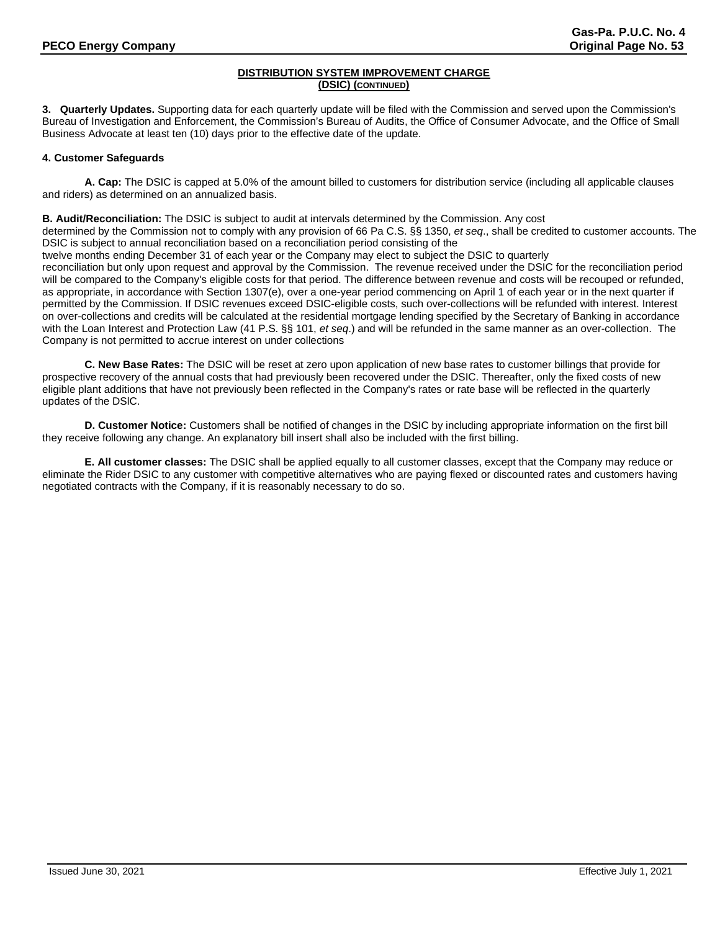**3. Quarterly Updates.** Supporting data for each quarterly update will be filed with the Commission and served upon the Commission's Bureau of Investigation and Enforcement, the Commission's Bureau of Audits, the Office of Consumer Advocate, and the Office of Small Business Advocate at least ten (10) days prior to the effective date of the update.

# **4. Customer Safeguards**

**A. Cap:** The DSIC is capped at 5.0% of the amount billed to customers for distribution service (including all applicable clauses and riders) as determined on an annualized basis.

**B. Audit/Reconciliation:** The DSIC is subject to audit at intervals determined by the Commission. Any cost

determined by the Commission not to comply with any provision of 66 Pa C.S. §§ 1350, *et seq*., shall be credited to customer accounts. The DSIC is subject to annual reconciliation based on a reconciliation period consisting of the

twelve months ending December 31 of each year or the Company may elect to subject the DSIC to quarterly

reconciliation but only upon request and approval by the Commission. The revenue received under the DSIC for the reconciliation period will be compared to the Company's eligible costs for that period. The difference between revenue and costs will be recouped or refunded, as appropriate, in accordance with Section 1307(e), over a one-year period commencing on April 1 of each year or in the next quarter if permitted by the Commission. If DSIC revenues exceed DSIC-eligible costs, such over-collections will be refunded with interest. Interest on over-collections and credits will be calculated at the residential mortgage lending specified by the Secretary of Banking in accordance with the Loan Interest and Protection Law (41 P.S. §§ 101, *et seq*.) and will be refunded in the same manner as an over-collection. The Company is not permitted to accrue interest on under collections

**C. New Base Rates:** The DSIC will be reset at zero upon application of new base rates to customer billings that provide for prospective recovery of the annual costs that had previously been recovered under the DSIC. Thereafter, only the fixed costs of new eligible plant additions that have not previously been reflected in the Company's rates or rate base will be reflected in the quarterly updates of the DSlC.

**D. Customer Notice:** Customers shall be notified of changes in the DSIC by including appropriate information on the first bill they receive following any change. An explanatory bill insert shall also be included with the first billing.

**E. All customer classes:** The DSIC shall be applied equally to all customer classes, except that the Company may reduce or eliminate the Rider DSIC to any customer with competitive alternatives who are paying flexed or discounted rates and customers having negotiated contracts with the Company, if it is reasonably necessary to do so.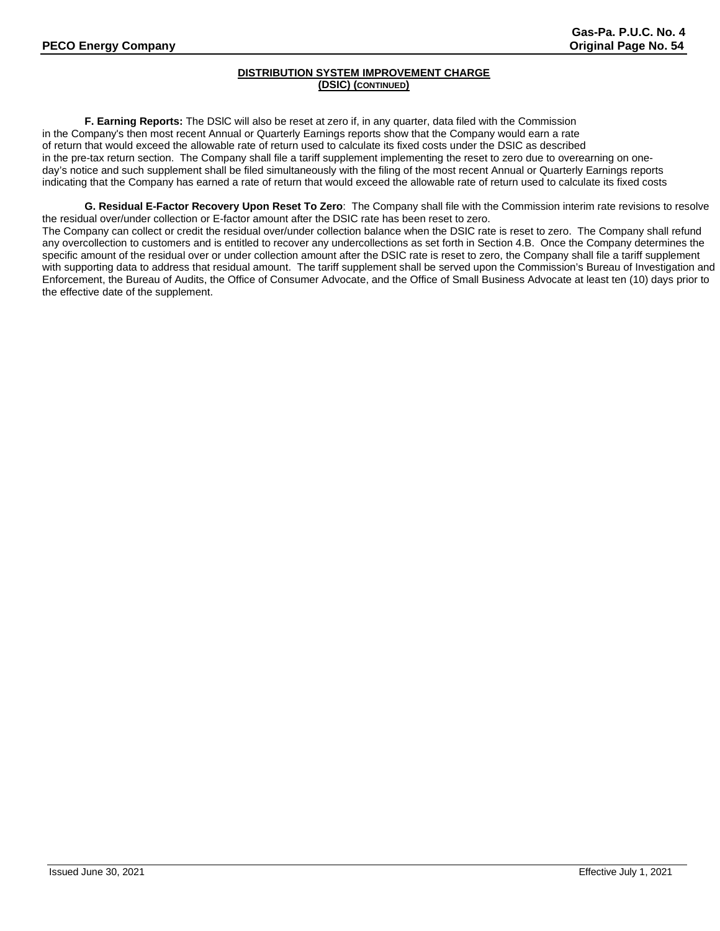**F. Earning Reports:** The DSlC will also be reset at zero if, in any quarter, data filed with the Commission in the Company's then most recent Annual or Quarterly Earnings reports show that the Company would earn a rate of return that would exceed the allowable rate of return used to calculate its fixed costs under the DSIC as described in the pre-tax return section. The Company shall file a tariff supplement implementing the reset to zero due to overearning on oneday's notice and such supplement shall be filed simultaneously with the filing of the most recent Annual or Quarterly Earnings reports indicating that the Company has earned a rate of return that would exceed the allowable rate of return used to calculate its fixed costs

**G. Residual E-Factor Recovery Upon Reset To Zero**: The Company shall file with the Commission interim rate revisions to resolve the residual over/under collection or E-factor amount after the DSIC rate has been reset to zero. The Company can collect or credit the residual over/under collection balance when the DSIC rate is reset to zero. The Company shall refund any overcollection to customers and is entitled to recover any undercollections as set forth in Section 4.B. Once the Company determines the specific amount of the residual over or under collection amount after the DSIC rate is reset to zero, the Company shall file a tariff supplement with supporting data to address that residual amount. The tariff supplement shall be served upon the Commission's Bureau of Investigation and Enforcement, the Bureau of Audits, the Office of Consumer Advocate, and the Office of Small Business Advocate at least ten (10) days prior to the effective date of the supplement.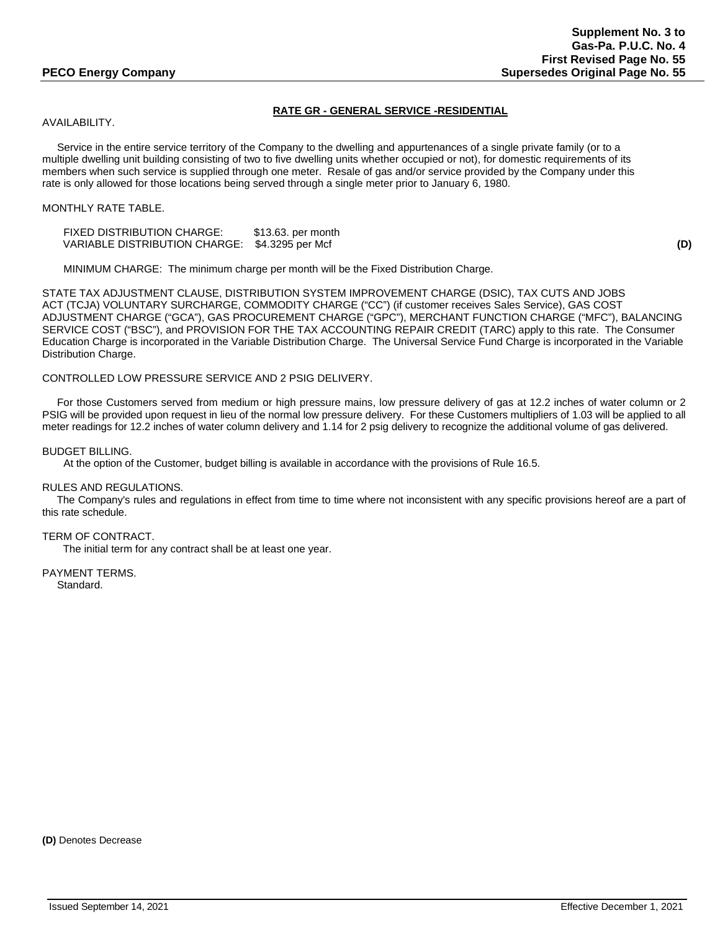# **RATE GR - GENERAL SERVICE -RESIDENTIAL**

# AVAILABILITY.

 Service in the entire service territory of the Company to the dwelling and appurtenances of a single private family (or to a multiple dwelling unit building consisting of two to five dwelling units whether occupied or not), for domestic requirements of its members when such service is supplied through one meter. Resale of gas and/or service provided by the Company under this rate is only allowed for those locations being served through a single meter prior to January 6, 1980.

# MONTHLY RATE TABLE.

FIXED DISTRIBUTION CHARGE: \$13.63. per month VARIABLE DISTRIBUTION CHARGE: \$4.3295 per Mcf **(D)**

MINIMUM CHARGE: The minimum charge per month will be the Fixed Distribution Charge.

STATE TAX ADJUSTMENT CLAUSE, DISTRIBUTION SYSTEM IMPROVEMENT CHARGE (DSIC), TAX CUTS AND JOBS ACT (TCJA) VOLUNTARY SURCHARGE, COMMODITY CHARGE ("CC") (if customer receives Sales Service), GAS COST ADJUSTMENT CHARGE ("GCA"), GAS PROCUREMENT CHARGE ("GPC"), MERCHANT FUNCTION CHARGE ("MFC"), BALANCING SERVICE COST ("BSC"), and PROVISION FOR THE TAX ACCOUNTING REPAIR CREDIT (TARC) apply to this rate. The Consumer Education Charge is incorporated in the Variable Distribution Charge. The Universal Service Fund Charge is incorporated in the Variable Distribution Charge.

CONTROLLED LOW PRESSURE SERVICE AND 2 PSIG DELIVERY.

 For those Customers served from medium or high pressure mains, low pressure delivery of gas at 12.2 inches of water column or 2 PSIG will be provided upon request in lieu of the normal low pressure delivery. For these Customers multipliers of 1.03 will be applied to all meter readings for 12.2 inches of water column delivery and 1.14 for 2 psig delivery to recognize the additional volume of gas delivered.

BUDGET BILLING.

At the option of the Customer, budget billing is available in accordance with the provisions of Rule 16.5.

RULES AND REGULATIONS.

 The Company's rules and regulations in effect from time to time where not inconsistent with any specific provisions hereof are a part of this rate schedule.

TERM OF CONTRACT.

The initial term for any contract shall be at least one year.

PAYMENT TERMS. Standard.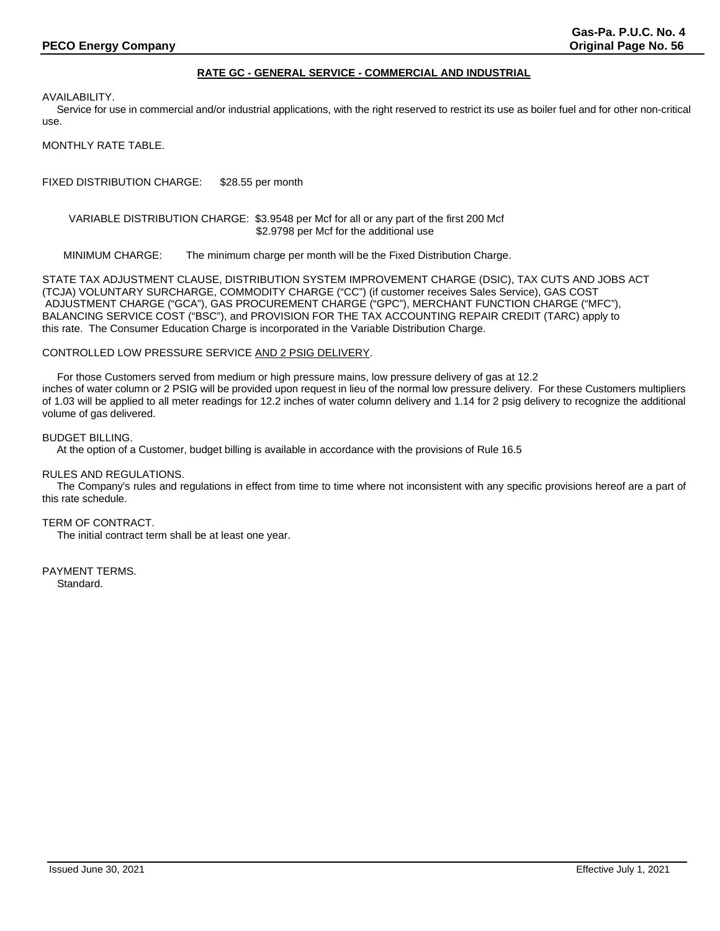# **RATE GC - GENERAL SERVICE - COMMERCIAL AND INDUSTRIAL**

AVAILABILITY.

 Service for use in commercial and/or industrial applications, with the right reserved to restrict its use as boiler fuel and for other non-critical use.

MONTHLY RATE TABLE.

FIXED DISTRIBUTION CHARGE: \$28.55 per month

# VARIABLE DISTRIBUTION CHARGE: \$3.9548 per Mcf for all or any part of the first 200 Mcf \$2.9798 per Mcf for the additional use

MINIMUM CHARGE: The minimum charge per month will be the Fixed Distribution Charge.

STATE TAX ADJUSTMENT CLAUSE, DISTRIBUTION SYSTEM IMPROVEMENT CHARGE (DSIC), TAX CUTS AND JOBS ACT (TCJA) VOLUNTARY SURCHARGE, COMMODITY CHARGE ("CC") (if customer receives Sales Service), GAS COST ADJUSTMENT CHARGE ("GCA"), GAS PROCUREMENT CHARGE ("GPC"), MERCHANT FUNCTION CHARGE ("MFC"), BALANCING SERVICE COST ("BSC"), and PROVISION FOR THE TAX ACCOUNTING REPAIR CREDIT (TARC) apply to this rate. The Consumer Education Charge is incorporated in the Variable Distribution Charge.

## CONTROLLED LOW PRESSURE SERVICE AND 2 PSIG DELIVERY.

 For those Customers served from medium or high pressure mains, low pressure delivery of gas at 12.2 inches of water column or 2 PSIG will be provided upon request in lieu of the normal low pressure delivery. For these Customers multipliers of 1.03 will be applied to all meter readings for 12.2 inches of water column delivery and 1.14 for 2 psig delivery to recognize the additional volume of gas delivered.

### BUDGET BILLING.

At the option of a Customer, budget billing is available in accordance with the provisions of Rule 16.5

## RULES AND REGULATIONS.

 The Company's rules and regulations in effect from time to time where not inconsistent with any specific provisions hereof are a part of this rate schedule.

# TERM OF CONTRACT.

The initial contract term shall be at least one year.

PAYMENT TERMS. Standard.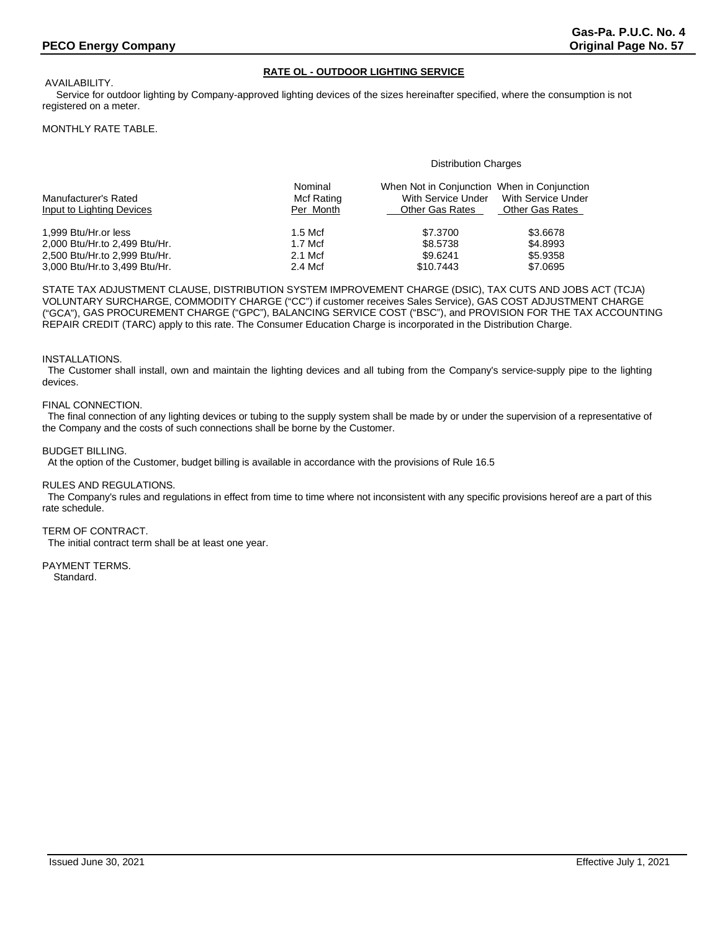# **RATE OL - OUTDOOR LIGHTING SERVICE**

AVAILABILITY.

 Service for outdoor lighting by Company-approved lighting devices of the sizes hereinafter specified, where the consumption is not registered on a meter.

## MONTHLY RATE TABLE.

#### Distribution Charges

| Manufacturer's Rated<br>Input to Lighting Devices | Nominal<br>Mcf Rating<br>Per Month | When Not in Conjunction When in Conjunction<br>With Service Under<br><b>Other Gas Rates</b> | With Service Under<br>Other Gas Rates |
|---------------------------------------------------|------------------------------------|---------------------------------------------------------------------------------------------|---------------------------------------|
| 1.999 Btu/Hr.or less                              | $1.5$ Mcf                          | \$7,3700                                                                                    | \$3,6678                              |
| 2,000 Btu/Hr.to 2,499 Btu/Hr.                     | $1.7$ Mcf                          | \$8,5738                                                                                    | \$4.8993                              |
| 2,500 Btu/Hr.to 2,999 Btu/Hr.                     | 2.1 Mcf                            | \$9.6241                                                                                    | \$5.9358                              |
| 3,000 Btu/Hr.to 3,499 Btu/Hr.                     | 2.4 Mcf                            | \$10.7443                                                                                   | \$7.0695                              |

STATE TAX ADJUSTMENT CLAUSE, DISTRIBUTION SYSTEM IMPROVEMENT CHARGE (DSIC), TAX CUTS AND JOBS ACT (TCJA) VOLUNTARY SURCHARGE, COMMODITY CHARGE ("CC") if customer receives Sales Service), GAS COST ADJUSTMENT CHARGE ("GCA"), GAS PROCUREMENT CHARGE ("GPC"), BALANCING SERVICE COST ("BSC"), and PROVISION FOR THE TAX ACCOUNTING REPAIR CREDIT (TARC) apply to this rate. The Consumer Education Charge is incorporated in the Distribution Charge.

### INSTALLATIONS.

 The Customer shall install, own and maintain the lighting devices and all tubing from the Company's service-supply pipe to the lighting devices.

## FINAL CONNECTION.

 The final connection of any lighting devices or tubing to the supply system shall be made by or under the supervision of a representative of the Company and the costs of such connections shall be borne by the Customer.

## BUDGET BILLING.

At the option of the Customer, budget billing is available in accordance with the provisions of Rule 16.5

### RULES AND REGULATIONS.

 The Company's rules and regulations in effect from time to time where not inconsistent with any specific provisions hereof are a part of this rate schedule.

#### TERM OF CONTRACT.

The initial contract term shall be at least one year.

# PAYMENT TERMS.

Standard.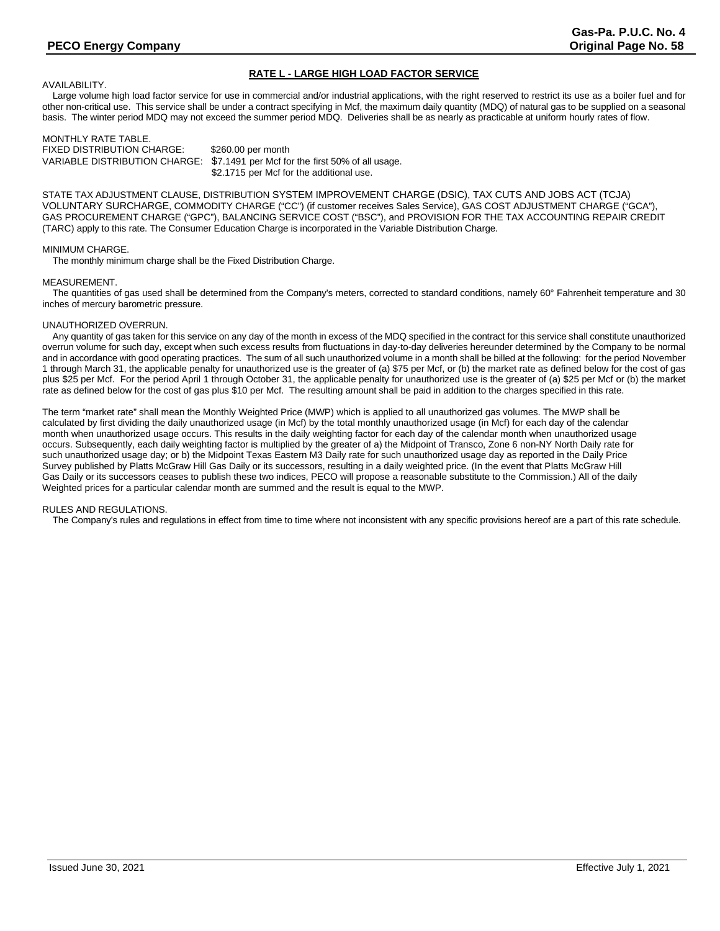# **RATE L - LARGE HIGH LOAD FACTOR SERVICE**

AVAILABILITY.

 Large volume high load factor service for use in commercial and/or industrial applications, with the right reserved to restrict its use as a boiler fuel and for other non-critical use. This service shall be under a contract specifying in Mcf, the maximum daily quantity (MDQ) of natural gas to be supplied on a seasonal basis. The winter period MDQ may not exceed the summer period MDQ. Deliveries shall be as nearly as practicable at uniform hourly rates of flow.

MONTHLY RATE TABLE. FIXED DISTRIBUTION CHARGE: \$260.00 per month<br>VARIABLE DISTRIBUTION CHARGE: \$7.1491 per Mcf fo \$7.1491 per Mcf for the first 50% of all usage. \$2.1715 per Mcf for the additional use.

STATE TAX ADJUSTMENT CLAUSE, DISTRIBUTION SYSTEM IMPROVEMENT CHARGE (DSIC), TAX CUTS AND JOBS ACT (TCJA) VOLUNTARY SURCHARGE, COMMODITY CHARGE ("CC") (if customer receives Sales Service), GAS COST ADJUSTMENT CHARGE ("GCA"), GAS PROCUREMENT CHARGE ("GPC"), BALANCING SERVICE COST ("BSC"), and PROVISION FOR THE TAX ACCOUNTING REPAIR CREDIT (TARC) apply to this rate. The Consumer Education Charge is incorporated in the Variable Distribution Charge.

#### MINIMUM CHARGE.

The monthly minimum charge shall be the Fixed Distribution Charge.

#### MEASUREMENT.

 The quantities of gas used shall be determined from the Company's meters, corrected to standard conditions, namely 60° Fahrenheit temperature and 30 inches of mercury barometric pressure.

#### UNAUTHORIZED OVERRUN.

 Any quantity of gas taken for this service on any day of the month in excess of the MDQ specified in the contract for this service shall constitute unauthorized overrun volume for such day, except when such excess results from fluctuations in day-to-day deliveries hereunder determined by the Company to be normal and in accordance with good operating practices. The sum of all such unauthorized volume in a month shall be billed at the following: for the period November 1 through March 31, the applicable penalty for unauthorized use is the greater of (a) \$75 per Mcf, or (b) the market rate as defined below for the cost of gas plus \$25 per Mcf. For the period April 1 through October 31, the applicable penalty for unauthorized use is the greater of (a) \$25 per Mcf or (b) the market rate as defined below for the cost of gas plus \$10 per Mcf. The resulting amount shall be paid in addition to the charges specified in this rate.

The term "market rate" shall mean the Monthly Weighted Price (MWP) which is applied to all unauthorized gas volumes. The MWP shall be calculated by first dividing the daily unauthorized usage (in Mcf) by the total monthly unauthorized usage (in Mcf) for each day of the calendar month when unauthorized usage occurs. This results in the daily weighting factor for each day of the calendar month when unauthorized usage occurs. Subsequently, each daily weighting factor is multiplied by the greater of a) the Midpoint of Transco, Zone 6 non-NY North Daily rate for such unauthorized usage day; or b) the Midpoint Texas Eastern M3 Daily rate for such unauthorized usage day as reported in the Daily Price Survey published by Platts McGraw Hill Gas Daily or its successors, resulting in a daily weighted price. (In the event that Platts McGraw Hill Gas Daily or its successors ceases to publish these two indices, PECO will propose a reasonable substitute to the Commission.) All of the daily Weighted prices for a particular calendar month are summed and the result is equal to the MWP.

## RULES AND REGULATIONS.

The Company's rules and regulations in effect from time to time where not inconsistent with any specific provisions hereof are a part of this rate schedule.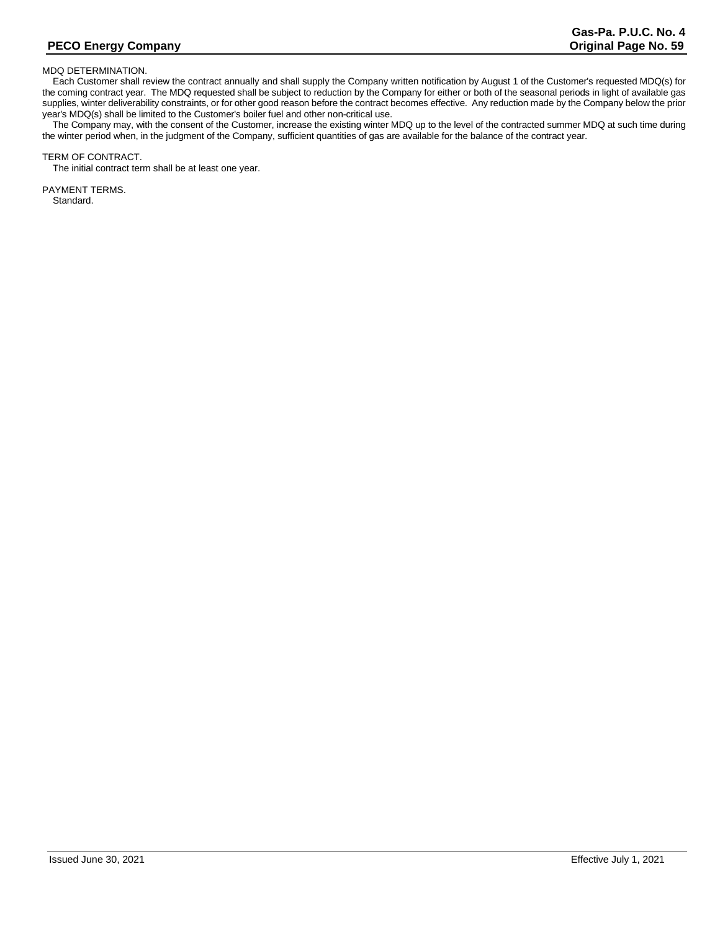## MDQ DETERMINATION.

 Each Customer shall review the contract annually and shall supply the Company written notification by August 1 of the Customer's requested MDQ(s) for the coming contract year. The MDQ requested shall be subject to reduction by the Company for either or both of the seasonal periods in light of available gas supplies, winter deliverability constraints, or for other good reason before the contract becomes effective. Any reduction made by the Company below the prior year's MDQ(s) shall be limited to the Customer's boiler fuel and other non-critical use.

 The Company may, with the consent of the Customer, increase the existing winter MDQ up to the level of the contracted summer MDQ at such time during the winter period when, in the judgment of the Company, sufficient quantities of gas are available for the balance of the contract year.

#### TERM OF CONTRACT.

The initial contract term shall be at least one year.

PAYMENT TERMS. Standard.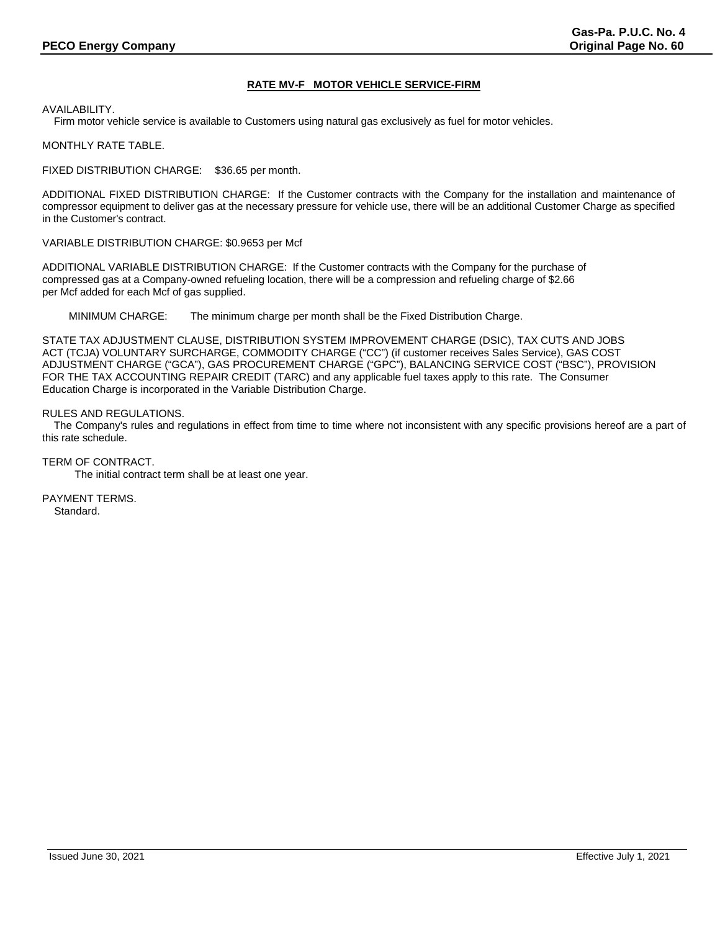# **RATE MV-F MOTOR VEHICLE SERVICE-FIRM**

AVAILABILITY.

Firm motor vehicle service is available to Customers using natural gas exclusively as fuel for motor vehicles.

MONTHLY RATE TABLE.

FIXED DISTRIBUTION CHARGE: \$36.65 per month.

ADDITIONAL FIXED DISTRIBUTION CHARGE: If the Customer contracts with the Company for the installation and maintenance of compressor equipment to deliver gas at the necessary pressure for vehicle use, there will be an additional Customer Charge as specified in the Customer's contract.

VARIABLE DISTRIBUTION CHARGE: \$0.9653 per Mcf

ADDITIONAL VARIABLE DISTRIBUTION CHARGE: If the Customer contracts with the Company for the purchase of compressed gas at a Company-owned refueling location, there will be a compression and refueling charge of \$2.66 per Mcf added for each Mcf of gas supplied.

MINIMUM CHARGE: The minimum charge per month shall be the Fixed Distribution Charge.

STATE TAX ADJUSTMENT CLAUSE, DISTRIBUTION SYSTEM IMPROVEMENT CHARGE (DSIC), TAX CUTS AND JOBS ACT (TCJA) VOLUNTARY SURCHARGE, COMMODITY CHARGE ("CC") (if customer receives Sales Service), GAS COST ADJUSTMENT CHARGE ("GCA"), GAS PROCUREMENT CHARGE ("GPC"), BALANCING SERVICE COST ("BSC"), PROVISION FOR THE TAX ACCOUNTING REPAIR CREDIT (TARC) and any applicable fuel taxes apply to this rate. The Consumer Education Charge is incorporated in the Variable Distribution Charge.

# RULES AND REGULATIONS.

 The Company's rules and regulations in effect from time to time where not inconsistent with any specific provisions hereof are a part of this rate schedule.

TERM OF CONTRACT.

The initial contract term shall be at least one year.

PAYMENT TERMS. Standard.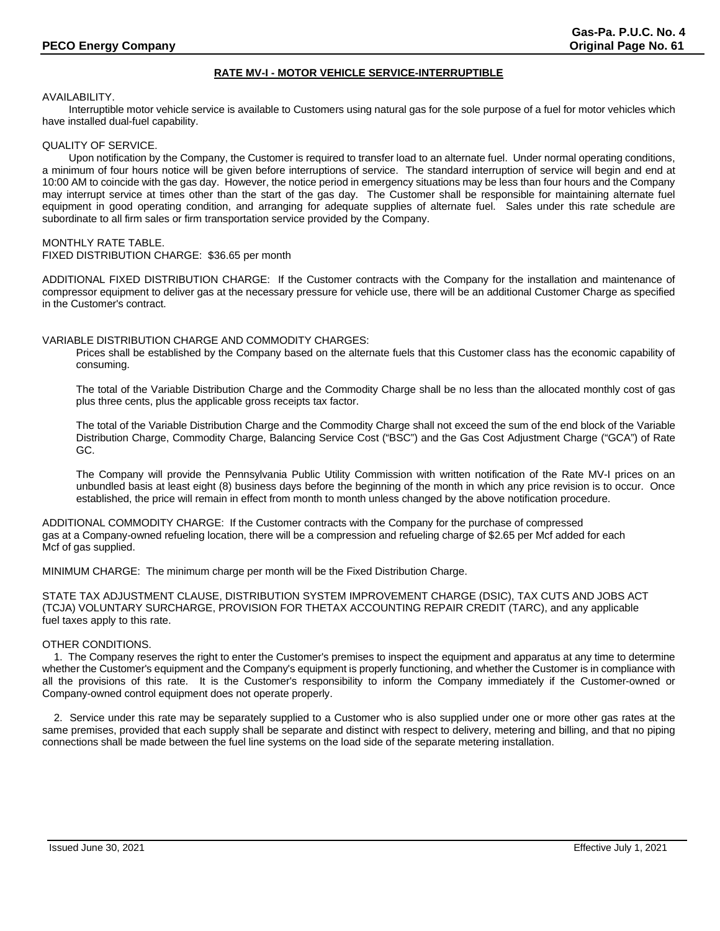# **RATE MV-I - MOTOR VEHICLE SERVICE-INTERRUPTIBLE**

## AVAILABILITY.

Interruptible motor vehicle service is available to Customers using natural gas for the sole purpose of a fuel for motor vehicles which have installed dual-fuel capability.

# QUALITY OF SERVICE.

Upon notification by the Company, the Customer is required to transfer load to an alternate fuel. Under normal operating conditions, a minimum of four hours notice will be given before interruptions of service. The standard interruption of service will begin and end at 10:00 AM to coincide with the gas day. However, the notice period in emergency situations may be less than four hours and the Company may interrupt service at times other than the start of the gas day. The Customer shall be responsible for maintaining alternate fuel equipment in good operating condition, and arranging for adequate supplies of alternate fuel. Sales under this rate schedule are subordinate to all firm sales or firm transportation service provided by the Company.

# MONTHLY RATE TABLE.

FIXED DISTRIBUTION CHARGE: \$36.65 per month

ADDITIONAL FIXED DISTRIBUTION CHARGE: If the Customer contracts with the Company for the installation and maintenance of compressor equipment to deliver gas at the necessary pressure for vehicle use, there will be an additional Customer Charge as specified in the Customer's contract.

# VARIABLE DISTRIBUTION CHARGE AND COMMODITY CHARGES:

Prices shall be established by the Company based on the alternate fuels that this Customer class has the economic capability of consuming.

The total of the Variable Distribution Charge and the Commodity Charge shall be no less than the allocated monthly cost of gas plus three cents, plus the applicable gross receipts tax factor.

The total of the Variable Distribution Charge and the Commodity Charge shall not exceed the sum of the end block of the Variable Distribution Charge, Commodity Charge, Balancing Service Cost ("BSC") and the Gas Cost Adjustment Charge ("GCA") of Rate GC.

The Company will provide the Pennsylvania Public Utility Commission with written notification of the Rate MV-I prices on an unbundled basis at least eight (8) business days before the beginning of the month in which any price revision is to occur. Once established, the price will remain in effect from month to month unless changed by the above notification procedure.

ADDITIONAL COMMODITY CHARGE: If the Customer contracts with the Company for the purchase of compressed gas at a Company-owned refueling location, there will be a compression and refueling charge of \$2.65 per Mcf added for each Mcf of gas supplied.

MINIMUM CHARGE: The minimum charge per month will be the Fixed Distribution Charge.

STATE TAX ADJUSTMENT CLAUSE, DISTRIBUTION SYSTEM IMPROVEMENT CHARGE (DSIC), TAX CUTS AND JOBS ACT (TCJA) VOLUNTARY SURCHARGE, PROVISION FOR THETAX ACCOUNTING REPAIR CREDIT (TARC), and any applicable fuel taxes apply to this rate.

## OTHER CONDITIONS.

 1. The Company reserves the right to enter the Customer's premises to inspect the equipment and apparatus at any time to determine whether the Customer's equipment and the Company's equipment is properly functioning, and whether the Customer is in compliance with all the provisions of this rate. It is the Customer's responsibility to inform the Company immediately if the Customer-owned or Company-owned control equipment does not operate properly.

 2. Service under this rate may be separately supplied to a Customer who is also supplied under one or more other gas rates at the same premises, provided that each supply shall be separate and distinct with respect to delivery, metering and billing, and that no piping connections shall be made between the fuel line systems on the load side of the separate metering installation.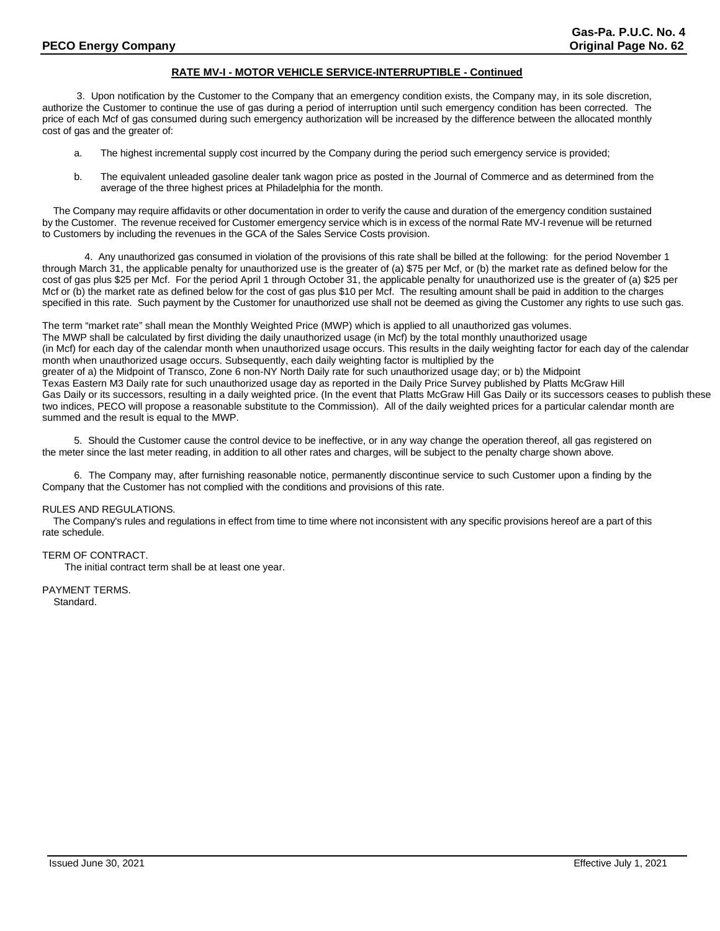# **RATE MV-I - MOTOR VEHICLE SERVICE-INTERRUPTIBLE - Continued**

3. Upon notification by the Customer to the Company that an emergency condition exists, the Company may, in its sole discretion, authorize the Customer to continue the use of gas during a period of interruption until such emergency condition has been corrected. The price of each Mcf of gas consumed during such emergency authorization will be increased by the difference between the allocated monthly cost of gas and the greater of:

- a. The highest incremental supply cost incurred by the Company during the period such emergency service is provided;
- b. The equivalent unleaded gasoline dealer tank wagon price as posted in the Journal of Commerce and as determined from the average of the three highest prices at Philadelphia for the month.

 The Company may require affidavits or other documentation in order to verify the cause and duration of the emergency condition sustained by the Customer. The revenue received for Customer emergency service which is in excess of the normal Rate MV-I revenue will be returned to Customers by including the revenues in the GCA of the Sales Service Costs provision.

4. Any unauthorized gas consumed in violation of the provisions of this rate shall be billed at the following: for the period November 1 through March 31, the applicable penalty for unauthorized use is the greater of (a) \$75 per Mcf, or (b) the market rate as defined below for the cost of gas plus \$25 per Mcf. For the period April 1 through October 31, the applicable penalty for unauthorized use is the greater of (a) \$25 per Mcf or (b) the market rate as defined below for the cost of gas plus \$10 per Mcf. The resulting amount shall be paid in addition to the charges specified in this rate. Such payment by the Customer for unauthorized use shall not be deemed as giving the Customer any rights to use such gas.

The term "market rate" shall mean the Monthly Weighted Price (MWP) which is applied to all unauthorized gas volumes. The MWP shall be calculated by first dividing the daily unauthorized usage (in Mcf) by the total monthly unauthorized usage (in Mcf) for each day of the calendar month when unauthorized usage occurs. This results in the daily weighting factor for each day of the calendar month when unauthorized usage occurs. Subsequently, each daily weighting factor is multiplied by the greater of a) the Midpoint of Transco, Zone 6 non-NY North Daily rate for such unauthorized usage day; or b) the Midpoint Texas Eastern M3 Daily rate for such unauthorized usage day as reported in the Daily Price Survey published by Platts McGraw Hill Gas Daily or its successors, resulting in a daily weighted price. (In the event that Platts McGraw Hill Gas Daily or its successors ceases to publish these two indices, PECO will propose a reasonable substitute to the Commission). All of the daily weighted prices for a particular calendar month are summed and the result is equal to the MWP.

5. Should the Customer cause the control device to be ineffective, or in any way change the operation thereof, all gas registered on the meter since the last meter reading, in addition to all other rates and charges, will be subject to the penalty charge shown above.

6. The Company may, after furnishing reasonable notice, permanently discontinue service to such Customer upon a finding by the Company that the Customer has not complied with the conditions and provisions of this rate.

### RULES AND REGULATIONS.

 The Company's rules and regulations in effect from time to time where not inconsistent with any specific provisions hereof are a part of this rate schedule.

## TERM OF CONTRACT.

The initial contract term shall be at least one year.

PAYMENT TERMS. Standard.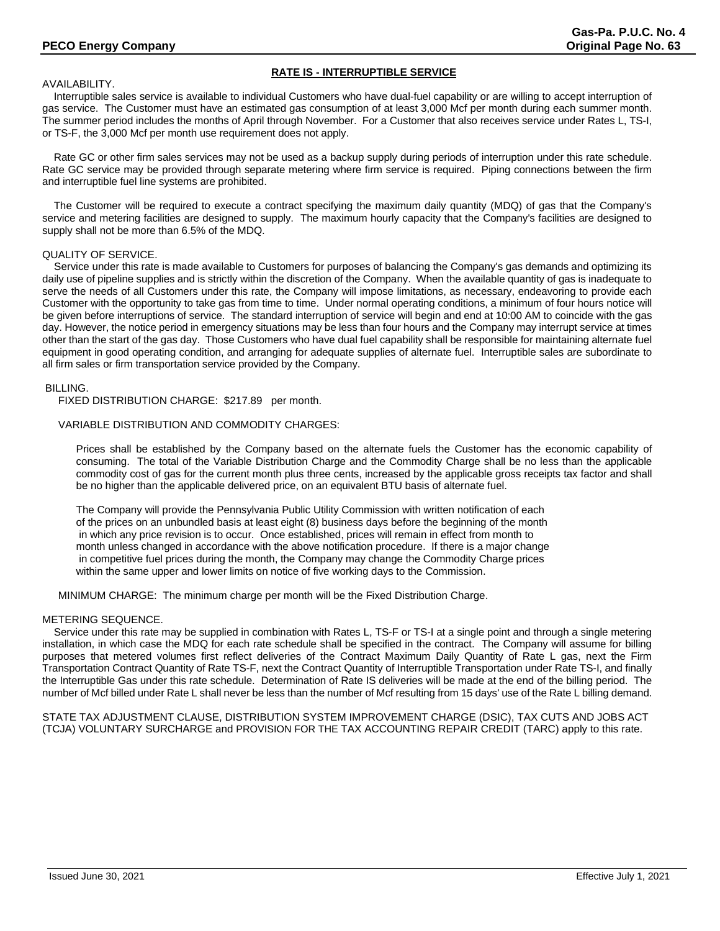# **RATE IS - INTERRUPTIBLE SERVICE**

# AVAILABILITY.

 Interruptible sales service is available to individual Customers who have dual-fuel capability or are willing to accept interruption of gas service. The Customer must have an estimated gas consumption of at least 3,000 Mcf per month during each summer month. The summer period includes the months of April through November. For a Customer that also receives service under Rates L, TS-I, or TS-F, the 3,000 Mcf per month use requirement does not apply.

 Rate GC or other firm sales services may not be used as a backup supply during periods of interruption under this rate schedule. Rate GC service may be provided through separate metering where firm service is required. Piping connections between the firm and interruptible fuel line systems are prohibited.

 The Customer will be required to execute a contract specifying the maximum daily quantity (MDQ) of gas that the Company's service and metering facilities are designed to supply. The maximum hourly capacity that the Company's facilities are designed to supply shall not be more than 6.5% of the MDQ.

# QUALITY OF SERVICE.

 Service under this rate is made available to Customers for purposes of balancing the Company's gas demands and optimizing its daily use of pipeline supplies and is strictly within the discretion of the Company. When the available quantity of gas is inadequate to serve the needs of all Customers under this rate, the Company will impose limitations, as necessary, endeavoring to provide each Customer with the opportunity to take gas from time to time. Under normal operating conditions, a minimum of four hours notice will be given before interruptions of service. The standard interruption of service will begin and end at 10:00 AM to coincide with the gas day. However, the notice period in emergency situations may be less than four hours and the Company may interrupt service at times other than the start of the gas day. Those Customers who have dual fuel capability shall be responsible for maintaining alternate fuel equipment in good operating condition, and arranging for adequate supplies of alternate fuel. Interruptible sales are subordinate to all firm sales or firm transportation service provided by the Company.

# BILLING.

FIXED DISTRIBUTION CHARGE: \$217.89 per month.

# VARIABLE DISTRIBUTION AND COMMODITY CHARGES:

Prices shall be established by the Company based on the alternate fuels the Customer has the economic capability of consuming. The total of the Variable Distribution Charge and the Commodity Charge shall be no less than the applicable commodity cost of gas for the current month plus three cents, increased by the applicable gross receipts tax factor and shall be no higher than the applicable delivered price, on an equivalent BTU basis of alternate fuel.

The Company will provide the Pennsylvania Public Utility Commission with written notification of each of the prices on an unbundled basis at least eight (8) business days before the beginning of the month in which any price revision is to occur. Once established, prices will remain in effect from month to month unless changed in accordance with the above notification procedure. If there is a major change in competitive fuel prices during the month, the Company may change the Commodity Charge prices within the same upper and lower limits on notice of five working days to the Commission.

MINIMUM CHARGE: The minimum charge per month will be the Fixed Distribution Charge.

## METERING SEQUENCE.

 Service under this rate may be supplied in combination with Rates L, TS-F or TS-I at a single point and through a single metering installation, in which case the MDQ for each rate schedule shall be specified in the contract. The Company will assume for billing purposes that metered volumes first reflect deliveries of the Contract Maximum Daily Quantity of Rate L gas, next the Firm Transportation Contract Quantity of Rate TS-F, next the Contract Quantity of Interruptible Transportation under Rate TS-I, and finally the Interruptible Gas under this rate schedule. Determination of Rate IS deliveries will be made at the end of the billing period. The number of Mcf billed under Rate L shall never be less than the number of Mcf resulting from 15 days' use of the Rate L billing demand.

STATE TAX ADJUSTMENT CLAUSE, DISTRIBUTION SYSTEM IMPROVEMENT CHARGE (DSIC), TAX CUTS AND JOBS ACT (TCJA) VOLUNTARY SURCHARGE and PROVISION FOR THE TAX ACCOUNTING REPAIR CREDIT (TARC) apply to this rate.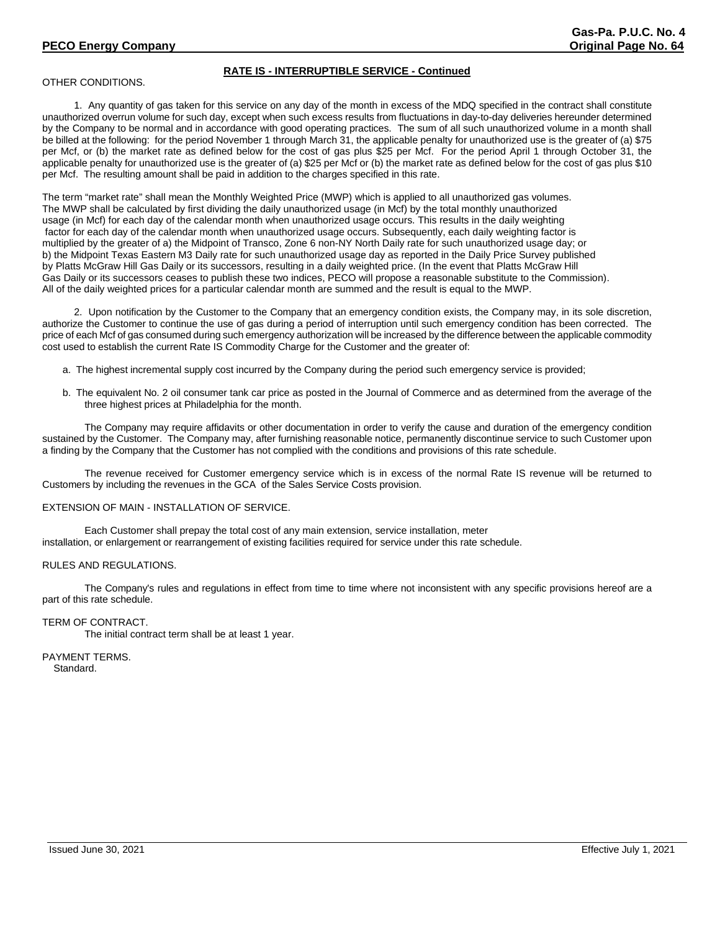# **RATE IS - INTERRUPTIBLE SERVICE - Continued**

OTHER CONDITIONS.

1. Any quantity of gas taken for this service on any day of the month in excess of the MDQ specified in the contract shall constitute unauthorized overrun volume for such day, except when such excess results from fluctuations in day-to-day deliveries hereunder determined by the Company to be normal and in accordance with good operating practices. The sum of all such unauthorized volume in a month shall be billed at the following: for the period November 1 through March 31, the applicable penalty for unauthorized use is the greater of (a) \$75 per Mcf, or (b) the market rate as defined below for the cost of gas plus \$25 per Mcf. For the period April 1 through October 31, the applicable penalty for unauthorized use is the greater of (a) \$25 per Mcf or (b) the market rate as defined below for the cost of gas plus \$10 per Mcf. The resulting amount shall be paid in addition to the charges specified in this rate.

The term "market rate" shall mean the Monthly Weighted Price (MWP) which is applied to all unauthorized gas volumes. The MWP shall be calculated by first dividing the daily unauthorized usage (in Mcf) by the total monthly unauthorized usage (in Mcf) for each day of the calendar month when unauthorized usage occurs. This results in the daily weighting factor for each day of the calendar month when unauthorized usage occurs. Subsequently, each daily weighting factor is multiplied by the greater of a) the Midpoint of Transco, Zone 6 non-NY North Daily rate for such unauthorized usage day; or b) the Midpoint Texas Eastern M3 Daily rate for such unauthorized usage day as reported in the Daily Price Survey published by Platts McGraw Hill Gas Daily or its successors, resulting in a daily weighted price. (In the event that Platts McGraw Hill Gas Daily or its successors ceases to publish these two indices, PECO will propose a reasonable substitute to the Commission). All of the daily weighted prices for a particular calendar month are summed and the result is equal to the MWP.

2. Upon notification by the Customer to the Company that an emergency condition exists, the Company may, in its sole discretion, authorize the Customer to continue the use of gas during a period of interruption until such emergency condition has been corrected. The price of each Mcf of gas consumed during such emergency authorization will be increased by the difference between the applicable commodity cost used to establish the current Rate IS Commodity Charge for the Customer and the greater of:

- a. The highest incremental supply cost incurred by the Company during the period such emergency service is provided;
- b. The equivalent No. 2 oil consumer tank car price as posted in the Journal of Commerce and as determined from the average of the three highest prices at Philadelphia for the month.

The Company may require affidavits or other documentation in order to verify the cause and duration of the emergency condition sustained by the Customer. The Company may, after furnishing reasonable notice, permanently discontinue service to such Customer upon a finding by the Company that the Customer has not complied with the conditions and provisions of this rate schedule.

The revenue received for Customer emergency service which is in excess of the normal Rate IS revenue will be returned to Customers by including the revenues in the GCA of the Sales Service Costs provision.

#### EXTENSION OF MAIN - INSTALLATION OF SERVICE.

Each Customer shall prepay the total cost of any main extension, service installation, meter installation, or enlargement or rearrangement of existing facilities required for service under this rate schedule.

#### RULES AND REGULATIONS.

The Company's rules and regulations in effect from time to time where not inconsistent with any specific provisions hereof are a part of this rate schedule.

## TERM OF CONTRACT.

The initial contract term shall be at least 1 year.

PAYMENT TERMS. Standard.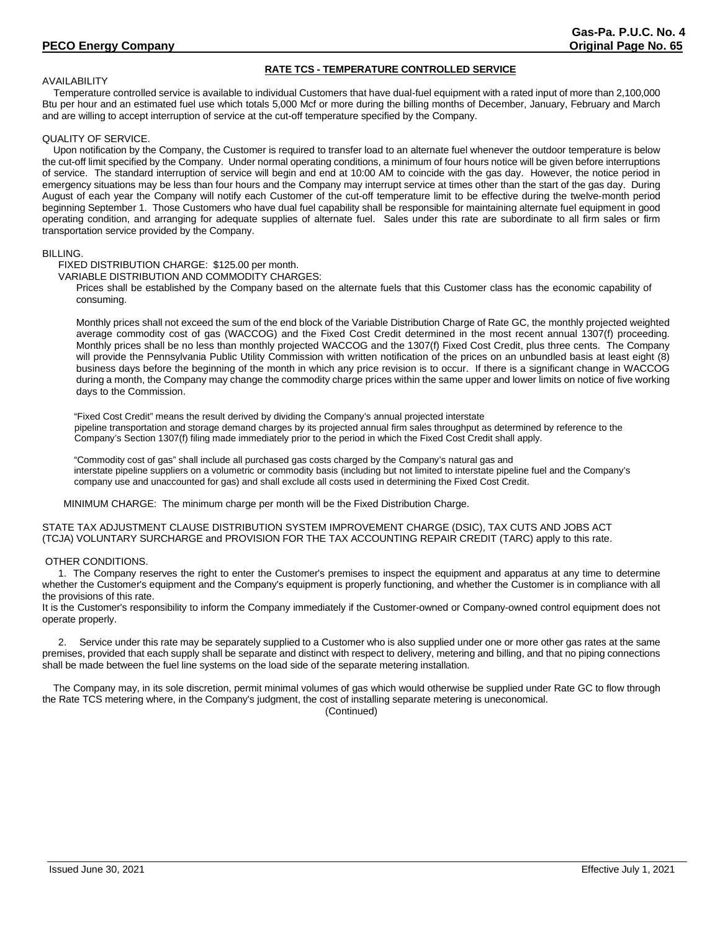# **RATE TCS - TEMPERATURE CONTROLLED SERVICE**

## AVAILABILITY

 Temperature controlled service is available to individual Customers that have dual-fuel equipment with a rated input of more than 2,100,000 Btu per hour and an estimated fuel use which totals 5,000 Mcf or more during the billing months of December, January, February and March and are willing to accept interruption of service at the cut-off temperature specified by the Company.

## QUALITY OF SERVICE.

 Upon notification by the Company, the Customer is required to transfer load to an alternate fuel whenever the outdoor temperature is below the cut-off limit specified by the Company. Under normal operating conditions, a minimum of four hours notice will be given before interruptions of service. The standard interruption of service will begin and end at 10:00 AM to coincide with the gas day. However, the notice period in emergency situations may be less than four hours and the Company may interrupt service at times other than the start of the gas day. During August of each year the Company will notify each Customer of the cut-off temperature limit to be effective during the twelve-month period beginning September 1. Those Customers who have dual fuel capability shall be responsible for maintaining alternate fuel equipment in good operating condition, and arranging for adequate supplies of alternate fuel. Sales under this rate are subordinate to all firm sales or firm transportation service provided by the Company.

### BILLING.

FIXED DISTRIBUTION CHARGE: \$125.00 per month.

# VARIABLE DISTRIBUTION AND COMMODITY CHARGES:

Prices shall be established by the Company based on the alternate fuels that this Customer class has the economic capability of consuming.

Monthly prices shall not exceed the sum of the end block of the Variable Distribution Charge of Rate GC, the monthly projected weighted average commodity cost of gas (WACCOG) and the Fixed Cost Credit determined in the most recent annual 1307(f) proceeding. Monthly prices shall be no less than monthly projected WACCOG and the 1307(f) Fixed Cost Credit, plus three cents. The Company will provide the Pennsylvania Public Utility Commission with written notification of the prices on an unbundled basis at least eight (8) business days before the beginning of the month in which any price revision is to occur. If there is a significant change in WACCOG during a month, the Company may change the commodity charge prices within the same upper and lower limits on notice of five working days to the Commission.

"Fixed Cost Credit" means the result derived by dividing the Company's annual projected interstate pipeline transportation and storage demand charges by its projected annual firm sales throughput as determined by reference to the Company's Section 1307(f) filing made immediately prior to the period in which the Fixed Cost Credit shall apply.

"Commodity cost of gas" shall include all purchased gas costs charged by the Company's natural gas and interstate pipeline suppliers on a volumetric or commodity basis (including but not limited to interstate pipeline fuel and the Company's company use and unaccounted for gas) and shall exclude all costs used in determining the Fixed Cost Credit.

MINIMUM CHARGE: The minimum charge per month will be the Fixed Distribution Charge.

STATE TAX ADJUSTMENT CLAUSE DISTRIBUTION SYSTEM IMPROVEMENT CHARGE (DSIC), TAX CUTS AND JOBS ACT (TCJA) VOLUNTARY SURCHARGE and PROVISION FOR THE TAX ACCOUNTING REPAIR CREDIT (TARC) apply to this rate.

## OTHER CONDITIONS.

1. The Company reserves the right to enter the Customer's premises to inspect the equipment and apparatus at any time to determine whether the Customer's equipment and the Company's equipment is properly functioning, and whether the Customer is in compliance with all the provisions of this rate.

It is the Customer's responsibility to inform the Company immediately if the Customer-owned or Company-owned control equipment does not operate properly.

2. Service under this rate may be separately supplied to a Customer who is also supplied under one or more other gas rates at the same premises, provided that each supply shall be separate and distinct with respect to delivery, metering and billing, and that no piping connections shall be made between the fuel line systems on the load side of the separate metering installation.

 The Company may, in its sole discretion, permit minimal volumes of gas which would otherwise be supplied under Rate GC to flow through the Rate TCS metering where, in the Company's judgment, the cost of installing separate metering is uneconomical.

(Continued)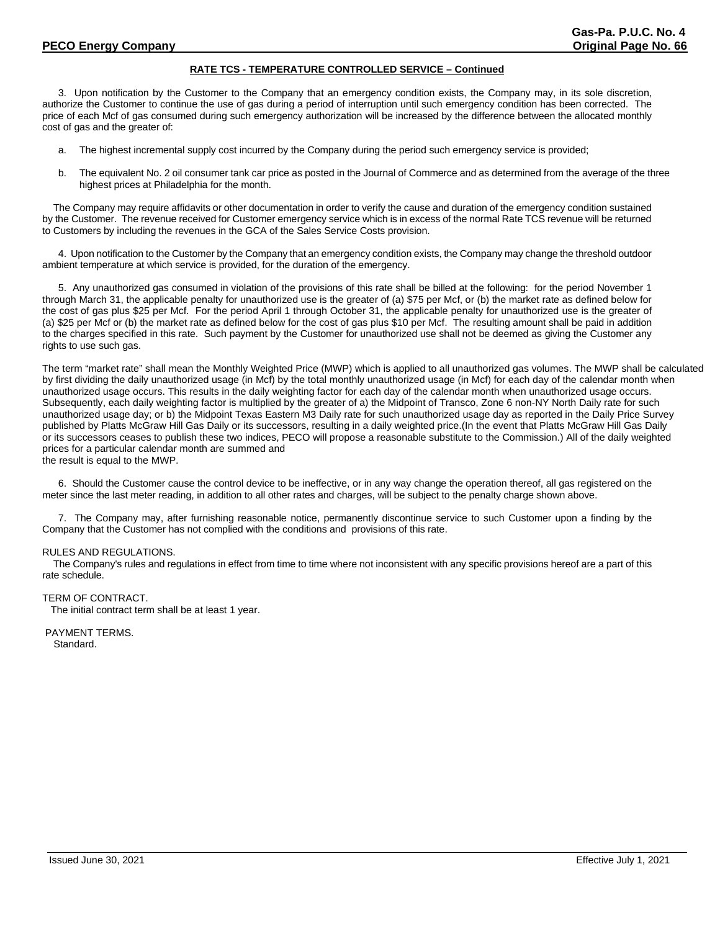## **RATE TCS - TEMPERATURE CONTROLLED SERVICE – Continued**

3. Upon notification by the Customer to the Company that an emergency condition exists, the Company may, in its sole discretion, authorize the Customer to continue the use of gas during a period of interruption until such emergency condition has been corrected. The price of each Mcf of gas consumed during such emergency authorization will be increased by the difference between the allocated monthly cost of gas and the greater of:

- a. The highest incremental supply cost incurred by the Company during the period such emergency service is provided;
- b. The equivalent No. 2 oil consumer tank car price as posted in the Journal of Commerce and as determined from the average of the three highest prices at Philadelphia for the month.

 The Company may require affidavits or other documentation in order to verify the cause and duration of the emergency condition sustained by the Customer. The revenue received for Customer emergency service which is in excess of the normal Rate TCS revenue will be returned to Customers by including the revenues in the GCA of the Sales Service Costs provision.

4. Upon notification to the Customer by the Company that an emergency condition exists, the Company may change the threshold outdoor ambient temperature at which service is provided, for the duration of the emergency.

5. Any unauthorized gas consumed in violation of the provisions of this rate shall be billed at the following: for the period November 1 through March 31, the applicable penalty for unauthorized use is the greater of (a) \$75 per Mcf, or (b) the market rate as defined below for the cost of gas plus \$25 per Mcf. For the period April 1 through October 31, the applicable penalty for unauthorized use is the greater of (a) \$25 per Mcf or (b) the market rate as defined below for the cost of gas plus \$10 per Mcf. The resulting amount shall be paid in addition to the charges specified in this rate. Such payment by the Customer for unauthorized use shall not be deemed as giving the Customer any rights to use such gas.

The term "market rate" shall mean the Monthly Weighted Price (MWP) which is applied to all unauthorized gas volumes. The MWP shall be calculated by first dividing the daily unauthorized usage (in Mcf) by the total monthly unauthorized usage (in Mcf) for each day of the calendar month when unauthorized usage occurs. This results in the daily weighting factor for each day of the calendar month when unauthorized usage occurs. Subsequently, each daily weighting factor is multiplied by the greater of a) the Midpoint of Transco, Zone 6 non-NY North Daily rate for such unauthorized usage day; or b) the Midpoint Texas Eastern M3 Daily rate for such unauthorized usage day as reported in the Daily Price Survey published by Platts McGraw Hill Gas Daily or its successors, resulting in a daily weighted price.(In the event that Platts McGraw Hill Gas Daily or its successors ceases to publish these two indices, PECO will propose a reasonable substitute to the Commission.) All of the daily weighted prices for a particular calendar month are summed and the result is equal to the MWP.

6. Should the Customer cause the control device to be ineffective, or in any way change the operation thereof, all gas registered on the meter since the last meter reading, in addition to all other rates and charges, will be subject to the penalty charge shown above.

7. The Company may, after furnishing reasonable notice, permanently discontinue service to such Customer upon a finding by the Company that the Customer has not complied with the conditions and provisions of this rate.

## RULES AND REGULATIONS.

 The Company's rules and regulations in effect from time to time where not inconsistent with any specific provisions hereof are a part of this rate schedule.

## TERM OF CONTRACT.

The initial contract term shall be at least 1 year.

PAYMENT TERMS. Standard.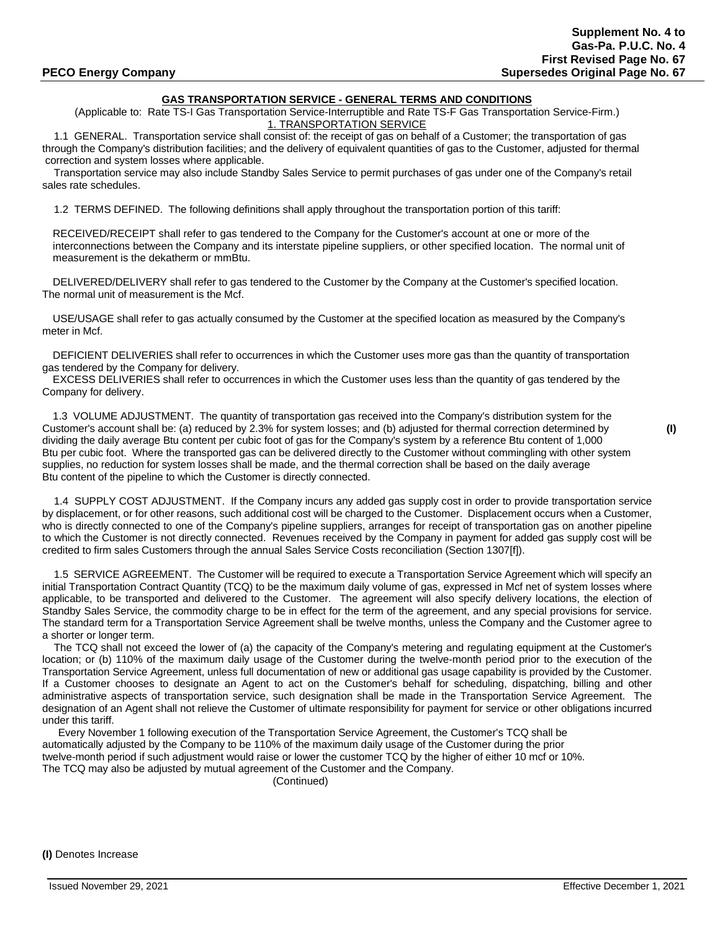# **GAS TRANSPORTATION SERVICE - GENERAL TERMS AND CONDITIONS**

(Applicable to: Rate TS-I Gas Transportation Service-Interruptible and Rate TS-F Gas Transportation Service-Firm.) 1. TRANSPORTATION SERVICE

 1.1 GENERAL. Transportation service shall consist of: the receipt of gas on behalf of a Customer; the transportation of gas through the Company's distribution facilities; and the delivery of equivalent quantities of gas to the Customer, adjusted for thermal correction and system losses where applicable.

 Transportation service may also include Standby Sales Service to permit purchases of gas under one of the Company's retail sales rate schedules.

1.2 TERMS DEFINED. The following definitions shall apply throughout the transportation portion of this tariff:

RECEIVED/RECEIPT shall refer to gas tendered to the Company for the Customer's account at one or more of the interconnections between the Company and its interstate pipeline suppliers, or other specified location. The normal unit of measurement is the dekatherm or mmBtu.

 DELIVERED/DELIVERY shall refer to gas tendered to the Customer by the Company at the Customer's specified location. The normal unit of measurement is the Mcf.

 USE/USAGE shall refer to gas actually consumed by the Customer at the specified location as measured by the Company's meter in Mcf.

 DEFICIENT DELIVERIES shall refer to occurrences in which the Customer uses more gas than the quantity of transportation gas tendered by the Company for delivery.

 EXCESS DELIVERIES shall refer to occurrences in which the Customer uses less than the quantity of gas tendered by the Company for delivery.

 1.3 VOLUME ADJUSTMENT. The quantity of transportation gas received into the Company's distribution system for the Customer's account shall be: (a) reduced by 2.3% for system losses; and (b) adjusted for thermal correction determined by **(I)** dividing the daily average Btu content per cubic foot of gas for the Company's system by a reference Btu content of 1,000 Btu per cubic foot. Where the transported gas can be delivered directly to the Customer without commingling with other system supplies, no reduction for system losses shall be made, and the thermal correction shall be based on the daily average Btu content of the pipeline to which the Customer is directly connected.

 1.4 SUPPLY COST ADJUSTMENT. If the Company incurs any added gas supply cost in order to provide transportation service by displacement, or for other reasons, such additional cost will be charged to the Customer. Displacement occurs when a Customer, who is directly connected to one of the Company's pipeline suppliers, arranges for receipt of transportation gas on another pipeline to which the Customer is not directly connected. Revenues received by the Company in payment for added gas supply cost will be credited to firm sales Customers through the annual Sales Service Costs reconciliation (Section 1307[f]).

 1.5 SERVICE AGREEMENT. The Customer will be required to execute a Transportation Service Agreement which will specify an initial Transportation Contract Quantity (TCQ) to be the maximum daily volume of gas, expressed in Mcf net of system losses where applicable, to be transported and delivered to the Customer. The agreement will also specify delivery locations, the election of Standby Sales Service, the commodity charge to be in effect for the term of the agreement, and any special provisions for service. The standard term for a Transportation Service Agreement shall be twelve months, unless the Company and the Customer agree to a shorter or longer term.

 The TCQ shall not exceed the lower of (a) the capacity of the Company's metering and regulating equipment at the Customer's location; or (b) 110% of the maximum daily usage of the Customer during the twelve-month period prior to the execution of the Transportation Service Agreement, unless full documentation of new or additional gas usage capability is provided by the Customer. If a Customer chooses to designate an Agent to act on the Customer's behalf for scheduling, dispatching, billing and other administrative aspects of transportation service, such designation shall be made in the Transportation Service Agreement. The designation of an Agent shall not relieve the Customer of ultimate responsibility for payment for service or other obligations incurred under this tariff.

Every November 1 following execution of the Transportation Service Agreement, the Customer's TCQ shall be automatically adjusted by the Company to be 110% of the maximum daily usage of the Customer during the prior twelve-month period if such adjustment would raise or lower the customer TCQ by the higher of either 10 mcf or 10%. The TCQ may also be adjusted by mutual agreement of the Customer and the Company.

(Continued)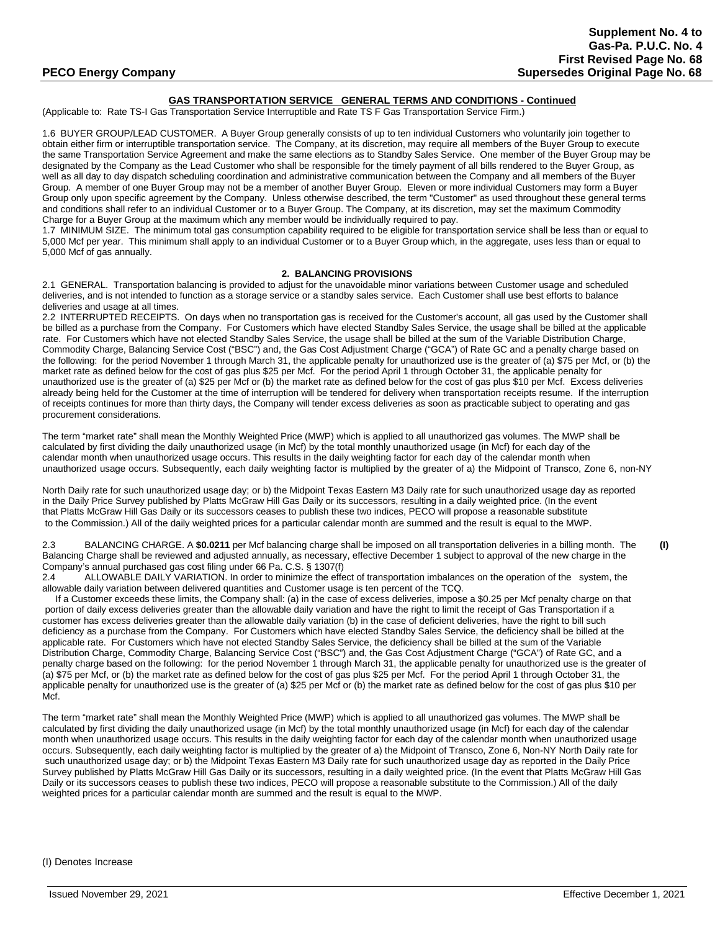## **GAS TRANSPORTATION SERVICE GENERAL TERMS AND CONDITIONS - Continued**

(Applicable to: Rate TS-I Gas Transportation Service Interruptible and Rate TS F Gas Transportation Service Firm.)

1.6 BUYER GROUP/LEAD CUSTOMER. A Buyer Group generally consists of up to ten individual Customers who voluntarily join together to obtain either firm or interruptible transportation service. The Company, at its discretion, may require all members of the Buyer Group to execute the same Transportation Service Agreement and make the same elections as to Standby Sales Service. One member of the Buyer Group may be designated by the Company as the Lead Customer who shall be responsible for the timely payment of all bills rendered to the Buyer Group, as well as all day to day dispatch scheduling coordination and administrative communication between the Company and all members of the Buyer Group. A member of one Buyer Group may not be a member of another Buyer Group. Eleven or more individual Customers may form a Buyer Group only upon specific agreement by the Company. Unless otherwise described, the term "Customer" as used throughout these general terms and conditions shall refer to an individual Customer or to a Buyer Group. The Company, at its discretion, may set the maximum Commodity Charge for a Buyer Group at the maximum which any member would be individually required to pay.

1.7 MINIMUM SIZE. The minimum total gas consumption capability required to be eligible for transportation service shall be less than or equal to 5,000 Mcf per year. This minimum shall apply to an individual Customer or to a Buyer Group which, in the aggregate, uses less than or equal to 5,000 Mcf of gas annually.

### **2. BALANCING PROVISIONS**

2.1 GENERAL. Transportation balancing is provided to adjust for the unavoidable minor variations between Customer usage and scheduled deliveries, and is not intended to function as a storage service or a standby sales service. Each Customer shall use best efforts to balance deliveries and usage at all times.

2.2 INTERRUPTED RECEIPTS. On days when no transportation gas is received for the Customer's account, all gas used by the Customer shall be billed as a purchase from the Company. For Customers which have elected Standby Sales Service, the usage shall be billed at the applicable rate. For Customers which have not elected Standby Sales Service, the usage shall be billed at the sum of the Variable Distribution Charge, Commodity Charge, Balancing Service Cost ("BSC") and, the Gas Cost Adjustment Charge ("GCA") of Rate GC and a penalty charge based on the following: for the period November 1 through March 31, the applicable penalty for unauthorized use is the greater of (a) \$75 per Mcf, or (b) the market rate as defined below for the cost of gas plus \$25 per Mcf. For the period April 1 through October 31, the applicable penalty for unauthorized use is the greater of (a) \$25 per Mcf or (b) the market rate as defined below for the cost of gas plus \$10 per Mcf. Excess deliveries already being held for the Customer at the time of interruption will be tendered for delivery when transportation receipts resume. If the interruption of receipts continues for more than thirty days, the Company will tender excess deliveries as soon as practicable subject to operating and gas procurement considerations.

The term "market rate" shall mean the Monthly Weighted Price (MWP) which is applied to all unauthorized gas volumes. The MWP shall be calculated by first dividing the daily unauthorized usage (in Mcf) by the total monthly unauthorized usage (in Mcf) for each day of the calendar month when unauthorized usage occurs. This results in the daily weighting factor for each day of the calendar month when unauthorized usage occurs. Subsequently, each daily weighting factor is multiplied by the greater of a) the Midpoint of Transco, Zone 6, non-NY

North Daily rate for such unauthorized usage day; or b) the Midpoint Texas Eastern M3 Daily rate for such unauthorized usage day as reported in the Daily Price Survey published by Platts McGraw Hill Gas Daily or its successors, resulting in a daily weighted price. (In the event that Platts McGraw Hill Gas Daily or its successors ceases to publish these two indices, PECO will propose a reasonable substitute to the Commission.) All of the daily weighted prices for a particular calendar month are summed and the result is equal to the MWP.

2.3 BALANCING CHARGE. A **\$0.0211** per Mcf balancing charge shall be imposed on all transportation deliveries in a billing month. The **(I)** Balancing Charge shall be reviewed and adjusted annually, as necessary, effective December 1 subject to approval of the new charge in the Company's annual purchased gas cost filing under 66 Pa. C.S. § 1307(f)

2.4 ALLOWABLE DAILY VARIATION. In order to minimize the effect of transportation imbalances on the operation of the system, the allowable daily variation between delivered quantities and Customer usage is ten percent of the TCQ.

 If a Customer exceeds these limits, the Company shall: (a) in the case of excess deliveries, impose a \$0.25 per Mcf penalty charge on that portion of daily excess deliveries greater than the allowable daily variation and have the right to limit the receipt of Gas Transportation if a customer has excess deliveries greater than the allowable daily variation (b) in the case of deficient deliveries, have the right to bill such deficiency as a purchase from the Company. For Customers which have elected Standby Sales Service, the deficiency shall be billed at the applicable rate. For Customers which have not elected Standby Sales Service, the deficiency shall be billed at the sum of the Variable Distribution Charge, Commodity Charge, Balancing Service Cost ("BSC") and, the Gas Cost Adjustment Charge ("GCA") of Rate GC, and a penalty charge based on the following: for the period November 1 through March 31, the applicable penalty for unauthorized use is the greater of (a) \$75 per Mcf, or (b) the market rate as defined below for the cost of gas plus \$25 per Mcf. For the period April 1 through October 31, the applicable penalty for unauthorized use is the greater of (a) \$25 per Mcf or (b) the market rate as defined below for the cost of gas plus \$10 per Mcf.

The term "market rate" shall mean the Monthly Weighted Price (MWP) which is applied to all unauthorized gas volumes. The MWP shall be calculated by first dividing the daily unauthorized usage (in Mcf) by the total monthly unauthorized usage (in Mcf) for each day of the calendar month when unauthorized usage occurs. This results in the daily weighting factor for each day of the calendar month when unauthorized usage occurs. Subsequently, each daily weighting factor is multiplied by the greater of a) the Midpoint of Transco, Zone 6, Non-NY North Daily rate for such unauthorized usage day; or b) the Midpoint Texas Eastern M3 Daily rate for such unauthorized usage day as reported in the Daily Price Survey published by Platts McGraw Hill Gas Daily or its successors, resulting in a daily weighted price. (In the event that Platts McGraw Hill Gas Daily or its successors ceases to publish these two indices, PECO will propose a reasonable substitute to the Commission.) All of the daily weighted prices for a particular calendar month are summed and the result is equal to the MWP.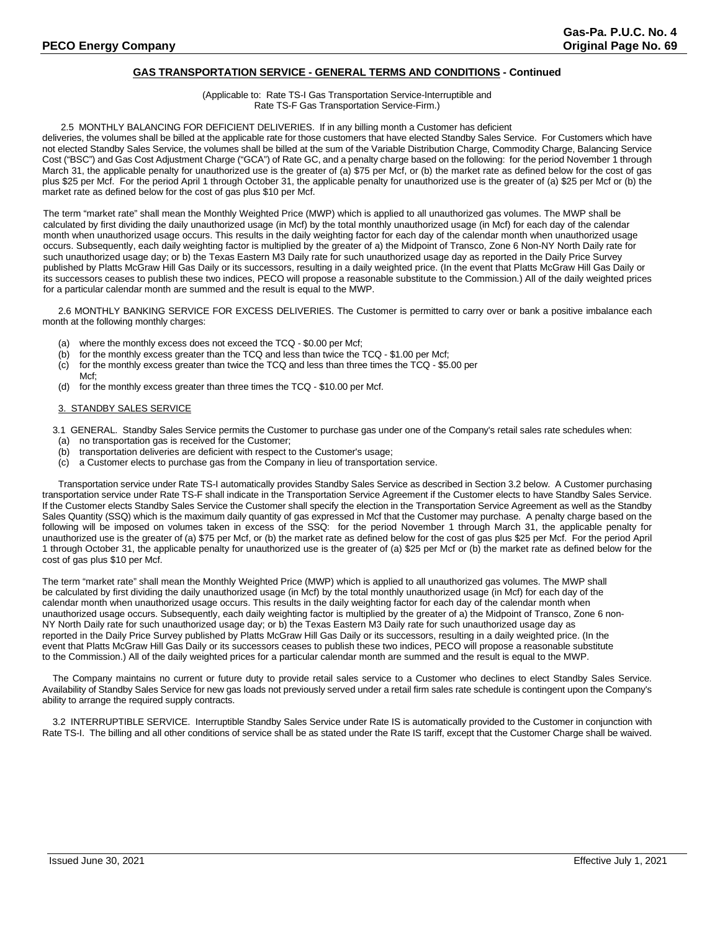# **GAS TRANSPORTATION SERVICE - GENERAL TERMS AND CONDITIONS - Continued**

### (Applicable to: Rate TS-I Gas Transportation Service-Interruptible and Rate TS-F Gas Transportation Service-Firm.)

#### 2.5 MONTHLY BALANCING FOR DEFICIENT DELIVERIES. If in any billing month a Customer has deficient

deliveries, the volumes shall be billed at the applicable rate for those customers that have elected Standby Sales Service. For Customers which have not elected Standby Sales Service, the volumes shall be billed at the sum of the Variable Distribution Charge, Commodity Charge, Balancing Service Cost ("BSC") and Gas Cost Adjustment Charge ("GCA") of Rate GC, and a penalty charge based on the following: for the period November 1 through March 31, the applicable penalty for unauthorized use is the greater of (a) \$75 per Mcf, or (b) the market rate as defined below for the cost of gas plus \$25 per Mcf. For the period April 1 through October 31, the applicable penalty for unauthorized use is the greater of (a) \$25 per Mcf or (b) the market rate as defined below for the cost of gas plus \$10 per Mcf.

The term "market rate" shall mean the Monthly Weighted Price (MWP) which is applied to all unauthorized gas volumes. The MWP shall be calculated by first dividing the daily unauthorized usage (in Mcf) by the total monthly unauthorized usage (in Mcf) for each day of the calendar month when unauthorized usage occurs. This results in the daily weighting factor for each day of the calendar month when unauthorized usage occurs. Subsequently, each daily weighting factor is multiplied by the greater of a) the Midpoint of Transco, Zone 6 Non-NY North Daily rate for such unauthorized usage day; or b) the Texas Eastern M3 Daily rate for such unauthorized usage day as reported in the Daily Price Survey published by Platts McGraw Hill Gas Daily or its successors, resulting in a daily weighted price. (In the event that Platts McGraw Hill Gas Daily or its successors ceases to publish these two indices, PECO will propose a reasonable substitute to the Commission.) All of the daily weighted prices for a particular calendar month are summed and the result is equal to the MWP.

2.6 MONTHLY BANKING SERVICE FOR EXCESS DELIVERIES. The Customer is permitted to carry over or bank a positive imbalance each month at the following monthly charges:

- (a) where the monthly excess does not exceed the TCQ \$0.00 per Mcf;
- (b) for the monthly excess greater than the TCQ and less than twice the TCQ \$1.00 per Mcf;
- (c) for the monthly excess greater than twice the TCQ and less than three times the TCQ \$5.00 per
- Mcf; (d) for the monthly excess greater than three times the TCQ - \$10.00 per Mcf.

### 3. STANDBY SALES SERVICE

3.1 GENERAL. Standby Sales Service permits the Customer to purchase gas under one of the Company's retail sales rate schedules when:

- (a) no transportation gas is received for the Customer;
- (b) transportation deliveries are deficient with respect to the Customer's usage;
- (c) a Customer elects to purchase gas from the Company in lieu of transportation service.

Transportation service under Rate TS-I automatically provides Standby Sales Service as described in Section 3.2 below. A Customer purchasing transportation service under Rate TS-F shall indicate in the Transportation Service Agreement if the Customer elects to have Standby Sales Service. If the Customer elects Standby Sales Service the Customer shall specify the election in the Transportation Service Agreement as well as the Standby Sales Quantity (SSQ) which is the maximum daily quantity of gas expressed in Mcf that the Customer may purchase. A penalty charge based on the following will be imposed on volumes taken in excess of the SSQ: for the period November 1 through March 31, the applicable penalty for unauthorized use is the greater of (a) \$75 per Mcf, or (b) the market rate as defined below for the cost of gas plus \$25 per Mcf. For the period April 1 through October 31, the applicable penalty for unauthorized use is the greater of (a) \$25 per Mcf or (b) the market rate as defined below for the cost of gas plus \$10 per Mcf.

The term "market rate" shall mean the Monthly Weighted Price (MWP) which is applied to all unauthorized gas volumes. The MWP shall be calculated by first dividing the daily unauthorized usage (in Mcf) by the total monthly unauthorized usage (in Mcf) for each day of the calendar month when unauthorized usage occurs. This results in the daily weighting factor for each day of the calendar month when unauthorized usage occurs. Subsequently, each daily weighting factor is multiplied by the greater of a) the Midpoint of Transco, Zone 6 non-NY North Daily rate for such unauthorized usage day; or b) the Texas Eastern M3 Daily rate for such unauthorized usage day as reported in the Daily Price Survey published by Platts McGraw Hill Gas Daily or its successors, resulting in a daily weighted price. (In the event that Platts McGraw Hill Gas Daily or its successors ceases to publish these two indices, PECO will propose a reasonable substitute to the Commission.) All of the daily weighted prices for a particular calendar month are summed and the result is equal to the MWP.

 The Company maintains no current or future duty to provide retail sales service to a Customer who declines to elect Standby Sales Service. Availability of Standby Sales Service for new gas loads not previously served under a retail firm sales rate schedule is contingent upon the Company's ability to arrange the required supply contracts.

 3.2 INTERRUPTIBLE SERVICE. Interruptible Standby Sales Service under Rate IS is automatically provided to the Customer in conjunction with Rate TS-I. The billing and all other conditions of service shall be as stated under the Rate IS tariff, except that the Customer Charge shall be waived.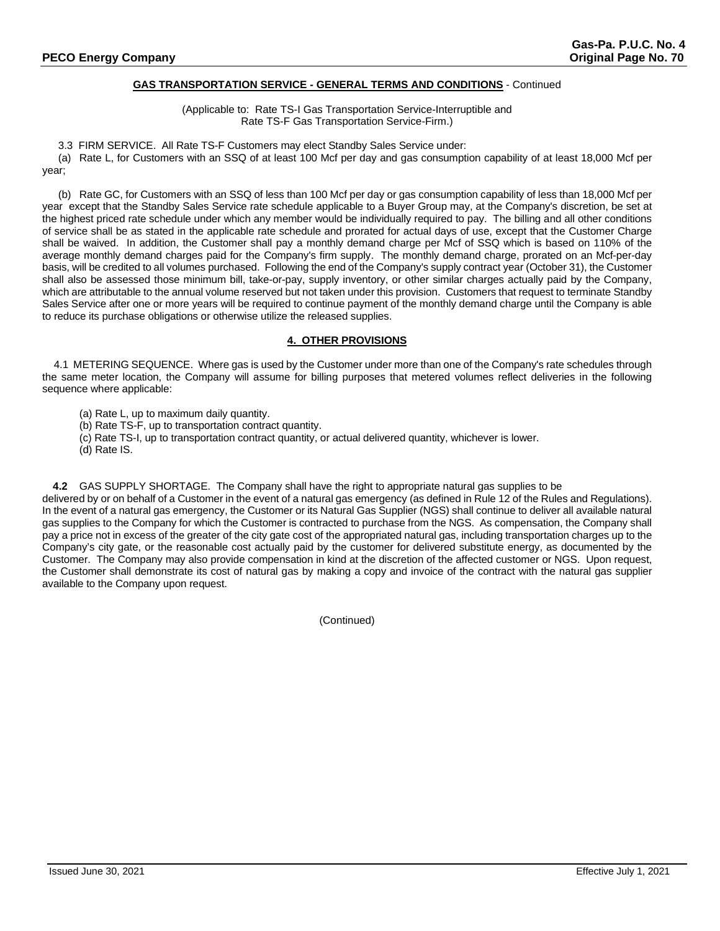# **GAS TRANSPORTATION SERVICE - GENERAL TERMS AND CONDITIONS** - Continued

(Applicable to: Rate TS-I Gas Transportation Service-Interruptible and Rate TS-F Gas Transportation Service-Firm.)

3.3 FIRM SERVICE. All Rate TS-F Customers may elect Standby Sales Service under:

(a) Rate L, for Customers with an SSQ of at least 100 Mcf per day and gas consumption capability of at least 18,000 Mcf per year;

(b) Rate GC, for Customers with an SSQ of less than 100 Mcf per day or gas consumption capability of less than 18,000 Mcf per year except that the Standby Sales Service rate schedule applicable to a Buyer Group may, at the Company's discretion, be set at the highest priced rate schedule under which any member would be individually required to pay. The billing and all other conditions of service shall be as stated in the applicable rate schedule and prorated for actual days of use, except that the Customer Charge shall be waived. In addition, the Customer shall pay a monthly demand charge per Mcf of SSQ which is based on 110% of the average monthly demand charges paid for the Company's firm supply. The monthly demand charge, prorated on an Mcf-per-day basis, will be credited to all volumes purchased. Following the end of the Company's supply contract year (October 31), the Customer shall also be assessed those minimum bill, take-or-pay, supply inventory, or other similar charges actually paid by the Company, which are attributable to the annual volume reserved but not taken under this provision. Customers that request to terminate Standby Sales Service after one or more years will be required to continue payment of the monthly demand charge until the Company is able to reduce its purchase obligations or otherwise utilize the released supplies.

# **4. OTHER PROVISIONS**

 4.1 METERING SEQUENCE. Where gas is used by the Customer under more than one of the Company's rate schedules through the same meter location, the Company will assume for billing purposes that metered volumes reflect deliveries in the following sequence where applicable:

(a) Rate L, up to maximum daily quantity.

(b) Rate TS-F, up to transportation contract quantity.

(c) Rate TS-I, up to transportation contract quantity, or actual delivered quantity, whichever is lower.

(d) Rate IS.

**4.2** GAS SUPPLY SHORTAGE. The Company shall have the right to appropriate natural gas supplies to be delivered by or on behalf of a Customer in the event of a natural gas emergency (as defined in Rule 12 of the Rules and Regulations). In the event of a natural gas emergency, the Customer or its Natural Gas Supplier (NGS) shall continue to deliver all available natural gas supplies to the Company for which the Customer is contracted to purchase from the NGS. As compensation, the Company shall pay a price not in excess of the greater of the city gate cost of the appropriated natural gas, including transportation charges up to the Company's city gate, or the reasonable cost actually paid by the customer for delivered substitute energy, as documented by the Customer. The Company may also provide compensation in kind at the discretion of the affected customer or NGS. Upon request, the Customer shall demonstrate its cost of natural gas by making a copy and invoice of the contract with the natural gas supplier available to the Company upon request.

(Continued)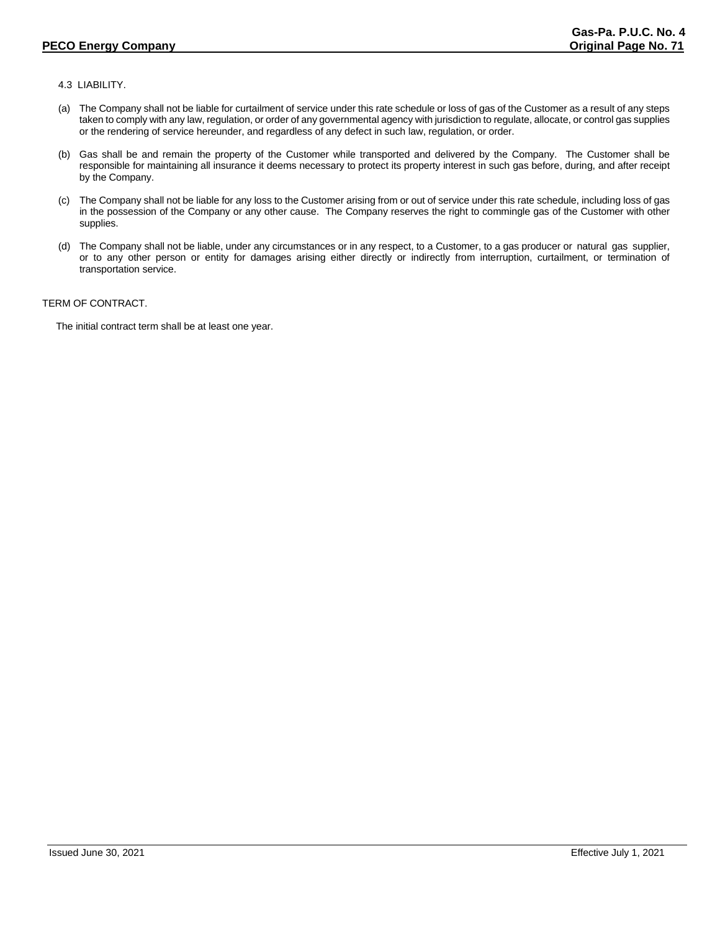# 4.3 LIABILITY.

- (a) The Company shall not be liable for curtailment of service under this rate schedule or loss of gas of the Customer as a result of any steps taken to comply with any law, regulation, or order of any governmental agency with jurisdiction to regulate, allocate, or control gas supplies or the rendering of service hereunder, and regardless of any defect in such law, regulation, or order.
- (b) Gas shall be and remain the property of the Customer while transported and delivered by the Company. The Customer shall be responsible for maintaining all insurance it deems necessary to protect its property interest in such gas before, during, and after receipt by the Company.
- (c) The Company shall not be liable for any loss to the Customer arising from or out of service under this rate schedule, including loss of gas in the possession of the Company or any other cause. The Company reserves the right to commingle gas of the Customer with other supplies.
- (d) The Company shall not be liable, under any circumstances or in any respect, to a Customer, to a gas producer or natural gas supplier, or to any other person or entity for damages arising either directly or indirectly from interruption, curtailment, or termination of transportation service.

# TERM OF CONTRACT.

The initial contract term shall be at least one year.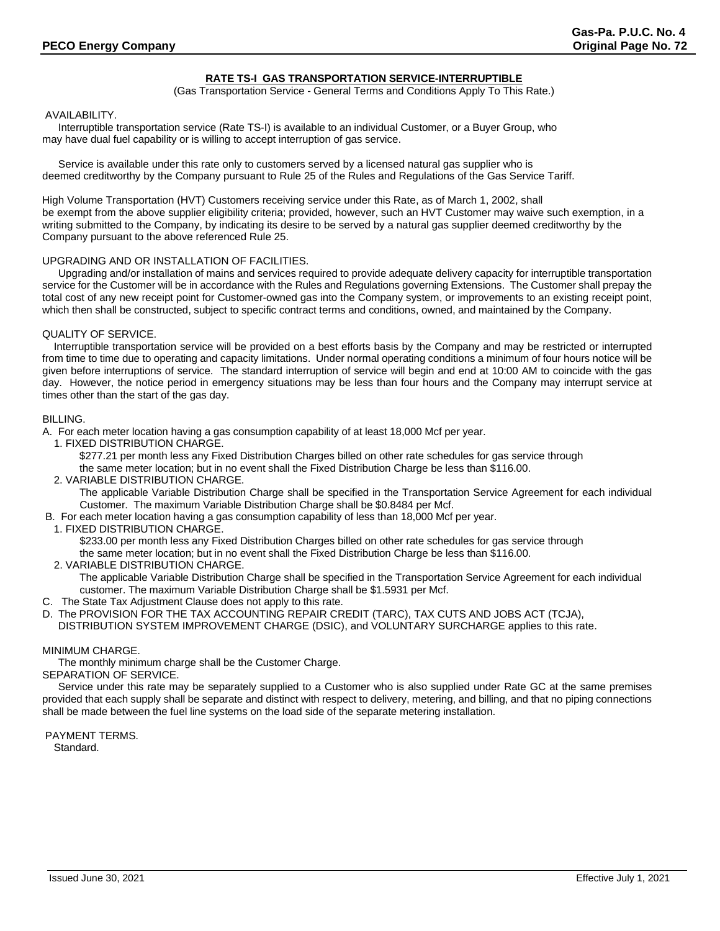# **RATE TS-I GAS TRANSPORTATION SERVICE-INTERRUPTIBLE**

(Gas Transportation Service - General Terms and Conditions Apply To This Rate.)

#### AVAILABILITY.

Interruptible transportation service (Rate TS-I) is available to an individual Customer, or a Buyer Group, who may have dual fuel capability or is willing to accept interruption of gas service.

Service is available under this rate only to customers served by a licensed natural gas supplier who is deemed creditworthy by the Company pursuant to Rule 25 of the Rules and Regulations of the Gas Service Tariff.

High Volume Transportation (HVT) Customers receiving service under this Rate, as of March 1, 2002, shall be exempt from the above supplier eligibility criteria; provided, however, such an HVT Customer may waive such exemption, in a writing submitted to the Company, by indicating its desire to be served by a natural gas supplier deemed creditworthy by the Company pursuant to the above referenced Rule 25.

#### UPGRADING AND OR INSTALLATION OF FACILITIES.

Upgrading and/or installation of mains and services required to provide adequate delivery capacity for interruptible transportation service for the Customer will be in accordance with the Rules and Regulations governing Extensions. The Customer shall prepay the total cost of any new receipt point for Customer-owned gas into the Company system, or improvements to an existing receipt point, which then shall be constructed, subject to specific contract terms and conditions, owned, and maintained by the Company.

#### QUALITY OF SERVICE.

 Interruptible transportation service will be provided on a best efforts basis by the Company and may be restricted or interrupted from time to time due to operating and capacity limitations. Under normal operating conditions a minimum of four hours notice will be given before interruptions of service. The standard interruption of service will begin and end at 10:00 AM to coincide with the gas day. However, the notice period in emergency situations may be less than four hours and the Company may interrupt service at times other than the start of the gas day.

#### BILLING.

A. For each meter location having a gas consumption capability of at least 18,000 Mcf per year.

1. FIXED DISTRIBUTION CHARGE.

\$277.21 per month less any Fixed Distribution Charges billed on other rate schedules for gas service through

the same meter location; but in no event shall the Fixed Distribution Charge be less than \$116.00.

2. VARIABLE DISTRIBUTION CHARGE.

The applicable Variable Distribution Charge shall be specified in the Transportation Service Agreement for each individual Customer. The maximum Variable Distribution Charge shall be \$0.8484 per Mcf.

- B. For each meter location having a gas consumption capability of less than 18,000 Mcf per year.
- 1. FIXED DISTRIBUTION CHARGE.

\$233.00 per month less any Fixed Distribution Charges billed on other rate schedules for gas service through

the same meter location; but in no event shall the Fixed Distribution Charge be less than \$116.00.

2. VARIABLE DISTRIBUTION CHARGE.

The applicable Variable Distribution Charge shall be specified in the Transportation Service Agreement for each individual customer. The maximum Variable Distribution Charge shall be \$1.5931 per Mcf.

- C. The State Tax Adjustment Clause does not apply to this rate.
- D. The PROVISION FOR THE TAX ACCOUNTING REPAIR CREDIT (TARC), TAX CUTS AND JOBS ACT (TCJA), DISTRIBUTION SYSTEM IMPROVEMENT CHARGE (DSIC), and VOLUNTARY SURCHARGE applies to this rate.

#### MINIMUM CHARGE.

The monthly minimum charge shall be the Customer Charge.

SEPARATION OF SERVICE.

Service under this rate may be separately supplied to a Customer who is also supplied under Rate GC at the same premises provided that each supply shall be separate and distinct with respect to delivery, metering, and billing, and that no piping connections shall be made between the fuel line systems on the load side of the separate metering installation.

PAYMENT TERMS. Standard.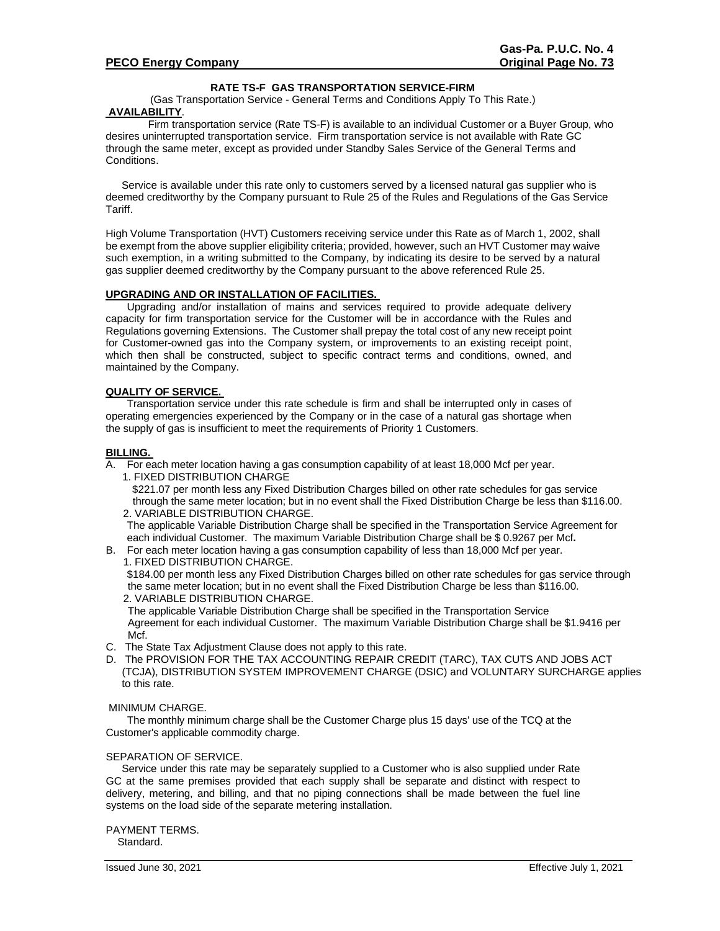# **RATE TS-F GAS TRANSPORTATION SERVICE-FIRM**

(Gas Transportation Service - General Terms and Conditions Apply To This Rate.) **AVAILABILITY**.

Firm transportation service (Rate TS-F) is available to an individual Customer or a Buyer Group, who desires uninterrupted transportation service. Firm transportation service is not available with Rate GC through the same meter, except as provided under Standby Sales Service of the General Terms and Conditions.

Service is available under this rate only to customers served by a licensed natural gas supplier who is deemed creditworthy by the Company pursuant to Rule 25 of the Rules and Regulations of the Gas Service Tariff.

High Volume Transportation (HVT) Customers receiving service under this Rate as of March 1, 2002, shall be exempt from the above supplier eligibility criteria; provided, however, such an HVT Customer may waive such exemption, in a writing submitted to the Company, by indicating its desire to be served by a natural gas supplier deemed creditworthy by the Company pursuant to the above referenced Rule 25.

## **UPGRADING AND OR INSTALLATION OF FACILITIES.**

Upgrading and/or installation of mains and services required to provide adequate delivery capacity for firm transportation service for the Customer will be in accordance with the Rules and Regulations governing Extensions. The Customer shall prepay the total cost of any new receipt point for Customer-owned gas into the Company system, or improvements to an existing receipt point, which then shall be constructed, subject to specific contract terms and conditions, owned, and maintained by the Company.

## **QUALITY OF SERVICE.**

Transportation service under this rate schedule is firm and shall be interrupted only in cases of operating emergencies experienced by the Company or in the case of a natural gas shortage when the supply of gas is insufficient to meet the requirements of Priority 1 Customers.

## **BILLING.**

A. For each meter location having a gas consumption capability of at least 18,000 Mcf per year.

1. FIXED DISTRIBUTION CHARGE

\$221.07 per month less any Fixed Distribution Charges billed on other rate schedules for gas service through the same meter location; but in no event shall the Fixed Distribution Charge be less than \$116.00. 2. VARIABLE DISTRIBUTION CHARGE.

The applicable Variable Distribution Charge shall be specified in the Transportation Service Agreement for each individual Customer. The maximum Variable Distribution Charge shall be \$ 0.9267 per Mcf**.** 

B. For each meter location having a gas consumption capability of less than 18,000 Mcf per year. 1. FIXED DISTRIBUTION CHARGE.

 \$184.00 per month less any Fixed Distribution Charges billed on other rate schedules for gas service through the same meter location; but in no event shall the Fixed Distribution Charge be less than \$116.00. 2. VARIABLE DISTRIBUTION CHARGE.

 The applicable Variable Distribution Charge shall be specified in the Transportation Service Agreement for each individual Customer. The maximum Variable Distribution Charge shall be \$1.9416 per Mcf.

- C. The State Tax Adjustment Clause does not apply to this rate.
- D. The PROVISION FOR THE TAX ACCOUNTING REPAIR CREDIT (TARC), TAX CUTS AND JOBS ACT (TCJA), DISTRIBUTION SYSTEM IMPROVEMENT CHARGE (DSIC) and VOLUNTARY SURCHARGE applies to this rate.

# MINIMUM CHARGE.

The monthly minimum charge shall be the Customer Charge plus 15 days' use of the TCQ at the Customer's applicable commodity charge.

## SEPARATION OF SERVICE.

Service under this rate may be separately supplied to a Customer who is also supplied under Rate GC at the same premises provided that each supply shall be separate and distinct with respect to delivery, metering, and billing, and that no piping connections shall be made between the fuel line systems on the load side of the separate metering installation.

PAYMENT TERMS. Standard.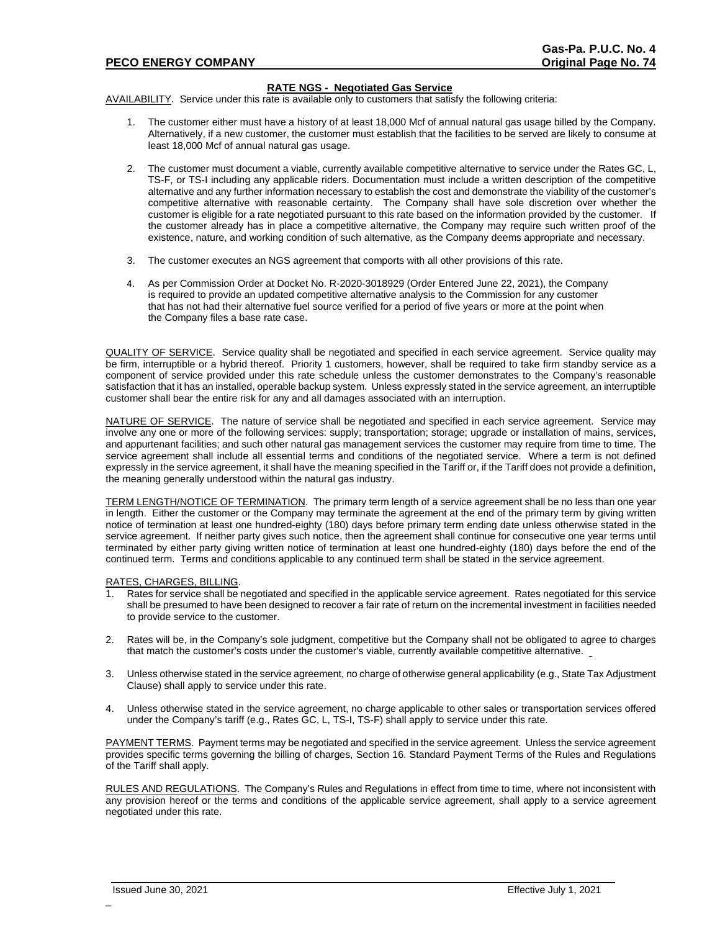#### **RATE NGS - Negotiated Gas Service**

AVAILABILITY. Service under this rate is available only to customers that satisfy the following criteria:

- 1. The customer either must have a history of at least 18,000 Mcf of annual natural gas usage billed by the Company. Alternatively, if a new customer, the customer must establish that the facilities to be served are likely to consume at least 18,000 Mcf of annual natural gas usage.
- 2. The customer must document a viable, currently available competitive alternative to service under the Rates GC, L, TS-F, or TS-I including any applicable riders. Documentation must include a written description of the competitive alternative and any further information necessary to establish the cost and demonstrate the viability of the customer's competitive alternative with reasonable certainty. The Company shall have sole discretion over whether the customer is eligible for a rate negotiated pursuant to this rate based on the information provided by the customer. If the customer already has in place a competitive alternative, the Company may require such written proof of the existence, nature, and working condition of such alternative, as the Company deems appropriate and necessary.
- 3. The customer executes an NGS agreement that comports with all other provisions of this rate.
- 4. As per Commission Order at Docket No. R-2020-3018929 (Order Entered June 22, 2021), the Company is required to provide an updated competitive alternative analysis to the Commission for any customer that has not had their alternative fuel source verified for a period of five years or more at the point when the Company files a base rate case.

QUALITY OF SERVICE. Service quality shall be negotiated and specified in each service agreement. Service quality may be firm, interruptible or a hybrid thereof. Priority 1 customers, however, shall be required to take firm standby service as a component of service provided under this rate schedule unless the customer demonstrates to the Company's reasonable satisfaction that it has an installed, operable backup system. Unless expressly stated in the service agreement, an interruptible customer shall bear the entire risk for any and all damages associated with an interruption.

NATURE OF SERVICE. The nature of service shall be negotiated and specified in each service agreement. Service may involve any one or more of the following services: supply; transportation; storage; upgrade or installation of mains, services, and appurtenant facilities; and such other natural gas management services the customer may require from time to time. The service agreement shall include all essential terms and conditions of the negotiated service. Where a term is not defined expressly in the service agreement, it shall have the meaning specified in the Tariff or, if the Tariff does not provide a definition, the meaning generally understood within the natural gas industry.

TERM LENGTH/NOTICE OF TERMINATION. The primary term length of a service agreement shall be no less than one year in length. Either the customer or the Company may terminate the agreement at the end of the primary term by giving written notice of termination at least one hundred-eighty (180) days before primary term ending date unless otherwise stated in the service agreement. If neither party gives such notice, then the agreement shall continue for consecutive one year terms until terminated by either party giving written notice of termination at least one hundred-eighty (180) days before the end of the continued term. Terms and conditions applicable to any continued term shall be stated in the service agreement.

# RATES, CHARGES, BILLING.<br>1 Rates for service shall be

- Rates for service shall be negotiated and specified in the applicable service agreement. Rates negotiated for this service shall be presumed to have been designed to recover a fair rate of return on the incremental investment in facilities needed to provide service to the customer.
- 2. Rates will be, in the Company's sole judgment, competitive but the Company shall not be obligated to agree to charges that match the customer's costs under the customer's viable, currently available competitive alternative.
- 3. Unless otherwise stated in the service agreement, no charge of otherwise general applicability (e.g., State Tax Adjustment Clause) shall apply to service under this rate.
- 4. Unless otherwise stated in the service agreement, no charge applicable to other sales or transportation services offered under the Company's tariff (e.g., Rates GC, L, TS-I, TS-F) shall apply to service under this rate.

PAYMENT TERMS. Payment terms may be negotiated and specified in the service agreement. Unless the service agreement provides specific terms governing the billing of charges, Section 16. Standard Payment Terms of the Rules and Regulations of the Tariff shall apply.

RULES AND REGULATIONS. The Company's Rules and Regulations in effect from time to time, where not inconsistent with any provision hereof or the terms and conditions of the applicable service agreement, shall apply to a service agreement negotiated under this rate.

 $\overline{a}$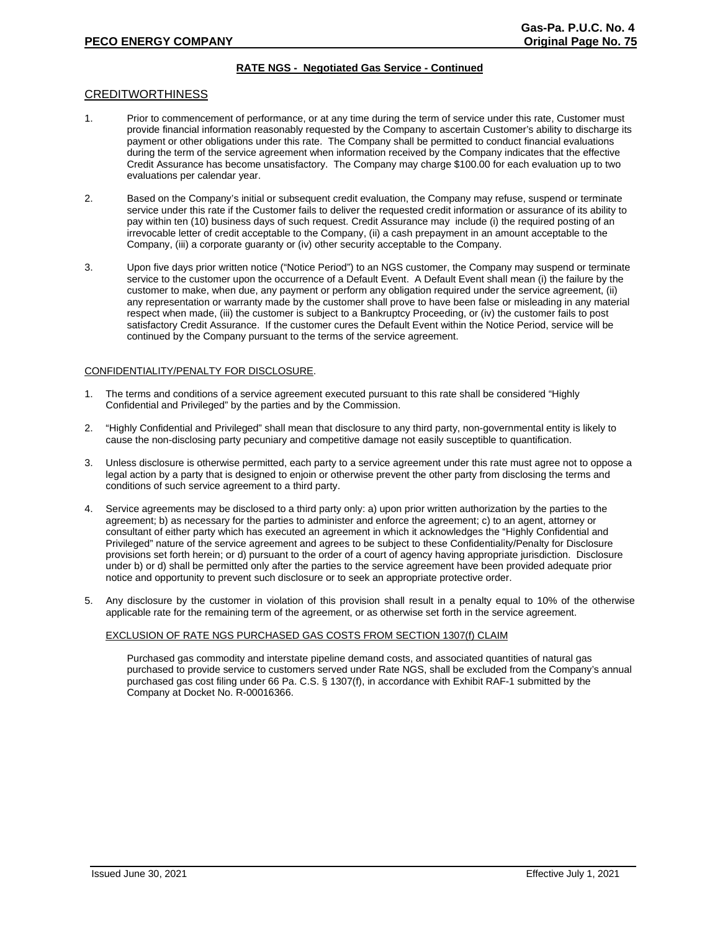# **RATE NGS - Negotiated Gas Service - Continued**

#### CREDITWORTHINESS

- 1. Prior to commencement of performance, or at any time during the term of service under this rate, Customer must provide financial information reasonably requested by the Company to ascertain Customer's ability to discharge its payment or other obligations under this rate. The Company shall be permitted to conduct financial evaluations during the term of the service agreement when information received by the Company indicates that the effective Credit Assurance has become unsatisfactory. The Company may charge \$100.00 for each evaluation up to two evaluations per calendar year.
- 2. Based on the Company's initial or subsequent credit evaluation, the Company may refuse, suspend or terminate service under this rate if the Customer fails to deliver the requested credit information or assurance of its ability to pay within ten (10) business days of such request. Credit Assurance may include (i) the required posting of an irrevocable letter of credit acceptable to the Company, (ii) a cash prepayment in an amount acceptable to the Company, (iii) a corporate guaranty or (iv) other security acceptable to the Company.
- 3. Upon five days prior written notice ("Notice Period") to an NGS customer, the Company may suspend or terminate service to the customer upon the occurrence of a Default Event. A Default Event shall mean (i) the failure by the customer to make, when due, any payment or perform any obligation required under the service agreement, (ii) any representation or warranty made by the customer shall prove to have been false or misleading in any material respect when made, (iii) the customer is subject to a Bankruptcy Proceeding, or (iv) the customer fails to post satisfactory Credit Assurance. If the customer cures the Default Event within the Notice Period, service will be continued by the Company pursuant to the terms of the service agreement.

#### CONFIDENTIALITY/PENALTY FOR DISCLOSURE.

- 1. The terms and conditions of a service agreement executed pursuant to this rate shall be considered "Highly Confidential and Privileged" by the parties and by the Commission.
- 2. "Highly Confidential and Privileged" shall mean that disclosure to any third party, non-governmental entity is likely to cause the non-disclosing party pecuniary and competitive damage not easily susceptible to quantification.
- 3. Unless disclosure is otherwise permitted, each party to a service agreement under this rate must agree not to oppose a legal action by a party that is designed to enjoin or otherwise prevent the other party from disclosing the terms and conditions of such service agreement to a third party.
- 4. Service agreements may be disclosed to a third party only: a) upon prior written authorization by the parties to the agreement; b) as necessary for the parties to administer and enforce the agreement; c) to an agent, attorney or consultant of either party which has executed an agreement in which it acknowledges the "Highly Confidential and Privileged" nature of the service agreement and agrees to be subject to these Confidentiality/Penalty for Disclosure provisions set forth herein; or d) pursuant to the order of a court of agency having appropriate jurisdiction. Disclosure under b) or d) shall be permitted only after the parties to the service agreement have been provided adequate prior notice and opportunity to prevent such disclosure or to seek an appropriate protective order.
- 5. Any disclosure by the customer in violation of this provision shall result in a penalty equal to 10% of the otherwise applicable rate for the remaining term of the agreement, or as otherwise set forth in the service agreement.

#### EXCLUSION OF RATE NGS PURCHASED GAS COSTS FROM SECTION 1307(f) CLAIM

Purchased gas commodity and interstate pipeline demand costs, and associated quantities of natural gas purchased to provide service to customers served under Rate NGS, shall be excluded from the Company's annual purchased gas cost filing under 66 Pa. C.S. § 1307(f), in accordance with Exhibit RAF-1 submitted by the Company at Docket No. R-00016366.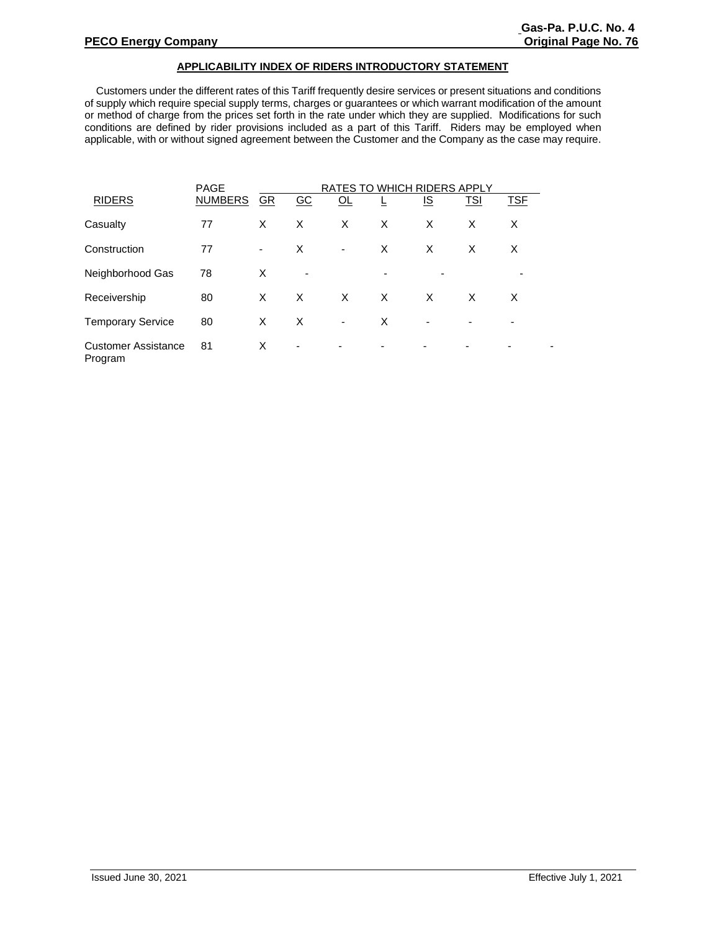## **APPLICABILITY INDEX OF RIDERS INTRODUCTORY STATEMENT**

 Customers under the different rates of this Tariff frequently desire services or present situations and conditions of supply which require special supply terms, charges or guarantees or which warrant modification of the amount or method of charge from the prices set forth in the rate under which they are supplied. Modifications for such conditions are defined by rider provisions included as a part of this Tariff. Riders may be employed when applicable, with or without signed agreement between the Customer and the Company as the case may require.

|                                       | <b>PAGE</b>    | RATES TO WHICH RIDERS APPLY |                  |                |                          |                          |                |                          |  |
|---------------------------------------|----------------|-----------------------------|------------------|----------------|--------------------------|--------------------------|----------------|--------------------------|--|
| <b>RIDERS</b>                         | <b>NUMBERS</b> | GR                          | $\underline{GC}$ | QL             |                          | <u>IS</u>                | <b>TSI</b>     | <b>TSE</b>               |  |
| Casualty                              | 77             | X                           | X                | X              | X                        | X                        | X              | X                        |  |
| Construction                          | 77             | $\overline{\phantom{a}}$    | X                | $\blacksquare$ | X                        | X                        | X              | X                        |  |
| Neighborhood Gas                      | 78             | X                           | $\blacksquare$   |                |                          |                          |                |                          |  |
| Receivership                          | 80             | X                           | $\times$         | X              | X                        | X                        | X              | X                        |  |
| <b>Temporary Service</b>              | 80             | X                           | X                | $\blacksquare$ | X                        | $\overline{\phantom{0}}$ | $\blacksquare$ | $\overline{\phantom{a}}$ |  |
| <b>Customer Assistance</b><br>Program | 81             | X                           | -                |                | $\overline{\phantom{0}}$ | ٠                        |                |                          |  |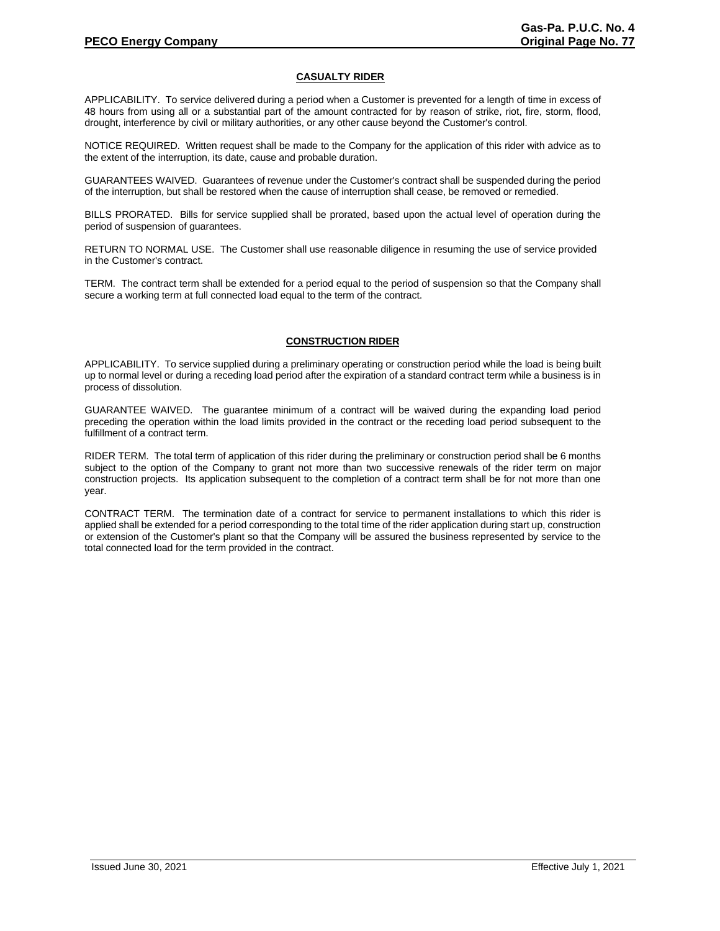## **CASUALTY RIDER**

APPLICABILITY. To service delivered during a period when a Customer is prevented for a length of time in excess of 48 hours from using all or a substantial part of the amount contracted for by reason of strike, riot, fire, storm, flood, drought, interference by civil or military authorities, or any other cause beyond the Customer's control.

NOTICE REQUIRED. Written request shall be made to the Company for the application of this rider with advice as to the extent of the interruption, its date, cause and probable duration.

GUARANTEES WAIVED. Guarantees of revenue under the Customer's contract shall be suspended during the period of the interruption, but shall be restored when the cause of interruption shall cease, be removed or remedied.

BILLS PRORATED. Bills for service supplied shall be prorated, based upon the actual level of operation during the period of suspension of guarantees.

RETURN TO NORMAL USE. The Customer shall use reasonable diligence in resuming the use of service provided in the Customer's contract.

TERM. The contract term shall be extended for a period equal to the period of suspension so that the Company shall secure a working term at full connected load equal to the term of the contract.

#### **CONSTRUCTION RIDER**

APPLICABILITY. To service supplied during a preliminary operating or construction period while the load is being built up to normal level or during a receding load period after the expiration of a standard contract term while a business is in process of dissolution.

GUARANTEE WAIVED. The guarantee minimum of a contract will be waived during the expanding load period preceding the operation within the load limits provided in the contract or the receding load period subsequent to the fulfillment of a contract term.

RIDER TERM. The total term of application of this rider during the preliminary or construction period shall be 6 months subject to the option of the Company to grant not more than two successive renewals of the rider term on major construction projects. Its application subsequent to the completion of a contract term shall be for not more than one year.

CONTRACT TERM. The termination date of a contract for service to permanent installations to which this rider is applied shall be extended for a period corresponding to the total time of the rider application during start up, construction or extension of the Customer's plant so that the Company will be assured the business represented by service to the total connected load for the term provided in the contract.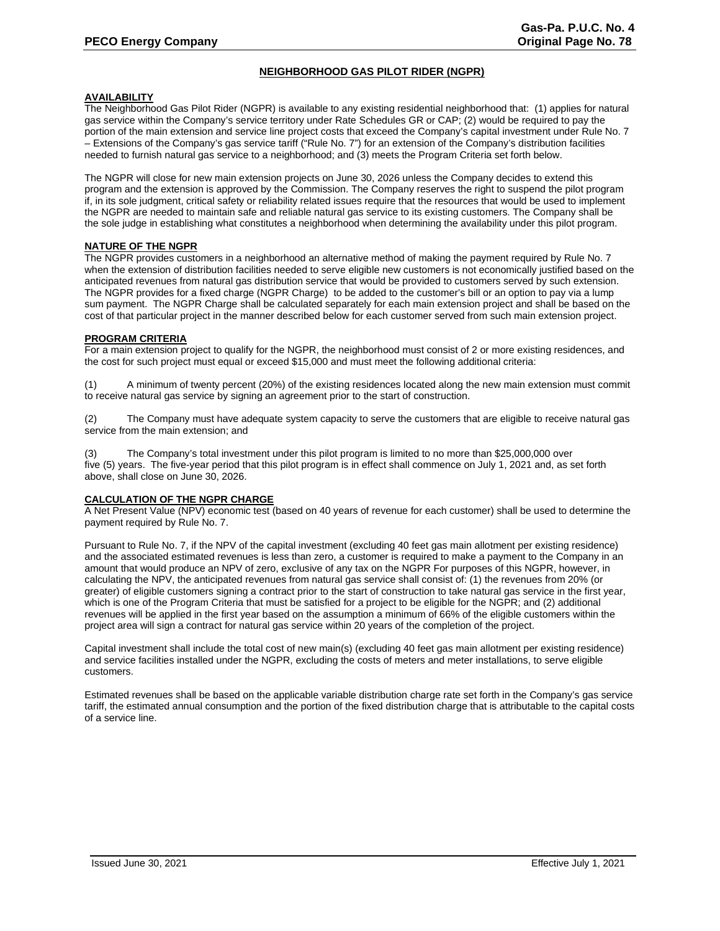# **NEIGHBORHOOD GAS PILOT RIDER (NGPR)**

#### **AVAILABILITY**

The Neighborhood Gas Pilot Rider (NGPR) is available to any existing residential neighborhood that: (1) applies for natural gas service within the Company's service territory under Rate Schedules GR or CAP; (2) would be required to pay the portion of the main extension and service line project costs that exceed the Company's capital investment under Rule No. 7 – Extensions of the Company's gas service tariff ("Rule No. 7") for an extension of the Company's distribution facilities needed to furnish natural gas service to a neighborhood; and (3) meets the Program Criteria set forth below.

The NGPR will close for new main extension projects on June 30, 2026 unless the Company decides to extend this program and the extension is approved by the Commission. The Company reserves the right to suspend the pilot program if, in its sole judgment, critical safety or reliability related issues require that the resources that would be used to implement the NGPR are needed to maintain safe and reliable natural gas service to its existing customers. The Company shall be the sole judge in establishing what constitutes a neighborhood when determining the availability under this pilot program.

#### **NATURE OF THE NGPR**

The NGPR provides customers in a neighborhood an alternative method of making the payment required by Rule No. 7 when the extension of distribution facilities needed to serve eligible new customers is not economically justified based on the anticipated revenues from natural gas distribution service that would be provided to customers served by such extension. The NGPR provides for a fixed charge (NGPR Charge) to be added to the customer's bill or an option to pay via a lump sum payment. The NGPR Charge shall be calculated separately for each main extension project and shall be based on the cost of that particular project in the manner described below for each customer served from such main extension project.

#### **PROGRAM CRITERIA**

For a main extension project to qualify for the NGPR, the neighborhood must consist of 2 or more existing residences, and the cost for such project must equal or exceed \$15,000 and must meet the following additional criteria:

(1) A minimum of twenty percent (20%) of the existing residences located along the new main extension must commit to receive natural gas service by signing an agreement prior to the start of construction.

(2) The Company must have adequate system capacity to serve the customers that are eligible to receive natural gas service from the main extension; and

(3) The Company's total investment under this pilot program is limited to no more than \$25,000,000 over five (5) years. The five-year period that this pilot program is in effect shall commence on July 1, 2021 and, as set forth above, shall close on June 30, 2026.

## **CALCULATION OF THE NGPR CHARGE**

A Net Present Value (NPV) economic test (based on 40 years of revenue for each customer) shall be used to determine the payment required by Rule No. 7.

Pursuant to Rule No. 7, if the NPV of the capital investment (excluding 40 feet gas main allotment per existing residence) and the associated estimated revenues is less than zero, a customer is required to make a payment to the Company in an amount that would produce an NPV of zero, exclusive of any tax on the NGPR For purposes of this NGPR, however, in calculating the NPV, the anticipated revenues from natural gas service shall consist of: (1) the revenues from 20% (or greater) of eligible customers signing a contract prior to the start of construction to take natural gas service in the first year, which is one of the Program Criteria that must be satisfied for a project to be eligible for the NGPR; and (2) additional revenues will be applied in the first year based on the assumption a minimum of 66% of the eligible customers within the project area will sign a contract for natural gas service within 20 years of the completion of the project.

Capital investment shall include the total cost of new main(s) (excluding 40 feet gas main allotment per existing residence) and service facilities installed under the NGPR, excluding the costs of meters and meter installations, to serve eligible customers.

Estimated revenues shall be based on the applicable variable distribution charge rate set forth in the Company's gas service tariff, the estimated annual consumption and the portion of the fixed distribution charge that is attributable to the capital costs of a service line.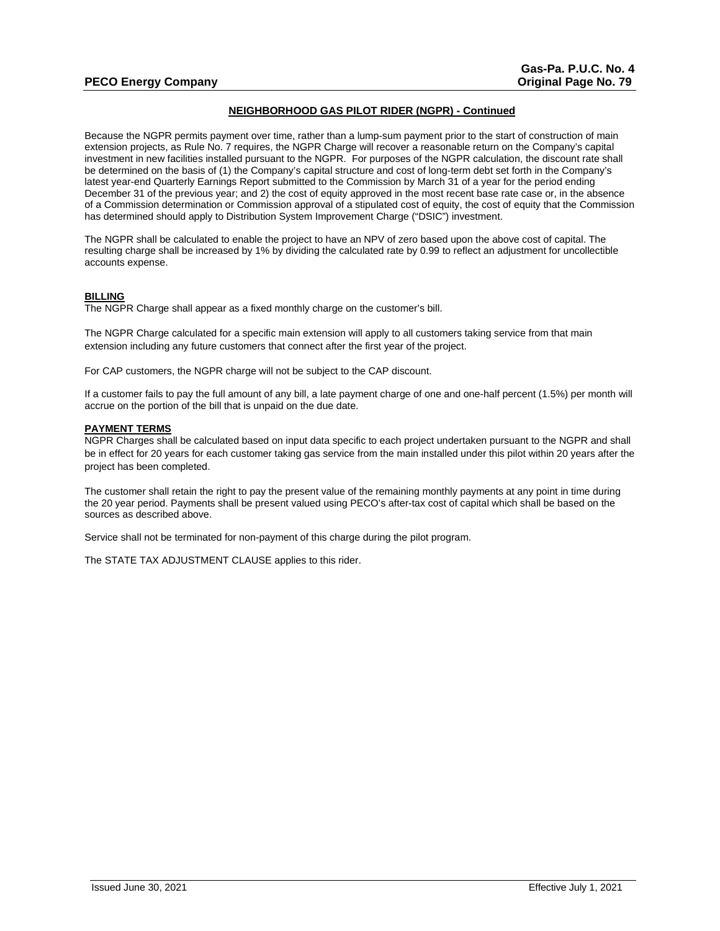# **PECO Energy Company Company Company Company Company Company Company Company Company Company Company Company Company Company Company Company Company Company Company Company Company Company Company Company Company Company C**

# **NEIGHBORHOOD GAS PILOT RIDER (NGPR) - Continued**

Because the NGPR permits payment over time, rather than a lump-sum payment prior to the start of construction of main extension projects, as Rule No. 7 requires, the NGPR Charge will recover a reasonable return on the Company's capital investment in new facilities installed pursuant to the NGPR. For purposes of the NGPR calculation, the discount rate shall be determined on the basis of (1) the Company's capital structure and cost of long-term debt set forth in the Company's latest year-end Quarterly Earnings Report submitted to the Commission by March 31 of a year for the period ending December 31 of the previous year; and 2) the cost of equity approved in the most recent base rate case or, in the absence of a Commission determination or Commission approval of a stipulated cost of equity, the cost of equity that the Commission has determined should apply to Distribution System Improvement Charge ("DSIC") investment.

The NGPR shall be calculated to enable the project to have an NPV of zero based upon the above cost of capital. The resulting charge shall be increased by 1% by dividing the calculated rate by 0.99 to reflect an adjustment for uncollectible accounts expense.

#### **BILLING**

The NGPR Charge shall appear as a fixed monthly charge on the customer's bill.

The NGPR Charge calculated for a specific main extension will apply to all customers taking service from that main extension including any future customers that connect after the first year of the project.

For CAP customers, the NGPR charge will not be subject to the CAP discount.

If a customer fails to pay the full amount of any bill, a late payment charge of one and one-half percent (1.5%) per month will accrue on the portion of the bill that is unpaid on the due date.

#### **PAYMENT TERMS**

NGPR Charges shall be calculated based on input data specific to each project undertaken pursuant to the NGPR and shall be in effect for 20 years for each customer taking gas service from the main installed under this pilot within 20 years after the project has been completed.

The customer shall retain the right to pay the present value of the remaining monthly payments at any point in time during the 20 year period. Payments shall be present valued using PECO's after-tax cost of capital which shall be based on the sources as described above.

Service shall not be terminated for non-payment of this charge during the pilot program.

The STATE TAX ADJUSTMENT CLAUSE applies to this rider.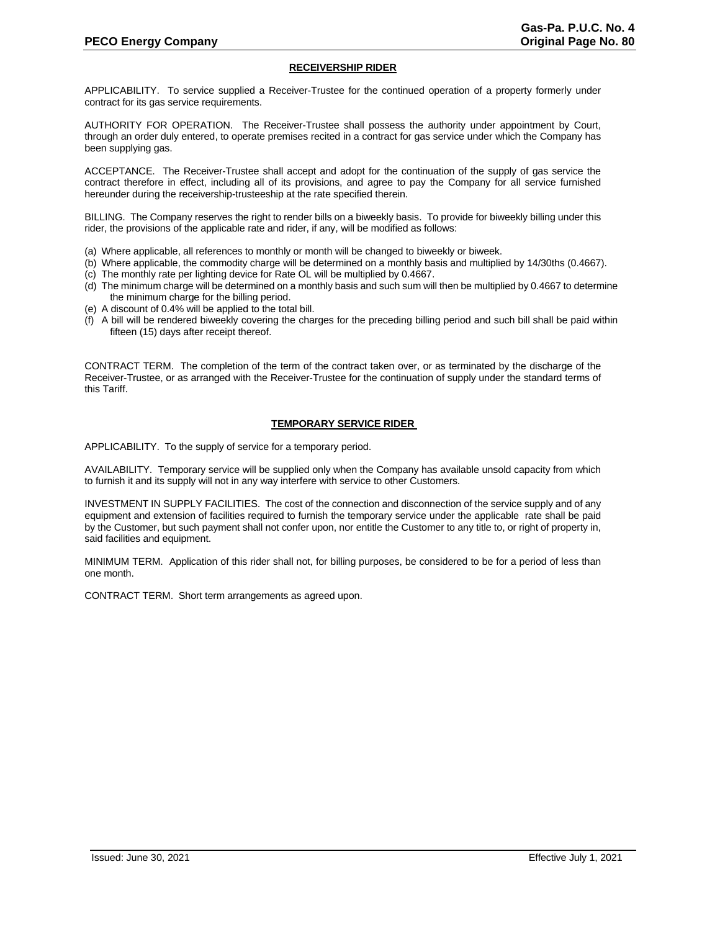## **RECEIVERSHIP RIDER**

APPLICABILITY. To service supplied a Receiver-Trustee for the continued operation of a property formerly under contract for its gas service requirements.

AUTHORITY FOR OPERATION. The Receiver-Trustee shall possess the authority under appointment by Court, through an order duly entered, to operate premises recited in a contract for gas service under which the Company has been supplying gas.

ACCEPTANCE. The Receiver-Trustee shall accept and adopt for the continuation of the supply of gas service the contract therefore in effect, including all of its provisions, and agree to pay the Company for all service furnished hereunder during the receivership-trusteeship at the rate specified therein.

BILLING. The Company reserves the right to render bills on a biweekly basis. To provide for biweekly billing under this rider, the provisions of the applicable rate and rider, if any, will be modified as follows:

- (a) Where applicable, all references to monthly or month will be changed to biweekly or biweek.
- (b) Where applicable, the commodity charge will be determined on a monthly basis and multiplied by 14/30ths (0.4667).
- (c) The monthly rate per lighting device for Rate OL will be multiplied by 0.4667.
- (d) The minimum charge will be determined on a monthly basis and such sum will then be multiplied by 0.4667 to determine the minimum charge for the billing period.
- (e) A discount of 0.4% will be applied to the total bill.
- (f) A bill will be rendered biweekly covering the charges for the preceding billing period and such bill shall be paid within fifteen (15) days after receipt thereof.

CONTRACT TERM. The completion of the term of the contract taken over, or as terminated by the discharge of the Receiver-Trustee, or as arranged with the Receiver-Trustee for the continuation of supply under the standard terms of this Tariff.

## **TEMPORARY SERVICE RIDER**

APPLICABILITY. To the supply of service for a temporary period.

AVAILABILITY. Temporary service will be supplied only when the Company has available unsold capacity from which to furnish it and its supply will not in any way interfere with service to other Customers.

INVESTMENT IN SUPPLY FACILITIES. The cost of the connection and disconnection of the service supply and of any equipment and extension of facilities required to furnish the temporary service under the applicable rate shall be paid by the Customer, but such payment shall not confer upon, nor entitle the Customer to any title to, or right of property in, said facilities and equipment.

MINIMUM TERM. Application of this rider shall not, for billing purposes, be considered to be for a period of less than one month.

CONTRACT TERM. Short term arrangements as agreed upon.